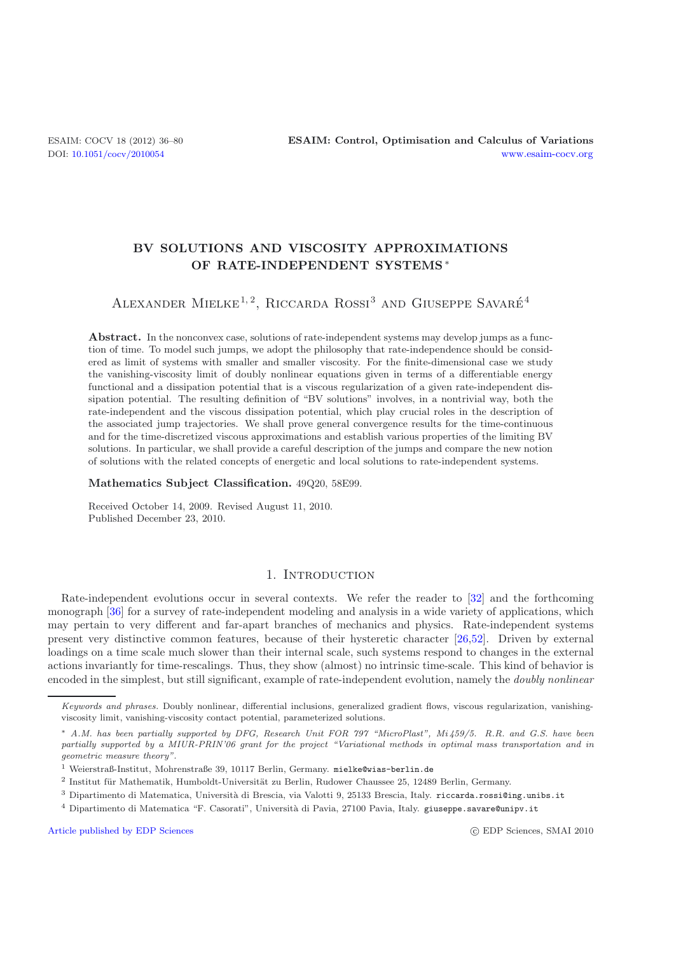## **BV SOLUTIONS AND VISCOSITY APPROXIMATIONS OF RATE-INDEPENDENT SYSTEMS** ∗

# ALEXANDER MIELKE<sup>1,2</sup>, RICCARDA ROSSI<sup>3</sup> AND GIUSEPPE SAVARÉ<sup>4</sup>

**Abstract.** In the nonconvex case, solutions of rate-independent systems may develop jumps as a function of time. To model such jumps, we adopt the philosophy that rate-independence should be considered as limit of systems with smaller and smaller viscosity. For the finite-dimensional case we study the vanishing-viscosity limit of doubly nonlinear equations given in terms of a differentiable energy functional and a dissipation potential that is a viscous regularization of a given rate-independent dissipation potential. The resulting definition of "BV solutions" involves, in a nontrivial way, both the rate-independent and the viscous dissipation potential, which play crucial roles in the description of the associated jump trajectories. We shall prove general convergence results for the time-continuous and for the time-discretized viscous approximations and establish various properties of the limiting BV solutions. In particular, we shall provide a careful description of the jumps and compare the new notion of solutions with the related concepts of energetic and local solutions to rate-independent systems.

**Mathematics Subject Classification.** 49Q20, 58E99.

Received October 14, 2009. Revised August 11, 2010. Published December 23, 2010.

## 1. INTRODUCTION

Rate-independent evolutions occur in several contexts. We refer the reader to [\[32](#page-44-0)] and the forthcoming monograph [\[36\]](#page-44-1) for a survey of rate-independent modeling and analysis in a wide variety of applications, which may pertain to very different and far-apart branches of mechanics and physics. Rate-independent systems present very distinctive common features, because of their hysteretic character [\[26](#page-44-2)[,52](#page-44-3)]. Driven by external loadings on a time scale much slower than their internal scale, such systems respond to changes in the external actions invariantly for time-rescalings. Thus, they show (almost) no intrinsic time-scale. This kind of behavior is encoded in the simplest, but still significant, example of rate-independent evolution, namely the *doubly nonlinear*

[Article published by EDP Sciences](http://www.edpsciences.org) c EDP Sciences c EDP Sciences, SMAI 2010

Keywords and phrases. Doubly nonlinear, differential inclusions, generalized gradient flows, viscous regularization, vanishingviscosity limit, vanishing-viscosity contact potential, parameterized solutions.

<sup>∗</sup> A.M. has been partially supported by DFG, Research Unit FOR 797 "MicroPlast", Mi 459/5. R.R. and G.S. have been partially supported by a MIUR-PRIN'06 grant for the project "Variational methods in optimal mass transportation and in geometric measure theory".

<sup>1</sup> Weierstraß-Institut, Mohrenstraße 39, 10117 Berlin, Germany. mielke@wias-berlin.de

 $2$  Institut für Mathematik, Humboldt-Universität zu Berlin, Rudower Chaussee 25, 12489 Berlin, Germany.

 $3$  Dipartimento di Matematica, Università di Brescia, via Valotti 9, 25133 Brescia, Italy. riccarda.rossi@ing.unibs.it

<sup>&</sup>lt;sup>4</sup> Dipartimento di Matematica "F. Casorati", Università di Pavia, 27100 Pavia, Italy. giuseppe.savare@unipv.it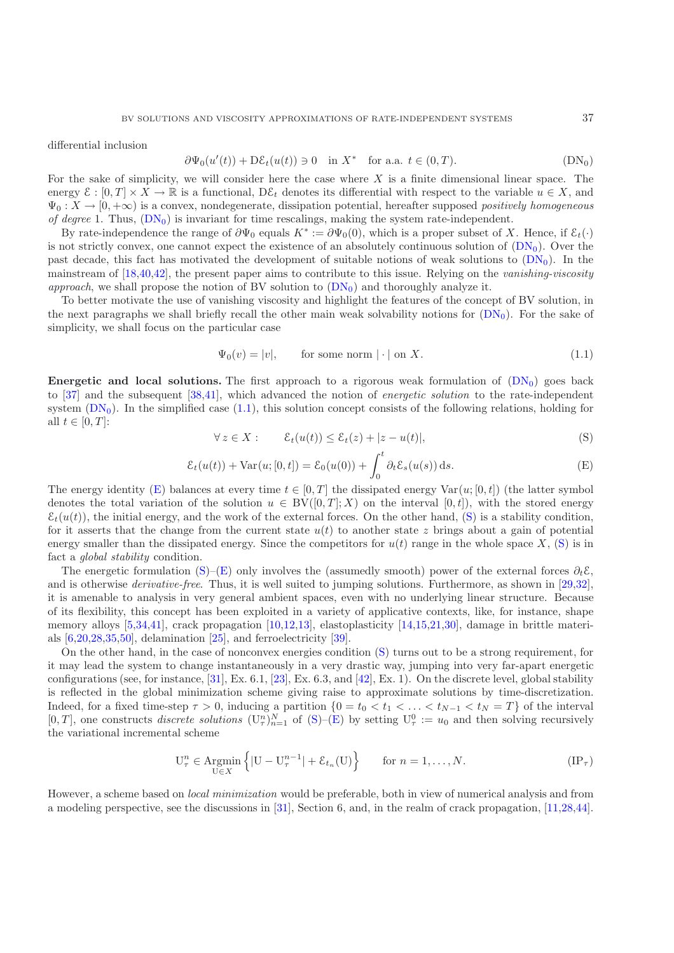<span id="page-1-1"></span>differential inclusion

<span id="page-1-0"></span>
$$
\partial\Psi_0(u'(t)) + D\mathcal{E}_t(u(t)) \ni 0 \quad \text{in } X^* \quad \text{for a.a. } t \in (0,T). \tag{DN_0}
$$

For the sake of simplicity, we will consider here the case where  $X$  is a finite dimensional linear space. The energy  $\mathcal{E} : [0, T] \times X \to \mathbb{R}$  is a functional,  $D\mathcal{E}_t$  denotes its differential with respect to the variable  $u \in X$ , and  $\Psi_0: X \to [0, +\infty)$  is a convex, nondegenerate, dissipation potential, hereafter supposed *positively homogeneous of degree* 1. Thus,  $(DN_0)$  $(DN_0)$  is invariant for time rescalings, making the system rate-independent.

By rate-independence the range of  $\partial \Psi_0$  equals  $K^* := \partial \Psi_0(0)$ , which is a proper subset of X. Hence, if  $\mathcal{E}_t(\cdot)$ is not strictly convex, one cannot expect the existence of an absolutely continuous solution of  $(DN_0)$  $(DN_0)$ . Over the past decade, this fact has motivated the development of suitable notions of weak solutions to  $(DN_0)$  $(DN_0)$ . In the mainstream of [\[18](#page-43-0)[,40](#page-44-4)[,42\]](#page-44-5), the present paper aims to contribute to this issue. Relying on the *vanishing-viscosity approach*, we shall propose the notion of BV solution to  $(DN_0)$  $(DN_0)$  and thoroughly analyze it.

To better motivate the use of vanishing viscosity and highlight the features of the concept of BV solution, in the next paragraphs we shall briefly recall the other main weak solvability notions for  $(DN_0)$  $(DN_0)$ . For the sake of simplicity, we shall focus on the particular case

$$
\Psi_0(v) = |v|, \qquad \text{for some norm } |\cdot| \text{ on } X. \tag{1.1}
$$

**Energetic and local solutions.** The first approach to a rigorous weak formulation of  $(DN_0)$  $(DN_0)$  goes back to [\[37\]](#page-44-6) and the subsequent [\[38](#page-44-7)[,41\]](#page-44-8), which advanced the notion of *energetic solution* to the rate-independent system  $(DN_0)$  $(DN_0)$ . In the simplified case  $(1.1)$ , this solution concept consists of the following relations, holding for all  $t \in [0, T]$ :

<span id="page-1-3"></span><span id="page-1-2"></span>
$$
\forall z \in X: \qquad \mathcal{E}_t(u(t)) \le \mathcal{E}_t(z) + |z - u(t)|,\tag{S}
$$

<span id="page-1-5"></span>
$$
\mathcal{E}_t(u(t)) + \text{Var}(u;[0,t]) = \mathcal{E}_0(u(0)) + \int_0^t \partial_t \mathcal{E}_s(u(s)) \, \mathrm{d}s. \tag{E}
$$

The energy identity [\(E\)](#page-1-2) balances at every time  $t \in [0, T]$  the dissipated energy Var $(u; [0, t])$  (the latter symbol denotes the total variation of the solution  $u \in BV([0,T];X)$  on the interval  $[0,t]$ , with the stored energy  $\mathcal{E}_t(u(t))$ , the initial energy, and the work of the external forces. On the other hand, [\(S\)](#page-1-3) is a stability condition, for it asserts that the change from the current state  $u(t)$  to another state z brings about a gain of potential energy smaller than the dissipated energy. Since the competitors for  $u(t)$  range in the whole space X, [\(S\)](#page-1-3) is in fact a *global stability* condition.

The energetic formulation [\(S\)](#page-1-3)–[\(E\)](#page-1-2) only involves the (assumedly smooth) power of the external forces  $\partial_t \mathcal{E}$ , and is otherwise *derivative-free*. Thus, it is well suited to jumping solutions. Furthermore, as shown in [\[29](#page-44-9)[,32\]](#page-44-0), it is amenable to analysis in very general ambient spaces, even with no underlying linear structure. Because of its flexibility, this concept has been exploited in a variety of applicative contexts, like, for instance, shape memory alloys [\[5](#page-43-1)[,34](#page-44-10)[,41\]](#page-44-8), crack propagation [\[10](#page-43-2)[,12](#page-43-3)[,13](#page-43-4)], elastoplasticity [\[14](#page-43-5)[,15](#page-43-6)[,21](#page-44-11)[,30](#page-44-12)], damage in brittle materials [\[6](#page-43-7)[,20](#page-44-13)[,28](#page-44-14)[,35](#page-44-15)[,50\]](#page-44-16), delamination [\[25](#page-44-17)], and ferroelectricity [\[39\]](#page-44-18).

On the other hand, in the case of nonconvex energies condition [\(S\)](#page-1-3) turns out to be a strong requirement, for it may lead the system to change instantaneously in a very drastic way, jumping into very far-apart energetic configurations (see, for instance,  $[31]$  $[31]$ , Ex. 6.1,  $[23]$ , Ex. 6.3, and  $[42]$  $[42]$ , Ex. 1). On the discrete level, global stability is reflected in the global minimization scheme giving raise to approximate solutions by time-discretization. Indeed, for a fixed time-step  $\tau > 0$ , inducing a partition  $\{0 = t_0 < t_1 < \ldots < t_{N-1} < t_N = T\}$  of the interval [0, T], one constructs *discrete solutions*  $(\mathbf{U}_\tau^n)_{n=1}^N$  of  $(\mathbf{S})-(\mathbf{E})$  by setting  $\mathbf{U}_\tau^0 := u_0$  and then solving recursively the variational incremental scheme

$$
\mathcal{U}_{\tau}^{n} \in \underset{\mathcal{U} \in X}{\text{Argmin}} \left\{ |\mathcal{U} - \mathcal{U}_{\tau}^{n-1}| + \mathcal{E}_{t_n}(\mathcal{U}) \right\} \quad \text{for } n = 1, \dots, N. \tag{IP\tau}
$$

<span id="page-1-4"></span>However, a scheme based on *local minimization* would be preferable, both in view of numerical analysis and from a modeling perspective, see the discussions in [\[31](#page-44-19)], Section 6, and, in the realm of crack propagation, [\[11](#page-43-8)[,28](#page-44-14)[,44\]](#page-44-21).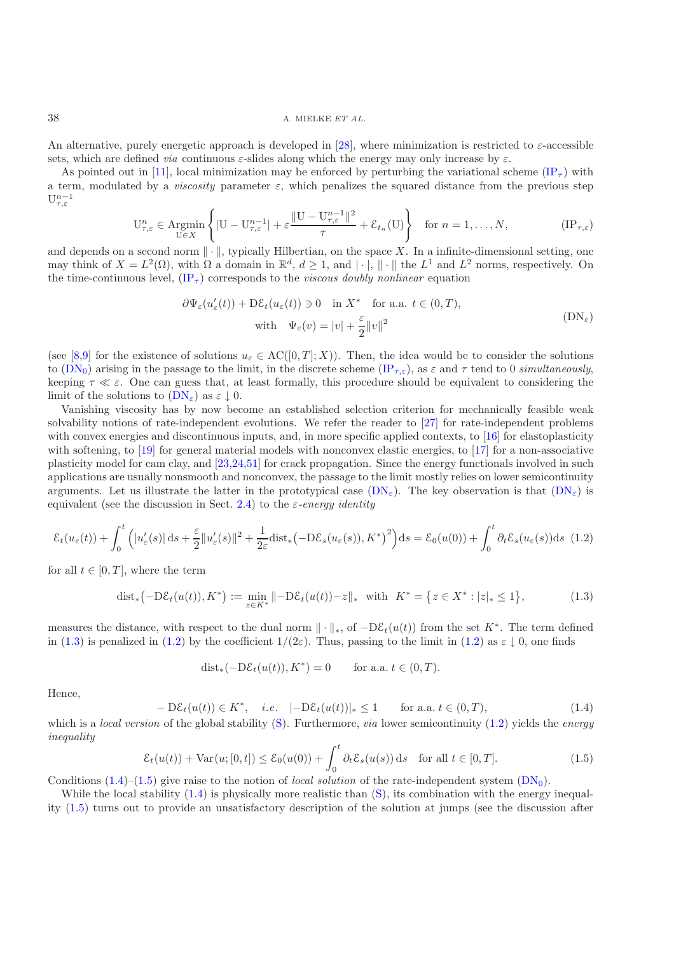## 38 A. MIELKE *ET AL.*

An alternative, purely energetic approach is developed in [\[28\]](#page-44-14), where minimization is restricted to  $\varepsilon$ -accessible sets, which are defined *via* continuous  $\varepsilon$ -slides along which the energy may only increase by  $\varepsilon$ .

As pointed out in [\[11\]](#page-43-8), local minimization may be enforced by perturbing the variational scheme [\(IP](#page-1-4)<sub>T</sub>) with a term, modulated by a *viscosity* parameter  $\varepsilon$ , which penalizes the squared distance from the previous step  $\mathbf{U}^{n-1}_{\tau,\varepsilon}$ 

$$
\mathcal{U}_{\tau,\varepsilon}^n \in \underset{\mathcal{U}\in X}{\text{Argmin}} \left\{ |\mathcal{U} - \mathcal{U}_{\tau,\varepsilon}^{n-1}| + \varepsilon \frac{\|\mathcal{U} - \mathcal{U}_{\tau,\varepsilon}^{n-1}\|^2}{\tau} + \mathcal{E}_{t_n}(\mathcal{U}) \right\} \quad \text{for } n = 1,\ldots,N, \tag{IP}_{\tau,\varepsilon}
$$

<span id="page-2-0"></span>and depends on a second norm  $\|\cdot\|$ , typically Hilbertian, on the space X. In a infinite-dimensional setting, one may think of  $X = L^2(\Omega)$ , with  $\Omega$  a domain in  $\mathbb{R}^d$ ,  $d \geq 1$ , and  $|\cdot|$ ,  $\|\cdot\|$  the  $L^1$  and  $L^2$  norms, respectively. On the time-continuous level,  $(\text{IP}_{\tau})$  corresponds to the *viscous doubly nonlinear* equation

<span id="page-2-1"></span>
$$
\partial \Psi_{\varepsilon}(u_{\varepsilon}'(t)) + \mathcal{D}\mathcal{E}_{t}(u_{\varepsilon}(t)) \ni 0 \quad \text{in } X^* \quad \text{for a.a. } t \in (0, T),
$$
  
with 
$$
\Psi_{\varepsilon}(v) = |v| + \frac{\varepsilon}{2} ||v||^2
$$
 (DN<sub>\varepsilon</sub>)

(see [\[8](#page-43-9)[,9\]](#page-43-10) for the existence of solutions  $u_{\varepsilon} \in AC([0,T];X)$ ). Then, the idea would be to consider the solutions to  $(DN_0)$  $(DN_0)$  arising in the passage to the limit, in the discrete scheme  $(IP_{\tau,\varepsilon})$  $(IP_{\tau,\varepsilon})$ , as  $\varepsilon$  and  $\tau$  tend to 0 *simultaneously*, keeping  $\tau \ll \varepsilon$ . One can guess that, at least formally, this procedure should be equivalent to considering the limit of the solutions to  $(DN_{\varepsilon})$  $(DN_{\varepsilon})$  as  $\varepsilon \downarrow 0$ .

Vanishing viscosity has by now become an established selection criterion for mechanically feasible weak solvability notions of rate-independent evolutions. We refer the reader to [\[27](#page-44-22)] for rate-independent problems with convex energies and discontinuous inputs, and, in more specific applied contexts, to [\[16\]](#page-43-11) for elastoplasticity with softening, to [\[19\]](#page-43-12) for general material models with nonconvex elastic energies, to [\[17\]](#page-43-13) for a non-associative plasticity model for cam clay, and [\[23](#page-44-20)[,24](#page-44-23)[,51\]](#page-44-24) for crack propagation. Since the energy functionals involved in such applications are usually nonsmooth and nonconvex, the passage to the limit mostly relies on lower semicontinuity arguments. Let us illustrate the latter in the prototypical case  $(DN_{\varepsilon})$  $(DN_{\varepsilon})$ . The key observation is that  $(DN_{\varepsilon})$  is equivalent (see the discussion in Sect. [2.4\)](#page-11-0) to the  $\varepsilon$ -energy *identity* 

$$
\mathcal{E}_t(u_\varepsilon(t)) + \int_0^t \left( |u_\varepsilon'(s)| \, \mathrm{d} s + \frac{\varepsilon}{2} ||u_\varepsilon'(s)||^2 + \frac{1}{2\varepsilon} \mathrm{dist}_* \left( -\mathrm{D}\mathcal{E}_s(u_\varepsilon(s)), K^* \right)^2 \right) \mathrm{d} s = \mathcal{E}_0(u(0)) + \int_0^t \partial_t \mathcal{E}_s(u_\varepsilon(s)) \mathrm{d} s \tag{1.2}
$$

<span id="page-2-2"></span>for all  $t \in [0, T]$ , where the term

$$
\text{dist}_{*}\big(\text{-D}\mathcal{E}_{t}(u(t)), K^{*}\big) := \min_{z \in K^{*}} \|\text{-D}\mathcal{E}_{t}(u(t)) - z\|_{*} \quad \text{with} \quad K^{*} = \big\{z \in X^{*} : |z|_{*} \le 1\big\},\tag{1.3}
$$

measures the distance, with respect to the dual norm  $\|\cdot\|_*,$  of  $-D\mathcal{E}_t(u(t))$  from the set  $K^*$ . The term defined in [\(1.3\)](#page-2-2) is penalized in [\(1.2\)](#page-1-5) by the coefficient  $1/(2\varepsilon)$ . Thus, passing to the limit in (1.2) as  $\varepsilon \downarrow 0$ , one finds

$$
dist_*(-D\mathcal{E}_t(u(t)), K^*) = 0 \quad \text{for a.a. } t \in (0, T).
$$

<span id="page-2-3"></span>Hence,

$$
-D\mathcal{E}_t(u(t)) \in K^*, \quad i.e. \quad |-\mathcal{D}\mathcal{E}_t(u(t))|_* \le 1 \qquad \text{for a.a. } t \in (0,T), \tag{1.4}
$$

which is a *local version* of the global stability [\(S\)](#page-1-3). Furthermore, *via* lower semicontinuity [\(1.2\)](#page-1-5) yields the *energy inequality*

$$
\mathcal{E}_t(u(t)) + \text{Var}(u;[0,t]) \le \mathcal{E}_0(u(0)) + \int_0^t \partial_t \mathcal{E}_s(u(s)) \, \text{d}s \quad \text{for all } t \in [0,T].
$$
\n(1.5)

<span id="page-2-4"></span>Conditions  $(1.4)$ – $(1.5)$  give raise to the notion of *local solution* of the rate-independent system  $(DN_0)$  $(DN_0)$ .

While the local stability  $(1.4)$  is physically more realistic than  $(S)$ , its combination with the energy inequality [\(1.5\)](#page-2-4) turns out to provide an unsatisfactory description of the solution at jumps (see the discussion after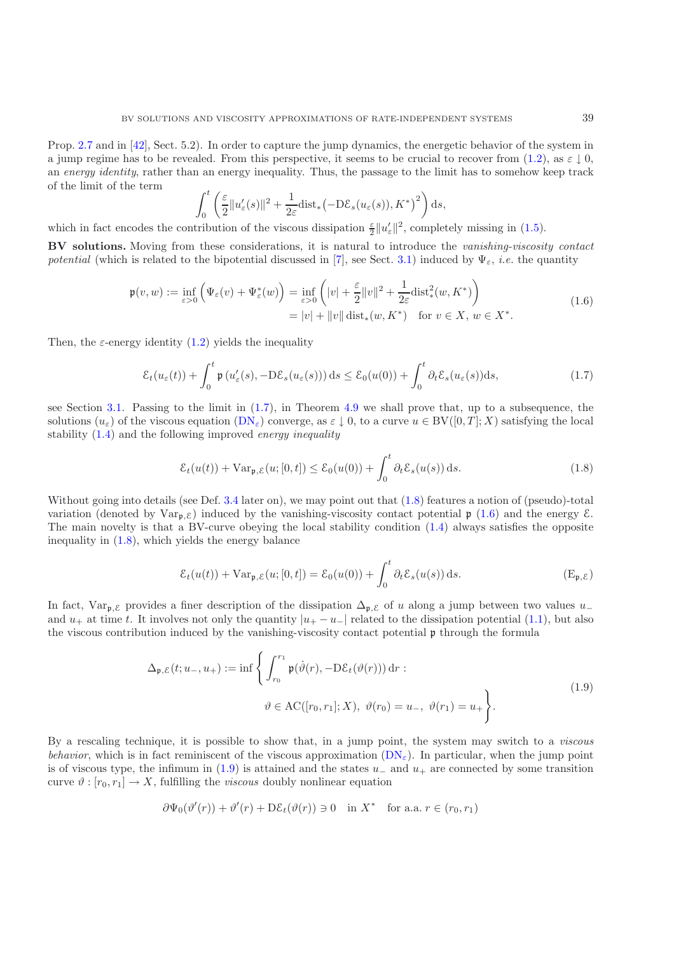Prop. [2.7](#page-13-0) and in [\[42\]](#page-44-5), Sect. 5.2). In order to capture the jump dynamics, the energetic behavior of the system in a jump regime has to be revealed. From this perspective, it seems to be crucial to recover from [\(1.2\)](#page-1-5), as  $\varepsilon \downharpoonright 0$ . an *energy identity*, rather than an energy inequality. Thus, the passage to the limit has to somehow keep track of the limit of the term  $\theta$ 

$$
\int_0^t \left( \frac{\varepsilon}{2} \| u_{\varepsilon}'(s) \|^2 + \frac{1}{2\varepsilon} \text{dist}_* \big( - \mathrm{D} \mathcal{E}_s(u_{\varepsilon}(s)), K^* \big)^2 \right) ds,
$$

which in fact encodes the contribution of the viscous dissipation  $\frac{\varepsilon}{2}||u'_{\varepsilon}||^2$ , completely missing in [\(1.5\)](#page-2-4).

**BV solutions.** Moving from these considerations, it is natural to introduce the *vanishing-viscosity contact potential* (which is related to the bipotential discussed in [\[7\]](#page-43-14), see Sect. [3.1\)](#page-14-0) induced by  $\Psi_{\varepsilon}$ , *i.e.* the quantity

$$
\mathfrak{p}(v, w) := \inf_{\varepsilon > 0} \left( \Psi_{\varepsilon}(v) + \Psi_{\varepsilon}^*(w) \right) = \inf_{\varepsilon > 0} \left( |v| + \frac{\varepsilon}{2} ||v||^2 + \frac{1}{2\varepsilon} \text{dist}_*^2(w, K^*) \right)
$$
  
= |v| + ||v|| dist<sub>\*</sub>(w, K<sup>\*</sup>) for  $v \in X$ ,  $w \in X^*$ . (1.6)

<span id="page-3-2"></span>Then, the  $\varepsilon$ -energy identity [\(1.2\)](#page-1-5) yields the inequality

$$
\mathcal{E}_t(u_{\varepsilon}(t)) + \int_0^t \mathfrak{p}\left(u_{\varepsilon}'(s), -D\mathcal{E}_s(u_{\varepsilon}(s))\right)ds \leq \mathcal{E}_0(u(0)) + \int_0^t \partial_t \mathcal{E}_s(u_{\varepsilon}(s))ds,
$$
\n(1.7)

<span id="page-3-0"></span>see Section [3.1.](#page-14-0) Passing to the limit in [\(1.7\)](#page-3-0), in Theorem [4.9](#page-17-0) we shall prove that, up to a subsequence, the solutions  $(u_{\varepsilon})$  of the viscous equation  $(DN_{\varepsilon})$  $(DN_{\varepsilon})$  converge, as  $\varepsilon \downarrow 0$ , to a curve  $u \in BV([0,T];X)$  satisfying the local stability [\(1.4\)](#page-2-3) and the following improved *energy inequality*

$$
\mathcal{E}_t(u(t)) + \text{Var}_{\mathfrak{p}, \mathcal{E}}(u; [0, t]) \le \mathcal{E}_0(u(0)) + \int_0^t \partial_t \mathcal{E}_s(u(s)) \, \mathrm{d}s. \tag{1.8}
$$

<span id="page-3-1"></span>Without going into details (see Def. [3.4](#page-11-1) later on), we may point out that  $(1.8)$  features a notion of (pseudo)-total variation (denoted by  $\text{Var}_{p,\mathcal{E}}$ ) induced by the vanishing-viscosity contact potential  $p(1.6)$  $p(1.6)$  and the energy  $\mathcal{E}$ . The main novelty is that a BV-curve obeying the local stability condition [\(1.4\)](#page-2-3) always satisfies the opposite inequality in [\(1.8\)](#page-3-1), which yields the energy balance

$$
\mathcal{E}_t(u(t)) + \text{Var}_{\mathfrak{p}, \mathcal{E}}(u; [0, t]) = \mathcal{E}_0(u(0)) + \int_0^t \partial_t \mathcal{E}_s(u(s)) \, \mathrm{d}s. \tag{E}_{\mathfrak{p}, \mathcal{E}})
$$

<span id="page-3-3"></span>In fact, Var<sub>p, $\mathcal{E}$ </sub> provides a finer description of the dissipation  $\Delta_{p,\mathcal{E}}$  of u along a jump between two values u\_ and  $u_+$  at time t. It involves not only the quantity  $|u_+ - u_-|$  related to the dissipation potential [\(1.1\)](#page-1-1), but also the viscous contribution induced by the vanishing-viscosity contact potential p through the formula

$$
\Delta_{\mathfrak{p}, \mathcal{E}}(t; u_-, u_+) := \inf \left\{ \int_{r_0}^{r_1} \mathfrak{p}(\dot{\vartheta}(r), -D\mathcal{E}_t(\vartheta(r))) dr : \right. \\
\vartheta \in \mathrm{AC}([r_0, r_1]; X), \ \vartheta(r_0) = u_-, \ \vartheta(r_1) = u_+ \right\}.
$$
\n(1.9)

By a rescaling technique, it is possible to show that, in a jump point, the system may switch to a *viscous behavior*, which is in fact reminiscent of the viscous approximation  $(DN_{\epsilon})$  $(DN_{\epsilon})$ . In particular, when the jump point is of viscous type, the infimum in  $(1.9)$  is attained and the states  $u_-\,$  and  $u_+\,$  are connected by some transition curve  $\vartheta : [r_0, r_1] \to X$ , fulfilling the *viscous* doubly nonlinear equation

$$
\partial \Psi_0(\vartheta'(r)) + \vartheta'(r) + D\mathcal{E}_t(\vartheta(r)) \ni 0 \quad \text{in } X^* \quad \text{for a.a. } r \in (r_0, r_1)
$$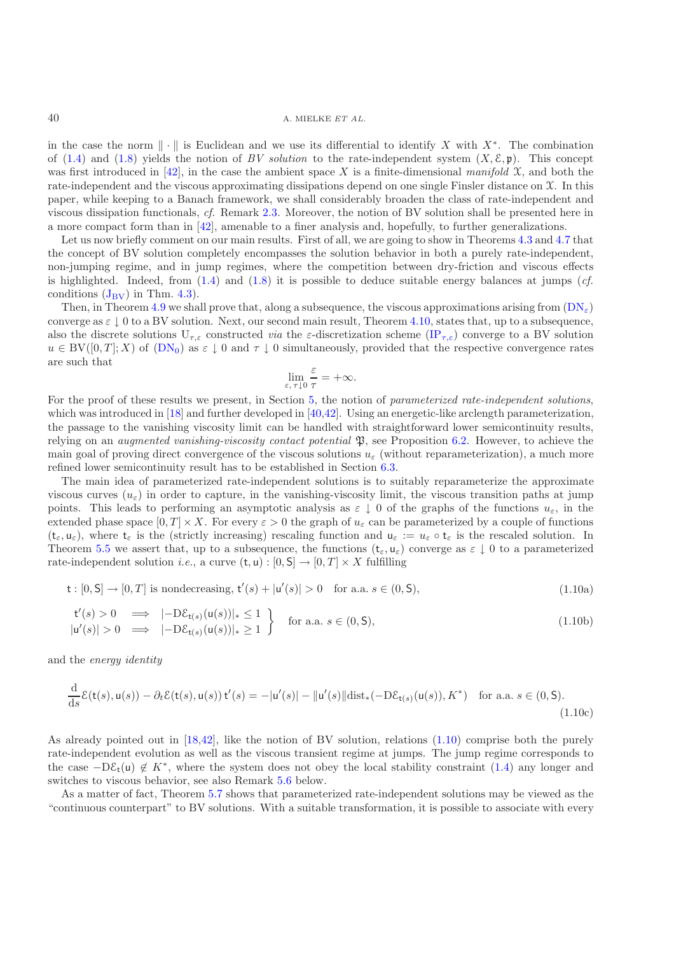in the case the norm  $\|\cdot\|$  is Euclidean and we use its differential to identify X with X<sup>∗</sup>. The combination of [\(1.4\)](#page-2-3) and [\(1.8\)](#page-3-1) yields the notion of *BV solution* to the rate-independent system  $(X, \mathcal{E}, \mathfrak{p})$ . This concept was first introduced in [\[42\]](#page-44-5), in the case the ambient space X is a finite-dimensional *manifold*  $\mathfrak{X}$ , and both the rate-independent and the viscous approximating dissipations depend on one single Finsler distance on X. In this paper, while keeping to a Banach framework, we shall considerably broaden the class of rate-independent and viscous dissipation functionals, *cf.* Remark [2.3.](#page-10-0) Moreover, the notion of BV solution shall be presented here in a more compact form than in [\[42](#page-44-5)], amenable to a finer analysis and, hopefully, to further generalizations.

Let us now briefly comment on our main results. First of all, we are going to show in Theorems [4.3](#page-10-0) and [4.7](#page-13-0) that the concept of BV solution completely encompasses the solution behavior in both a purely rate-independent, non-jumping regime, and in jump regimes, where the competition between dry-friction and viscous effects is highlighted. Indeed, from [\(1.4\)](#page-2-3) and [\(1.8\)](#page-3-1) it is possible to deduce suitable energy balances at jumps (*cf.* conditions  $(J_{\rm BV})$  $(J_{\rm BV})$  $(J_{\rm BV})$  in Thm. [4.3\)](#page-10-0).

Then, in Theorem [4.9](#page-17-0) we shall prove that, along a subsequence, the viscous approximations arising from  $(DN_{\epsilon})$  $(DN_{\epsilon})$ converge as  $\varepsilon \downarrow 0$  to a BV solution. Next, our second main result, Theorem [4.10,](#page-17-1) states that, up to a subsequence, also the discrete solutions  $U_{\tau,\varepsilon}$  constructed *via* the  $\varepsilon$ -discretization scheme [\(IP](#page-2-0)<sub> $\tau,\varepsilon$ </sub>) converge to a BV solution  $u \in BV([0,T]; X)$  of  $(DN_0)$  $(DN_0)$  as  $\varepsilon \downarrow 0$  and  $\tau \downarrow 0$  simultaneously, provided that the respective convergence rates are such that ε

<span id="page-4-0"></span>
$$
\lim_{\varepsilon, \tau \downarrow 0} \frac{\varepsilon}{\tau} = +\infty.
$$

For the proof of these results we present, in Section [5,](#page-23-0) the notion of *parameterized rate-independent solutions*, which was introduced in [\[18\]](#page-43-0) and further developed in [\[40](#page-44-4)[,42\]](#page-44-5). Using an energetic-like arclength parameterization, the passage to the vanishing viscosity limit can be handled with straightforward lower semicontinuity results, relying on an *augmented vanishing-viscosity contact potential* P, see Proposition [6.2.](#page-8-0) However, to achieve the main goal of proving direct convergence of the viscous solutions  $u_{\varepsilon}$  (without reparameterization), a much more refined lower semicontinuity result has to be established in Section [6.3.](#page-37-0)

The main idea of parameterized rate-independent solutions is to suitably reparameterize the approximate viscous curves  $(u_{\varepsilon})$  in order to capture, in the vanishing-viscosity limit, the viscous transition paths at jump points. This leads to performing an asymptotic analysis as  $\varepsilon \downarrow 0$  of the graphs of the functions  $u_{\varepsilon}$ , in the extended phase space  $[0, T] \times X$ . For every  $\varepsilon > 0$  the graph of  $u_{\varepsilon}$  can be parameterized by a couple of functions  $(t_{\varepsilon}, u_{\varepsilon})$ , where  $t_{\varepsilon}$  is the (strictly increasing) rescaling function and  $u_{\varepsilon} := u_{\varepsilon} \circ t_{\varepsilon}$  is the rescaled solution. In Theorem [5.5](#page-12-0) we assert that, up to a subsequence, the functions  $(t_{\varepsilon}, u_{\varepsilon})$  converge as  $\varepsilon \downarrow 0$  to a parameterized rate-independent solution *i.e.*, a curve  $(t, u) : [0, S] \rightarrow [0, T] \times X$  fulfilling

$$
\mathsf{t} : [0, \mathsf{S}] \to [0, T] \text{ is nondecreasing, } \mathsf{t}'(s) + |\mathsf{u}'(s)| > 0 \quad \text{for a.a. } s \in (0, \mathsf{S}), \tag{1.10a}
$$

$$
\begin{array}{rcl}\n\mathsf{t}'(s) > 0 & \implies & |-\mathcal{D}\mathcal{E}_{\mathsf{t}(s)}(\mathsf{u}(s))|_{*} \le 1 \\
|\mathsf{u}'(s)| > 0 & \implies & |-\mathcal{D}\mathcal{E}_{\mathsf{t}(s)}(\mathsf{u}(s))|_{*} \ge 1\n\end{array}\n\bigg\} \quad \text{for a.a. } s \in (0, \mathsf{S}),\n\tag{1.10b}
$$

and the *energy identity*

$$
\frac{\mathrm{d}}{\mathrm{d}s}\mathcal{E}(\mathsf{t}(s),\mathsf{u}(s)) - \partial_t \mathcal{E}(\mathsf{t}(s),\mathsf{u}(s))\,\mathsf{t}'(s) = -|\mathsf{u}'(s)| - \|\mathsf{u}'(s)\|\mathrm{dist}_*(-\mathrm{D}\mathcal{E}_{\mathsf{t}(s)}(\mathsf{u}(s)),K^*) \quad \text{for a.a. } s \in (0,\mathsf{S}).\tag{1.10c}
$$

As already pointed out in [\[18](#page-43-0)[,42\]](#page-44-5), like the notion of BV solution, relations [\(1.10\)](#page-4-0) comprise both the purely rate-independent evolution as well as the viscous transient regime at jumps. The jump regime corresponds to the case  $-D\mathcal{E}_{t}(u) \notin K^*$ , where the system does not obey the local stability constraint [\(1.4\)](#page-2-3) any longer and switches to viscous behavior, see also Remark [5.6](#page-12-1) below.

As a matter of fact, Theorem [5.7](#page-13-0) shows that parameterized rate-independent solutions may be viewed as the "continuous counterpart" to BV solutions. With a suitable transformation, it is possible to associate with every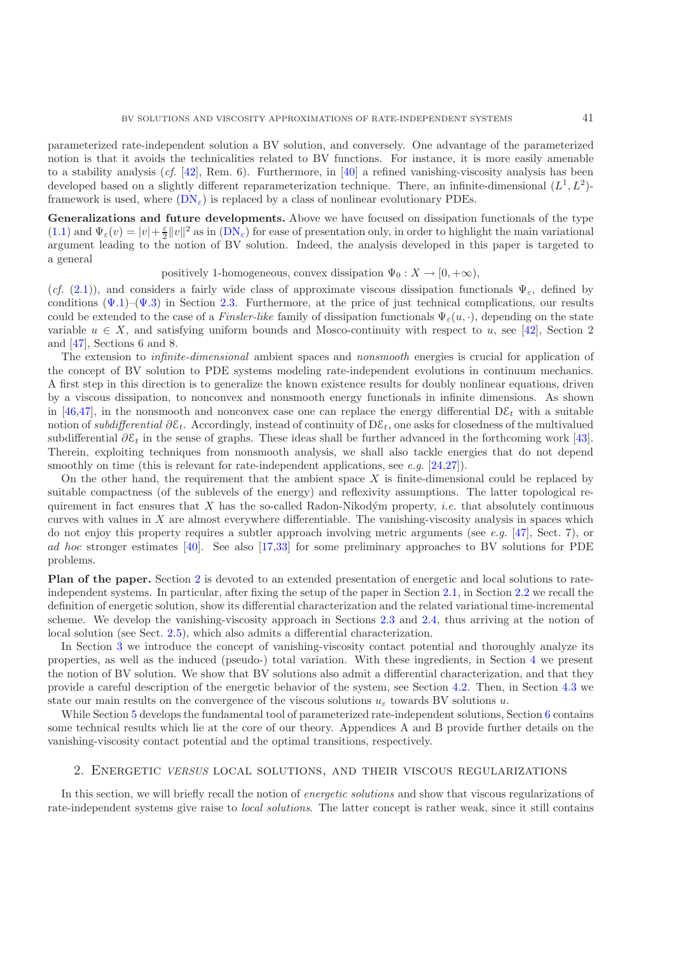parameterized rate-independent solution a BV solution, and conversely. One advantage of the parameterized notion is that it avoids the technicalities related to BV functions. For instance, it is more easily amenable to a stability analysis (*cf.* [\[42\]](#page-44-5), Rem. 6). Furthermore, in [\[40](#page-44-4)] a refined vanishing-viscosity analysis has been developed based on a slightly different reparameterization technique. There, an infinite-dimensional  $(L<sup>1</sup>, L<sup>2</sup>)$ framework is used, where  $(DN_{\epsilon})$  $(DN_{\epsilon})$  is replaced by a class of nonlinear evolutionary PDEs.

**Generalizations and future developments.** Above we have focused on dissipation functionals of the type [\(1.1\)](#page-1-1) and  $\Psi_{\varepsilon}(v) = |v| + \frac{\varepsilon}{2} ||v||^2$  as in  $(DN_{\varepsilon})$  $(DN_{\varepsilon})$  for ease of presentation only, in order to highlight the main variational argument leading to the notion of BV solution. Indeed, the analysis developed in this paper is targeted to a general

positively 1-homogeneous, convex dissipation  $\Psi_0: X \to [0, +\infty)$ ,

(*cf.* [\(2.1\)](#page-6-0)), and considers a fairly wide class of approximate viscous dissipation functionals  $\Psi_{\varepsilon}$ , defined by conditions  $(\Psi.1)-(\Psi.3)$  in Section [2.3.](#page-9-0) Furthermore, at the price of just technical complications, our results could be extended to the case of a *Finsler-like* family of dissipation functionals  $\Psi_{\varepsilon}(u, \cdot)$ , depending on the state variable  $u \in X$ , and satisfying uniform bounds and Mosco-continuity with respect to u, see [\[42\]](#page-44-5), Section 2 and [\[47](#page-44-25)], Sections 6 and 8.

The extension to *infinite-dimensional* ambient spaces and *nonsmooth* energies is crucial for application of the concept of BV solution to PDE systems modeling rate-independent evolutions in continuum mechanics. A first step in this direction is to generalize the known existence results for doubly nonlinear equations, driven by a viscous dissipation, to nonconvex and nonsmooth energy functionals in infinite dimensions. As shown in [\[46](#page-44-26)[,47\]](#page-44-25), in the nonsmooth and nonconvex case one can replace the energy differential  $D\mathcal{E}_t$  with a suitable notion of *subdifferential* ∂ε<sub>t</sub>. Accordingly, instead of continuity of Dε<sub>t</sub>, one asks for closedness of the multivalued subdifferential  $\partial \mathcal{E}_t$  in the sense of graphs. These ideas shall be further advanced in the forthcoming work [\[43\]](#page-44-27). Therein, exploiting techniques from nonsmooth analysis, we shall also tackle energies that do not depend smoothly on time (this is relevant for rate-independent applications, see *e.g.* [\[24](#page-44-23)[,27\]](#page-44-22)).

On the other hand, the requirement that the ambient space  $X$  is finite-dimensional could be replaced by suitable compactness (of the sublevels of the energy) and reflexivity assumptions. The latter topological requirement in fact ensures that X has the so-called Radon-Nikodým property, *i.e.* that absolutely continuous curves with values in X are almost everywhere differentiable. The vanishing-viscosity analysis in spaces which do not enjoy this property requires a subtler approach involving metric arguments (see *e.g.* [\[47\]](#page-44-25), Sect. 7), or ad hoc stronger estimates [\[40\]](#page-44-4). See also [\[17](#page-43-13)[,33\]](#page-44-28) for some preliminary approaches to BV solutions for PDE problems.

**Plan of the paper.** Section [2](#page-5-0) is devoted to an extended presentation of energetic and local solutions to rateindependent systems. In particular, after fixing the setup of the paper in Section [2.1,](#page-6-1) in Section [2.2](#page-7-1) we recall the definition of energetic solution, show its differential characterization and the related variational time-incremental scheme. We develop the vanishing-viscosity approach in Sections [2.3](#page-9-0) and [2.4,](#page-11-0) thus arriving at the notion of local solution (see Sect. [2.5\)](#page-12-2), which also admits a differential characterization.

In Section [3](#page-14-1) we introduce the concept of vanishing-viscosity contact potential and thoroughly analyze its properties, as well as the induced (pseudo-) total variation. With these ingredients, in Section [4](#page-18-0) we present the notion of BV solution. We show that BV solutions also admit a differential characterization, and that they provide a careful description of the energetic behavior of the system, see Section [4.2.](#page-19-1) Then, in Section [4.3](#page-21-0) we state our main results on the convergence of the viscous solutions  $u_{\varepsilon}$  towards BV solutions u.

While Section [5](#page-23-0) develops the fundamental tool of parameterized rate-independent solutions, Section [6](#page-29-0) contains some technical results which lie at the core of our theory. Appendices A and B provide further details on the vanishing-viscosity contact potential and the optimal transitions, respectively.

#### 2. Energetic *VERSUS* local solutions, and their viscous regularizations

<span id="page-5-0"></span>In this section, we will briefly recall the notion of *energetic solutions* and show that viscous regularizations of rate-independent systems give raise to *local solutions*. The latter concept is rather weak, since it still contains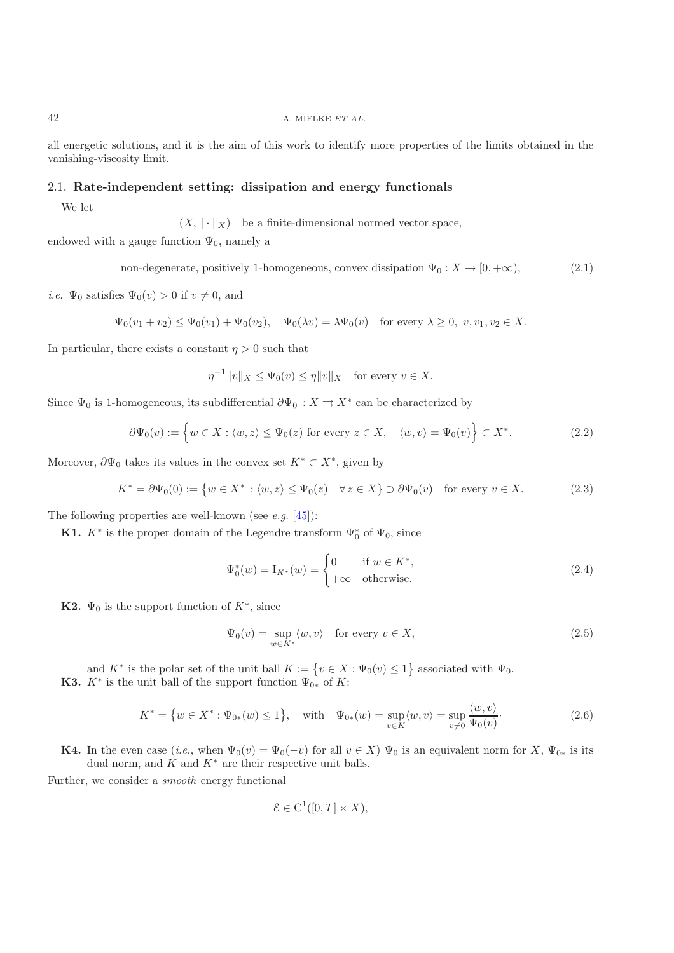## 42 A. MIELKE *ET AL.*

all energetic solutions, and it is the aim of this work to identify more properties of the limits obtained in the vanishing-viscosity limit.

## <span id="page-6-1"></span>2.1. **Rate-independent setting: dissipation and energy functionals**

We let

 $(X, \|\cdot\|_X)$  be a finite-dimensional normed vector space,

<span id="page-6-0"></span>endowed with a gauge function  $\Psi_0$ , namely a

non-degenerate, positively 1-homogeneous, convex dissipation  $\Psi_0: X \to [0, +\infty)$ , (2.1)

*i.e.*  $\Psi_0$  satisfies  $\Psi_0(v) > 0$  if  $v \neq 0$ , and

$$
\Psi_0(v_1+v_2)\leq \Psi_0(v_1)+\Psi_0(v_2),\quad \Psi_0(\lambda v)=\lambda\Psi_0(v)\quad \text{for every }\lambda\geq 0,\,\,v,v_1,v_2\in X.
$$

In particular, there exists a constant  $\eta > 0$  such that

$$
\eta^{-1} ||v||_X \le \Psi_0(v) \le \eta ||v||_X \quad \text{for every } v \in X.
$$

<span id="page-6-4"></span>Since  $\Psi_0$  is 1-homogeneous, its subdifferential  $\partial \Psi_0 : X \rightrightarrows X^*$  can be characterized by

$$
\partial \Psi_0(v) := \left\{ w \in X : \langle w, z \rangle \le \Psi_0(z) \text{ for every } z \in X, \quad \langle w, v \rangle = \Psi_0(v) \right\} \subset X^*.
$$
 (2.2)

<span id="page-6-2"></span>Moreover,  $\partial \Psi_0$  takes its values in the convex set  $K^* \subset X^*$ , given by

$$
K^* = \partial \Psi_0(0) := \{ w \in X^* : \langle w, z \rangle \le \Psi_0(z) \quad \forall z \in X \} \supset \partial \Psi_0(v) \quad \text{for every } v \in X. \tag{2.3}
$$

The following properties are well-known (see *e.g.* [\[45](#page-44-29)]):

**K1.**  $K^*$  is the proper domain of the Legendre transform  $\Psi_0^*$  of  $\Psi_0$ , since

$$
\Psi_0^*(w) = I_{K^*}(w) = \begin{cases} 0 & \text{if } w \in K^*, \\ +\infty & \text{otherwise.} \end{cases}
$$
\n(2.4)

**K2.**  $\Psi_0$  is the support function of  $K^*$ , since

$$
\Psi_0(v) = \sup_{w \in K^*} \langle w, v \rangle \quad \text{for every } v \in X,
$$
\n(2.5)

and  $K^*$  is the polar set of the unit ball  $K := \{v \in X : \Psi_0(v) \leq 1\}$  associated with  $\Psi_0$ . **K3.**  $K^*$  is the unit ball of the support function  $\Psi_{0*}$  of K:

<span id="page-6-5"></span>
$$
K^* = \{ w \in X^* : \Psi_{0*}(w) \le 1 \}, \quad \text{with} \quad \Psi_{0*}(w) = \sup_{v \in K} \langle w, v \rangle = \sup_{v \ne 0} \frac{\langle w, v \rangle}{\Psi_0(v)}.
$$
 (2.6)

<span id="page-6-3"></span>**K4.** In the even case (*i.e.*, when  $\Psi_0(v) = \Psi_0(-v)$  for all  $v \in X$ )  $\Psi_0$  is an equivalent norm for X,  $\Psi_{0*}$  is its dual norm, and  $K$  and  $K^*$  are their respective unit balls.

Further, we consider a *smooth* energy functional

$$
\mathcal{E} \in C^1([0,T] \times X),
$$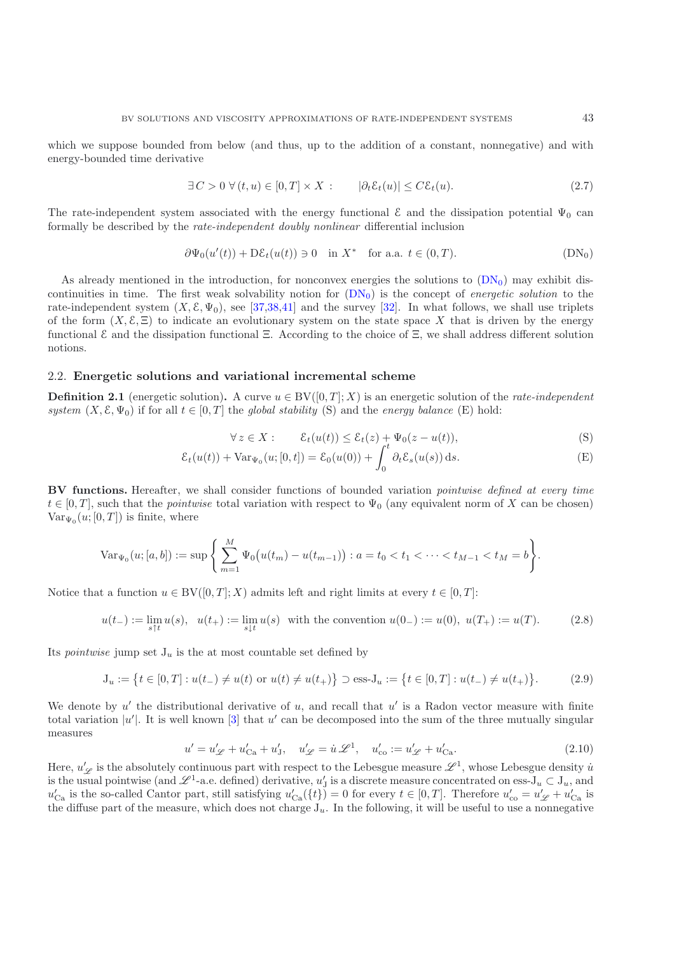which we suppose bounded from below (and thus, up to the addition of a constant, nonnegative) and with energy-bounded time derivative

$$
\exists C > 0 \,\forall (t, u) \in [0, T] \times X : \qquad |\partial_t \mathcal{E}_t(u)| \leq C \mathcal{E}_t(u). \tag{2.7}
$$

<span id="page-7-6"></span>The rate-independent system associated with the energy functional  $\mathcal E$  and the dissipation potential  $\Psi_0$  can formally be described by the *rate-independent doubly nonlinear* differential inclusion

<span id="page-7-0"></span>
$$
\partial \Psi_0(u'(t)) + D\mathcal{E}_t(u(t)) \ni 0 \quad \text{in } X^* \quad \text{for a.a. } t \in (0, T). \tag{DN_0}
$$

<span id="page-7-5"></span>As already mentioned in the introduction, for nonconvex energies the solutions to  $(DN_0)$  $(DN_0)$  may exhibit discontinuities in time. The first weak solvability notion for [\(DN](#page-7-0)0) is the concept of *energetic solution* to the rate-independent system  $(X, \mathcal{E}, \Psi_0)$ , see [\[37](#page-44-6)[,38](#page-44-7)[,41\]](#page-44-8) and the survey [\[32](#page-44-0)]. In what follows, we shall use triplets of the form  $(X, \mathcal{E}, \Xi)$  to indicate an evolutionary system on the state space X that is driven by the energy functional E and the dissipation functional Ξ. According to the choice of Ξ, we shall address different solution notions.

## <span id="page-7-8"></span><span id="page-7-1"></span>2.2. **Energetic solutions and variational incremental scheme**

**Definition 2.1** (energetic solution). A curve  $u \in BV([0,T]; X)$  is an energetic solution of the *rate-independent system*  $(X, \mathcal{E}, \Psi_0)$  if for all  $t \in [0, T]$  the *global stability* (S) and the *energy balance* (E) hold:

<span id="page-7-3"></span><span id="page-7-2"></span>
$$
\forall z \in X: \qquad \mathcal{E}_t(u(t)) \le \mathcal{E}_t(z) + \Psi_0(z - u(t)), \tag{S}
$$

$$
\mathcal{E}_t(u(t)) + \text{Var}_{\Psi_0}(u;[0,t]) = \mathcal{E}_0(u(0)) + \int_0^t \partial_t \mathcal{E}_s(u(s)) ds.
$$
 (E)

**BV functions.** Hereafter, we shall consider functions of bounded variation *pointwise defined at every time*  $t \in [0, T]$ , such that the *pointwise* total variation with respect to  $\Psi_0$  (any equivalent norm of X can be chosen)  $Var_{\Psi_0}(u;[0,T])$  is finite, where

$$
\text{Var}_{\Psi_0}(u;[a,b]) := \sup \Bigg\{ \sum_{m=1}^M \Psi_0\big(u(t_m) - u(t_{m-1})\big) : a = t_0 < t_1 < \cdots < t_{M-1} < t_M = b \Bigg\}.
$$

Notice that a function  $u \in BV([0,T]; X)$  admits left and right limits at every  $t \in [0,T]$ :

$$
u(t_{-}) := \lim_{s \uparrow t} u(s), \ \ u(t_{+}) := \lim_{s \downarrow t} u(s) \ \text{ with the convention } u(0_{-}) := u(0), \ u(T_{+}) := u(T). \tag{2.8}
$$

Its *pointwise* jump set  $J_u$  is the at most countable set defined by

$$
J_u := \{ t \in [0, T] : u(t_-) \neq u(t) \text{ or } u(t) \neq u(t_+) \} \supset \text{ess-J}_u := \{ t \in [0, T] : u(t_-) \neq u(t_+) \}. \tag{2.9}
$$

<span id="page-7-7"></span>We denote by  $u'$  the distributional derivative of  $u$ , and recall that  $u'$  is a Radon vector measure with finite total variation  $|u'|$ . It is well known [\[3\]](#page-43-15) that u' can be decomposed into the sum of the three mutually singular measures

$$
u' = u'_{\mathscr{L}} + u'_{\text{Ca}} + u'_{\text{J}}, \quad u'_{\mathscr{L}} = \dot{u} \mathscr{L}^1, \quad u'_{\text{co}} := u'_{\mathscr{L}} + u'_{\text{Ca}}.
$$
 (2.10)

<span id="page-7-4"></span>Here,  $u'_{\mathscr{L}}$  is the absolutely continuous part with respect to the Lebesgue measure  $\mathscr{L}^1$ , whose Lebesgue density  $\dot{u}$ is the usual pointwise (and  $\mathcal{L}^1$ -a.e. defined) derivative,  $u'_J$  is a discrete measure concentrated on ess- $J_u \subset J_u$ , and  $u'_{Ca}$  is the so-called Cantor part, still satisfying  $u'_{Ca}(\lbrace t \rbrace) = 0$  for every  $t \in [0, T]$ . the diffuse part of the measure, which does not charge  $J_u$ . In the following, it will be useful to use a nonnegative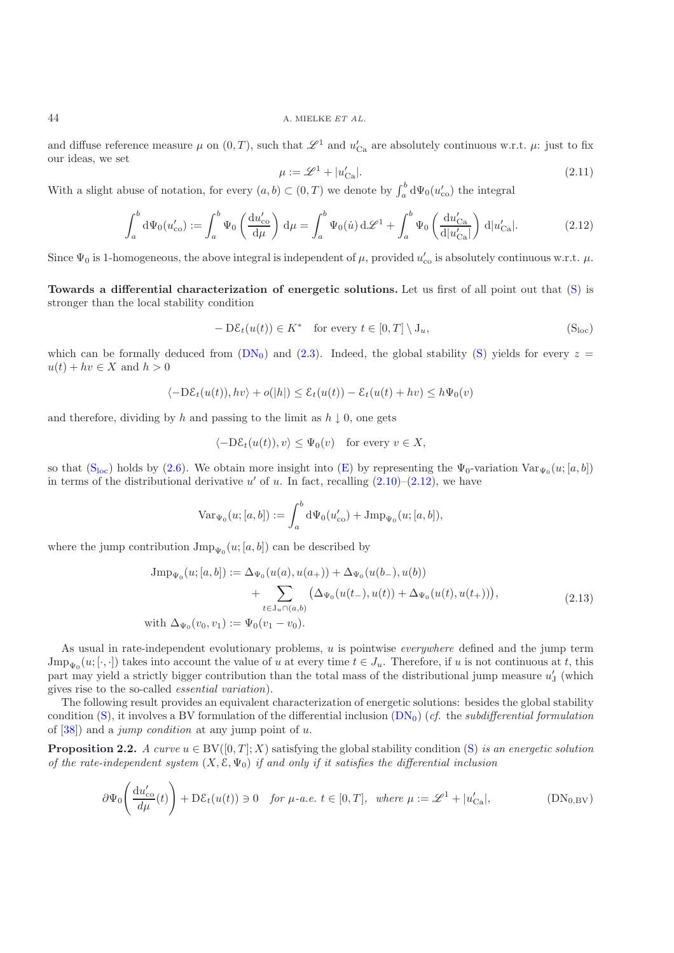## 44 A. MIELKE *ET AL.*

and diffuse reference measure  $\mu$  on  $(0,T)$ , such that  $\mathscr{L}^1$  and  $u'_{\text{Ca}}$  are absolutely continuous w.r.t.  $\mu$ : just to fix our ideas, we set

$$
\mu := \mathcal{L}^1 + |u'_{\text{Ca}}|.\tag{2.11}
$$

With a slight abuse of notation, for every  $(a, b) \subset (0, T)$  we denote by  $\int_a^b d\Psi_0(u'_{\text{co}})$  the integral

$$
\int_a^b \mathrm{d}\Psi_0(u'_{\text{co}}) := \int_a^b \Psi_0\left(\frac{\mathrm{d}u'_{\text{co}}}{\mathrm{d}\mu}\right) \mathrm{d}\mu = \int_a^b \Psi_0(\dot{u}) \mathrm{d}\mathscr{L}^1 + \int_a^b \Psi_0\left(\frac{\mathrm{d}u'_{\text{Ca}}}{\mathrm{d}|u'_{\text{Ca}}|}\right) \mathrm{d}|u'_{\text{Ca}}|.
$$
 (2.12)

<span id="page-8-2"></span>Since  $\Psi_0$  is 1-homogeneous, the above integral is independent of  $\mu$ , provided  $u'_{\rm co}$  is absolutely continuous w.r.t.  $\mu$ .

**Towards a differential characterization of energetic solutions.** Let us first of all point out that [\(S\)](#page-7-2) is stronger than the local stability condition

$$
- D\mathcal{E}_t(u(t)) \in K^* \quad \text{for every } t \in [0, T] \setminus J_u,
$$
 (S<sub>loc</sub>)

which can be formally deduced from  $(DN_0)$  $(DN_0)$  and  $(2.3)$ . Indeed, the global stability [\(S\)](#page-7-2) yields for every  $z =$  $u(t) + hv \in X$  and  $h > 0$ 

<span id="page-8-1"></span>
$$
\langle -\mathrm{D}\mathcal{E}_t(u(t)), hv\rangle + o(|h|) \leq \mathcal{E}_t(u(t)) - \mathcal{E}_t(u(t) + hv) \leq h \Psi_0(v)
$$

and therefore, dividing by h and passing to the limit as  $h \downarrow 0$ , one gets

$$
\langle -\mathrm{D}\mathcal{E}_t(u(t)), v \rangle \leq \Psi_0(v) \quad \text{for every } v \in X,
$$

so that  $(S<sub>loc</sub>)$  $(S<sub>loc</sub>)$  holds by [\(2.6\)](#page-6-3). We obtain more insight into [\(E\)](#page-7-3) by representing the  $\Psi_0$ -variation  $Var_{\Psi_0}(u; [a, b])$ in terms of the distributional derivative u' of u. In fact, recalling  $(2.10)$ – $(2.12)$ , we have

$$
\text{Var}_{\Psi_0}(u;[a,b]):=\int_a^b \mathrm{d}\Psi_0(u'_\text{co})+\text{Jmp}_{\Psi_0}(u;[a,b]),
$$

where the jump contribution  $\text{Jmp}_{\Psi_0}(u; [a, b])$  can be described by

$$
\begin{aligned}\n\text{Jmp}_{\Psi_0}(u; [a, b]) &:= \Delta_{\Psi_0}(u(a), u(a_+)) + \Delta_{\Psi_0}(u(b_-), u(b)) \\
&\quad + \sum_{t \in J_u \cap (a, b)} \left( \Delta_{\Psi_0}(u(t_-), u(t)) + \Delta_{\Psi_0}(u(t), u(t_+)) \right), \\
\text{with } \Delta_{\Psi_0}(v_0, v_1) &:= \Psi_0(v_1 - v_0).\n\end{aligned} \tag{2.13}
$$

As usual in rate-independent evolutionary problems, u is pointwise *everywhere* defined and the jump term  $\text{Jmp}_{\Psi_0}(u; [\cdot, \cdot])$  takes into account the value of u at every time  $t \in J_u$ . Therefore, if u is not continuous at t, this part may yield a strictly bigger contribution than the total mass of the distributional jump measure  $u'_{\rm J}$  (which gives rise to the so-called *essential variation*).

The following result provides an equivalent characterization of energetic solutions: besides the global stability condition [\(S\)](#page-7-2), it involves a BV formulation of the differential inclusion [\(DN](#page-7-0)0) (*cf.* the *subdifferential formulation* of [\[38](#page-44-7)]) and a *jump condition* at any jump point of u.

<span id="page-8-4"></span><span id="page-8-0"></span>**Proposition 2.2.** *A curve*  $u \in BV([0,T]; X)$  satisfying the global stability condition [\(S\)](#page-7-2) *is an energetic solution of the rate-independent system* (X, E, Ψ0) *if and only if it satisfies the differential inclusion*

<span id="page-8-3"></span>
$$
\partial \Psi_0 \left( \frac{\mathrm{d}u'_{\mathrm{co}}}{d\mu}(t) \right) + \mathrm{D}\mathcal{E}_t(u(t)) \ni 0 \quad \text{for } \mu\text{-}a.e. \ t \in [0, T], \ \text{where } \mu := \mathscr{L}^1 + |u'_{\mathrm{Ca}}|, \tag{DN_{0,\mathrm{BV}}}
$$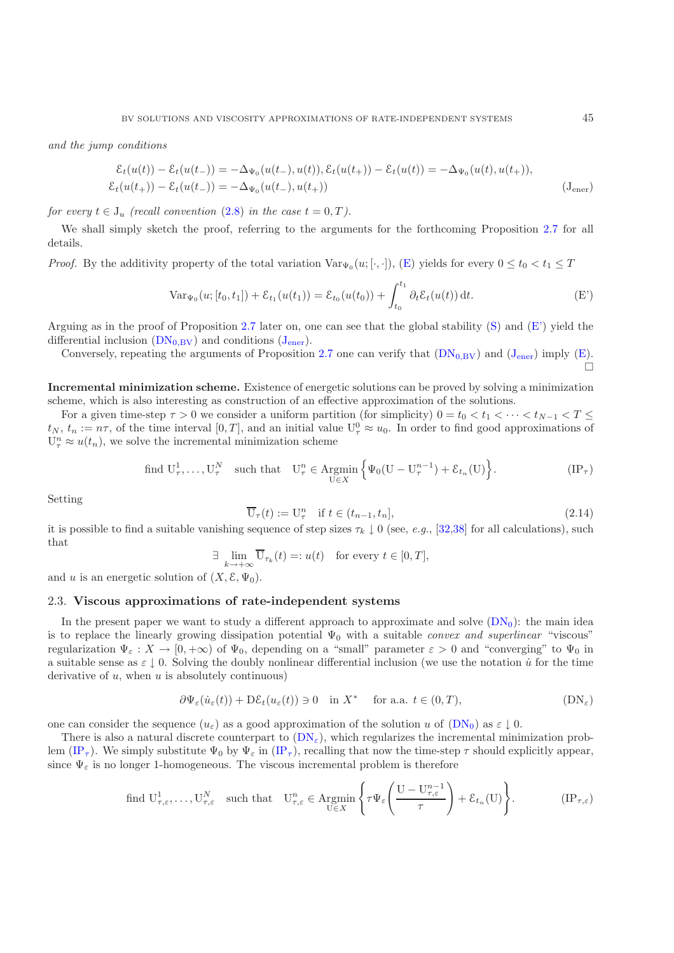*and the jump conditions*

$$
\mathcal{E}_t(u(t)) - \mathcal{E}_t(u(t_-)) = -\Delta_{\Psi_0}(u(t_-), u(t)), \mathcal{E}_t(u(t_+)) - \mathcal{E}_t(u(t)) = -\Delta_{\Psi_0}(u(t), u(t_+)),
$$
  

$$
\mathcal{E}_t(u(t_+)) - \mathcal{E}_t(u(t_-)) = -\Delta_{\Psi_0}(u(t_-), u(t_+))
$$
 (J<sub>ener</sub>)

*for every*  $t \in J_u$  *(recall convention [\(2.8\)](#page-7-5) in the case*  $t = 0, T$ *).* 

We shall simply sketch the proof, referring to the arguments for the forthcoming Proposition [2.7](#page-13-0) for all details.

*Proof.* By the additivity property of the total variation  $\text{Var}_{\Psi_0}(u; [\cdot, \cdot])$ , [\(E\)](#page-7-3) yields for every  $0 \le t_0 < t_1 \le T$ 

<span id="page-9-2"></span><span id="page-9-1"></span>
$$
\text{Var}_{\Psi_0}(u; [t_0, t_1]) + \mathcal{E}_{t_1}(u(t_1)) = \mathcal{E}_{t_0}(u(t_0)) + \int_{t_0}^{t_1} \partial_t \mathcal{E}_t(u(t)) dt.
$$
 (E')

Arguing as in the proof of Proposition [2.7](#page-13-0) later on, one can see that the global stability  $(S)$  and  $(E')$  yield the differential inclusion  $(DN_{0,BV})$  $(DN_{0,BV})$  and conditions  $(J_{\text{ener}})$  $(J_{\text{ener}})$  $(J_{\text{ener}})$ .

Conversely, repeating the arguments of Proposition [2.7](#page-13-0) one can verify that  $(DN_{0,BV})$  $(DN_{0,BV})$  and  $(J_{\text{ener}})$  $(J_{\text{ener}})$  $(J_{\text{ener}})$  imply  $(E)$ .  $\Box$ 

**Incremental minimization scheme.** Existence of energetic solutions can be proved by solving a minimization scheme, which is also interesting as construction of an effective approximation of the solutions.

For a given time-step  $\tau > 0$  we consider a uniform partition (for simplicity)  $0 = t_0 < t_1 < \cdots < t_{N-1} < T \le$  $t_N, t_n := n\tau$ , of the time interval  $[0,T]$ , and an initial value  $U^0_\tau \approx u_0$ . In order to find good approximations of  $U_{\tau}^{n} \approx u(t_{n}),$  we solve the incremental minimization scheme

find 
$$
U^1_{\tau}, \ldots, U^N_{\tau}
$$
 such that  $U^n_{\tau} \in \operatorname{Argmin}_{U \in X} \left\{ \Psi_0(U - U^{n-1}_{\tau}) + \mathcal{E}_{t_n}(U) \right\}.$  (IP<sub>\tau</sub>)

<span id="page-9-4"></span>Setting

$$
\overline{\mathbf{U}}_{\tau}(t) := \mathbf{U}_{\tau}^{n} \quad \text{if } t \in (t_{n-1}, t_n], \tag{2.14}
$$

it is possible to find a suitable vanishing sequence of step sizes  $\tau_k \downarrow 0$  (see, *e.g.*, [\[32](#page-44-0)[,38](#page-44-7)] for all calculations), such that

$$
\exists \lim_{k \to +\infty} \overline{\mathbf{U}}_{\tau_k}(t) =: u(t) \text{ for every } t \in [0, T],
$$

<span id="page-9-0"></span>and u is an energetic solution of  $(X, \mathcal{E}, \Psi_0)$ .

## 2.3. **Viscous approximations of rate-independent systems**

In the present paper we want to study a different approach to approximate and solve  $(DN_0)$  $(DN_0)$ : the main idea is to replace the linearly growing dissipation potential  $\Psi_0$  with a suitable *convex and superlinear* "viscous" regularization  $\Psi_{\varepsilon}: X \to [0, +\infty)$  of  $\Psi_0$ , depending on a "small" parameter  $\varepsilon > 0$  and "converging" to  $\Psi_0$  in a suitable sense as  $\varepsilon \downarrow 0$ . Solving the doubly nonlinear differential inclusion (we use the notation  $\dot{u}$  for the time derivative of  $u$ , when  $u$  is absolutely continuous)

<span id="page-9-3"></span>
$$
\partial \Psi_{\varepsilon}(\dot{u}_{\varepsilon}(t)) + D\mathcal{E}_{t}(u_{\varepsilon}(t)) \ni 0 \quad \text{in } X^* \quad \text{ for a.a. } t \in (0,T), \tag{DN_{\varepsilon}}
$$

<span id="page-9-5"></span>one can consider the sequence  $(u_{\varepsilon})$  as a good approximation of the solution u of  $(DN_0)$  $(DN_0)$  as  $\varepsilon \downarrow 0$ .

<span id="page-9-6"></span>There is also a natural discrete counterpart to  $(DN_{\epsilon})$  $(DN_{\epsilon})$ , which regularizes the incremental minimization prob-lem [\(IP](#page-9-4)<sub>τ</sub>). We simply substitute  $\Psi_0$  by  $\Psi_{\varepsilon}$  in (IP<sub>τ</sub>), recalling that now the time-step  $\tau$  should explicitly appear, since  $\Psi_{\varepsilon}$  is no longer 1-homogeneous. The viscous incremental problem is therefore

find 
$$
U_{\tau,\varepsilon}^1, \ldots, U_{\tau,\varepsilon}^N
$$
 such that  $U_{\tau,\varepsilon}^n \in \operatorname{Argmin}_{U \in X} \left\{ \tau \Psi_{\varepsilon} \left( \frac{U - U_{\tau,\varepsilon}^{n-1}}{\tau} \right) + \mathcal{E}_{t_n}(U) \right\}.$  (IP <sub>$\tau$</sub> , $\varepsilon$ )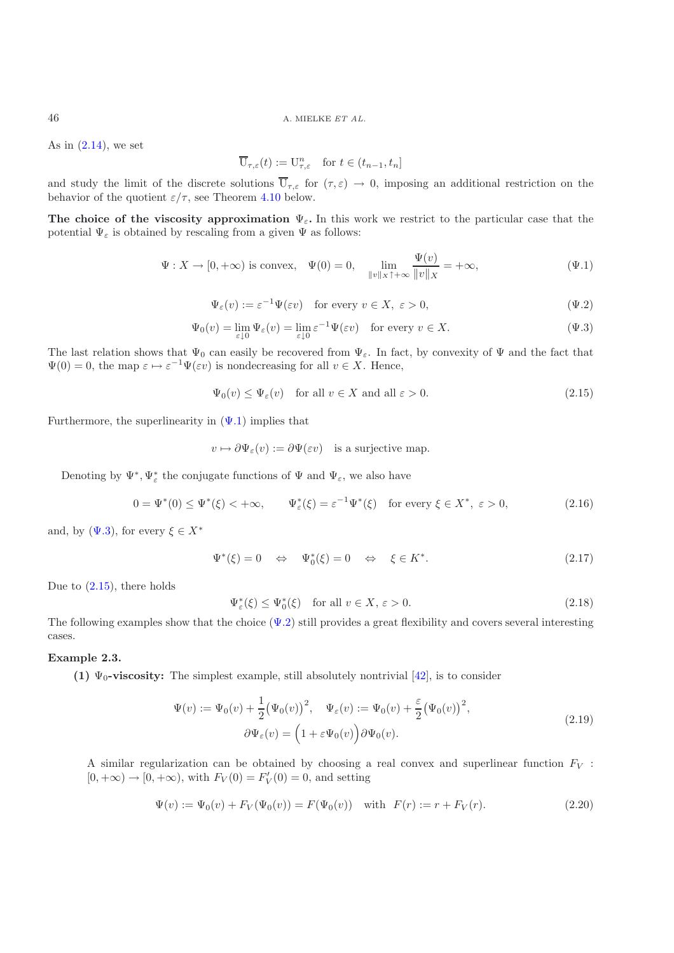As in  $(2.14)$ , we set

<span id="page-10-1"></span>
$$
\overline{\mathbf{U}}_{\tau,\varepsilon}(t) := \mathbf{U}_{\tau,\varepsilon}^n \quad \text{for } t \in (t_{n-1}, t_n]
$$

and study the limit of the discrete solutions  $\overline{U}_{\tau,\varepsilon}$  for  $(\tau,\varepsilon) \to 0$ , imposing an additional restriction on the behavior of the quotient  $\varepsilon/\tau$ , see Theorem [4.10](#page-17-1) below.

**The choice of the viscosity approximation**  $\Psi_{\varepsilon}$ **. In this work we restrict to the particular case that the** potential  $\Psi_{\varepsilon}$  is obtained by rescaling from a given  $\Psi$  as follows:

$$
\Psi: X \to [0, +\infty) \text{ is convex}, \quad \Psi(0) = 0, \quad \lim_{\|v\|_X \uparrow +\infty} \frac{\Psi(v)}{\|v\|_X} = +\infty,
$$
\n
$$
(\Psi.1)
$$

<span id="page-10-3"></span><span id="page-10-2"></span>
$$
\Psi_{\varepsilon}(v) := \varepsilon^{-1} \Psi(\varepsilon v) \quad \text{for every } v \in X, \ \varepsilon > 0,
$$
\n
$$
(\Psi.2)
$$

$$
\Psi_0(v) = \lim_{\varepsilon \downarrow 0} \Psi_\varepsilon(v) = \lim_{\varepsilon \downarrow 0} \varepsilon^{-1} \Psi(\varepsilon v) \quad \text{for every } v \in X. \tag{4.3}
$$

The last relation shows that  $\Psi_0$  can easily be recovered from  $\Psi_{\varepsilon}$ . In fact, by convexity of  $\Psi$  and the fact that  $\Psi(0) = 0$ , the map  $\varepsilon \mapsto \varepsilon^{-1} \Psi(\varepsilon v)$  is nondecreasing for all  $v \in X$ . Hence,

$$
\Psi_0(v) \le \Psi_{\varepsilon}(v) \quad \text{for all } v \in X \text{ and all } \varepsilon > 0. \tag{2.15}
$$

Furthermore, the superlinearity in  $(\Psi.1)$  implies that

$$
v \mapsto \partial \Psi_{\varepsilon}(v) := \partial \Psi(\varepsilon v)
$$
 is a surjective map.

Denoting by  $\Psi^*, \Psi^*_\varepsilon$  the conjugate functions of  $\Psi$  and  $\Psi_\varepsilon$ , we also have

<span id="page-10-6"></span>
$$
0 = \Psi^*(0) \le \Psi^*(\xi) < +\infty, \qquad \Psi^*_\varepsilon(\xi) = \varepsilon^{-1} \Psi^*(\xi) \quad \text{for every } \xi \in X^*, \ \varepsilon > 0,\tag{2.16}
$$

<span id="page-10-4"></span>and, by  $(\Psi.3)$ , for every  $\xi \in X^*$ 

<span id="page-10-7"></span>
$$
\Psi^*(\xi) = 0 \quad \Leftrightarrow \quad \Psi_0^*(\xi) = 0 \quad \Leftrightarrow \quad \xi \in K^*.
$$
\n(2.17)

Due to  $(2.15)$ , there holds

$$
\Psi_{\varepsilon}^{*}(\xi) \le \Psi_{0}^{*}(\xi) \quad \text{for all } v \in X, \, \varepsilon > 0. \tag{2.18}
$$

<span id="page-10-0"></span>The following examples show that the choice  $(\Psi.2)$  still provides a great flexibility and covers several interesting cases.

#### **Example 2.3.**

**(1)**  $\Psi_0$ -viscosity: The simplest example, still absolutely nontrivial [\[42\]](#page-44-5), is to consider

$$
\Psi(v) := \Psi_0(v) + \frac{1}{2} (\Psi_0(v))^2, \quad \Psi_\varepsilon(v) := \Psi_0(v) + \frac{\varepsilon}{2} (\Psi_0(v))^2,
$$
  

$$
\partial \Psi_\varepsilon(v) = (1 + \varepsilon \Psi_0(v)) \partial \Psi_0(v).
$$
\n(2.19)

<span id="page-10-5"></span>A similar regularization can be obtained by choosing a real convex and superlinear function  $F_V$ :  $[0, +\infty) \to [0, +\infty)$ , with  $F_V(0) = F'_V(0) = 0$ , and setting

$$
\Psi(v) := \Psi_0(v) + F_V(\Psi_0(v)) = F(\Psi_0(v)) \quad \text{with} \quad F(r) := r + F_V(r). \tag{2.20}
$$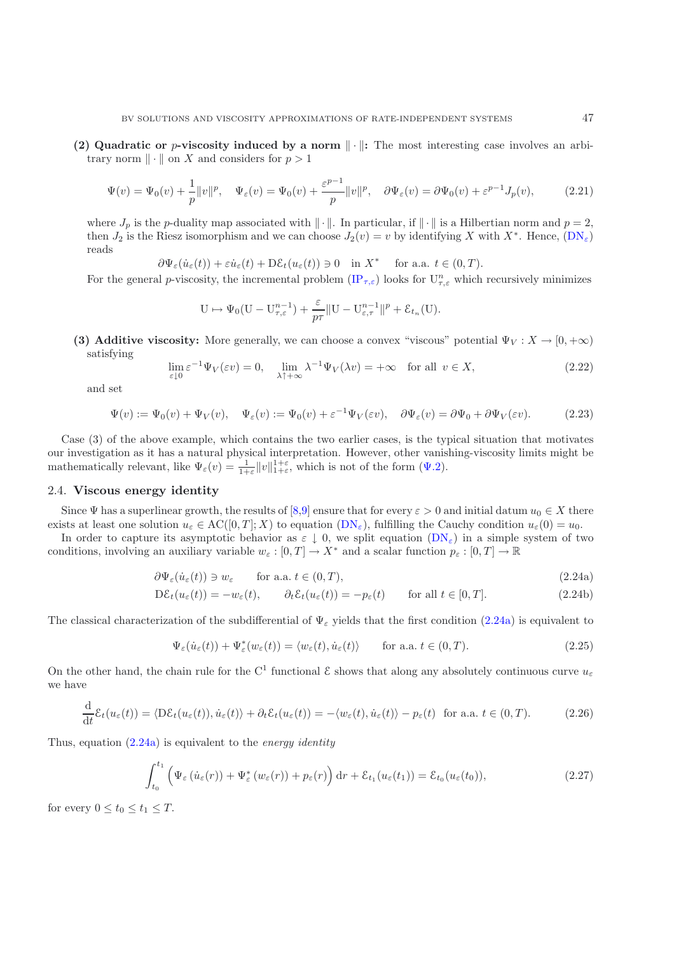**(2) Quadratic or** *p***-viscosity induced by a norm**  $\|\cdot\|$ **:** The most interesting case involves an arbitrary norm  $\|\cdot\|$  on X and considers for  $p > 1$ 

$$
\Psi(v) = \Psi_0(v) + \frac{1}{p} ||v||^p, \quad \Psi_\varepsilon(v) = \Psi_0(v) + \frac{\varepsilon^{p-1}}{p} ||v||^p, \quad \partial \Psi_\varepsilon(v) = \partial \Psi_0(v) + \varepsilon^{p-1} J_p(v), \tag{2.21}
$$

where  $J_p$  is the p-duality map associated with  $\|\cdot\|$ . In particular, if  $\|\cdot\|$  is a Hilbertian norm and  $p=2$ , then  $J_2$  is the Riesz isomorphism and we can choose  $J_2(v) = v$  by identifying X with  $X^*$ . Hence,  $(DN_{\varepsilon})$  $(DN_{\varepsilon})$ reads

$$
\partial \Psi_{\varepsilon}(\dot{u}_{\varepsilon}(t)) + \varepsilon \dot{u}_{\varepsilon}(t) + \mathcal{D}\mathcal{E}_{t}(u_{\varepsilon}(t)) \ni 0 \quad \text{in } X^* \quad \text{ for a.a. } t \in (0,T).
$$

For the general p-viscosity, the incremental problem  $(\text{IP}_{\tau,\varepsilon})$  looks for  $U_{\tau,\varepsilon}^n$  which recursively minimizes

$$
U \mapsto \Psi_0(U - U_{\tau,\varepsilon}^{n-1}) + \frac{\varepsilon}{p\tau} ||U - U_{\varepsilon,\tau}^{n-1}||^p + \mathcal{E}_{t_n}(U).
$$

**(3) Additive viscosity:** More generally, we can choose a convex "viscous" potential  $\Psi_V : X \to [0, +\infty)$ satisfying

$$
\lim_{\varepsilon \downarrow 0} \varepsilon^{-1} \Psi_V(\varepsilon v) = 0, \quad \lim_{\lambda \uparrow + \infty} \lambda^{-1} \Psi_V(\lambda v) = +\infty \quad \text{for all } v \in X,
$$
\n(2.22)

<span id="page-11-6"></span>and set

$$
\Psi(v) := \Psi_0(v) + \Psi_V(v), \quad \Psi_\varepsilon(v) := \Psi_0(v) + \varepsilon^{-1} \Psi_V(\varepsilon v), \quad \partial \Psi_\varepsilon(v) = \partial \Psi_0 + \partial \Psi_V(\varepsilon v). \tag{2.23}
$$

<span id="page-11-3"></span>Case (3) of the above example, which contains the two earlier cases, is the typical situation that motivates our investigation as it has a natural physical interpretation. However, other vanishing-viscosity limits might be mathematically relevant, like  $\Psi_{\varepsilon}(v) = \frac{1}{1+\varepsilon} ||v||_{1+\varepsilon}^{1+\varepsilon}$ , which is not of the form  $(\Psi.2)$ .

## <span id="page-11-0"></span>2.4. **Viscous energy identity**

Since  $\Psi$  has a superlinear growth, the results of [\[8](#page-43-9)[,9](#page-43-10)] ensure that for every  $\varepsilon > 0$  and initial datum  $u_0 \in X$  there exists at least one solution  $u_{\varepsilon} \in AC([0,T];X)$  to equation  $(DN_{\varepsilon})$  $(DN_{\varepsilon})$ , fulfilling the Cauchy condition  $u_{\varepsilon}(0) = u_0$ .

In order to capture its asymptotic behavior as  $\varepsilon \downarrow 0$ , we split equation  $(DN_{\varepsilon})$  $(DN_{\varepsilon})$  in a simple system of two conditions, involving an auxiliary variable  $w_{\varepsilon} : [0, T] \to X^*$  and a scalar function  $p_{\varepsilon} : [0, T] \to \mathbb{R}$ 

$$
\partial \Psi_{\varepsilon}(\dot{u}_{\varepsilon}(t)) \ni w_{\varepsilon} \qquad \text{for a.a. } t \in (0, T), \tag{2.24a}
$$

$$
D\mathcal{E}_t(u_\varepsilon(t)) = -w_\varepsilon(t), \qquad \partial_t \mathcal{E}_t(u_\varepsilon(t)) = -p_\varepsilon(t) \qquad \text{for all } t \in [0, T]. \tag{2.24b}
$$

The classical characterization of the subdifferential of  $\Psi_{\varepsilon}$  yields that the first condition [\(2.24a\)](#page-11-2) is equivalent to

<span id="page-11-2"></span>
$$
\Psi_{\varepsilon}(\dot{u}_{\varepsilon}(t)) + \Psi_{\varepsilon}^{*}(w_{\varepsilon}(t)) = \langle w_{\varepsilon}(t), \dot{u}_{\varepsilon}(t) \rangle \quad \text{for a.a. } t \in (0, T). \tag{2.25}
$$

On the other hand, the chain rule for the C<sup>1</sup> functional  $\mathcal E$  shows that along any absolutely continuous curve  $u_{\varepsilon}$ we have

$$
\frac{\mathrm{d}}{\mathrm{d}t}\mathcal{E}_t(u_\varepsilon(t)) = \langle \mathrm{D}\mathcal{E}_t(u_\varepsilon(t)), \dot{u}_\varepsilon(t) \rangle + \partial_t \mathcal{E}_t(u_\varepsilon(t)) = -\langle w_\varepsilon(t), \dot{u}_\varepsilon(t) \rangle - p_\varepsilon(t) \text{ for a.a. } t \in (0, T). \tag{2.26}
$$

<span id="page-11-5"></span>Thus, equation [\(2.24a\)](#page-11-2) is equivalent to the *energy identity*

$$
\int_{t_0}^{t_1} \left( \Psi_{\varepsilon} \left( \dot{u}_{\varepsilon}(r) \right) + \Psi_{\varepsilon}^* \left( w_{\varepsilon}(r) \right) + p_{\varepsilon}(r) \right) dr + \mathcal{E}_{t_1}(u_{\varepsilon}(t_1)) = \mathcal{E}_{t_0}(u_{\varepsilon}(t_0)),\tag{2.27}
$$

<span id="page-11-4"></span><span id="page-11-1"></span>for every  $0 \le t_0 \le t_1 \le T$ .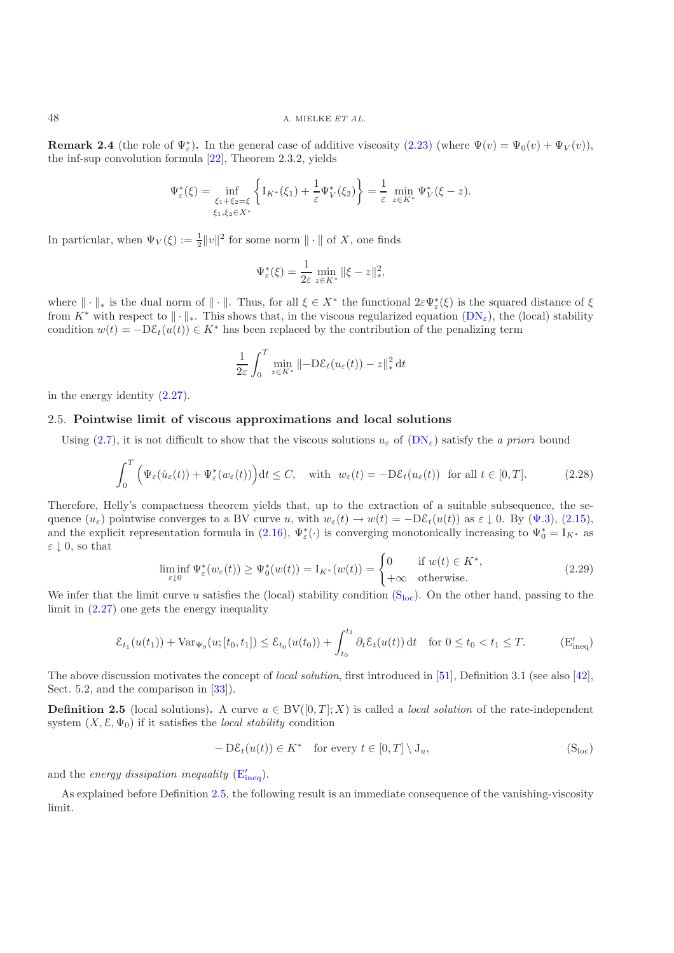**Remark 2.4** (the role of  $\Psi_{\varepsilon}^*$ ). In the general case of additive viscosity  $(2.23)$  (where  $\Psi(v) = \Psi_0(v) + \Psi_V(v)$ ), the inf-sup convolution formula [\[22\]](#page-44-30), Theorem 2.3.2, yields

$$
\Psi_{\varepsilon}^*(\xi) = \inf_{\xi_1 + \xi_2 = \xi \atop \xi_1, \xi_2 \in X^*} \left\{ I_{K^*}(\xi_1) + \frac{1}{\varepsilon} \Psi_V^*(\xi_2) \right\} = \frac{1}{\varepsilon} \min_{z \in K^*} \Psi_V^*(\xi - z).
$$

In particular, when  $\Psi_V(\xi) := \frac{1}{2} ||v||^2$  for some norm  $|| \cdot ||$  of X, one finds

$$
\Psi_{\varepsilon}^*(\xi) = \frac{1}{2\varepsilon} \min_{z \in K^*} \|\xi - z\|_*^2,
$$

where  $\|\cdot\|_*$  is the dual norm of  $\|\cdot\|$ . Thus, for all  $\xi \in X^*$  the functional  $2\varepsilon \Psi_{\varepsilon}^*(\xi)$  is the squared distance of  $\xi$ from  $K^*$  with respect to  $\|\cdot\|_*$ . This shows that, in the viscous regularized equation  $(DN_{\varepsilon})$  $(DN_{\varepsilon})$ , the (local) stability condition  $w(t) = -D\varepsilon_t(u(t)) \in K^*$  has been replaced by the contribution of the penalizing term

$$
\frac{1}{2\varepsilon} \int_0^T \min_{z \in K^*} \|\text{-D}\mathcal{E}_t(u_\varepsilon(t)) - z\|_*^2 dt
$$

<span id="page-12-2"></span>in the energy identity [\(2.27\)](#page-11-4).

## 2.5. **Pointwise limit of viscous approximations and local solutions**

Using [\(2.7\)](#page-7-6), it is not difficult to show that the viscous solutions  $u_{\varepsilon}$  of  $(DN_{\varepsilon})$  $(DN_{\varepsilon})$  satisfy the *a priori* bound

$$
\int_0^T \left( \Psi_{\varepsilon}(\dot{u}_{\varepsilon}(t)) + \Psi_{\varepsilon}^*(w_{\varepsilon}(t)) \right) dt \le C, \quad \text{with} \ \ w_{\varepsilon}(t) = -\mathrm{D}\mathcal{E}_t(u_{\varepsilon}(t)) \ \text{ for all } t \in [0, T]. \tag{2.28}
$$

<span id="page-12-6"></span>Therefore, Helly's compactness theorem yields that, up to the extraction of a suitable subsequence, the sequence  $(u_{\varepsilon})$  pointwise converges to a BV curve u, with  $w_{\varepsilon}(t) \to w(t) = -D \mathcal{E}_t(u(t))$  as  $\varepsilon \downarrow 0$ . By  $(\Psi.3)$ , [\(2.15\)](#page-9-5), and the explicit representation formula in [\(2.16\)](#page-10-4),  $\Psi_{\varepsilon}^*(\cdot)$  is converging monotonically increasing to  $\Psi_0^* = I_{K^*}$  as  $\varepsilon \downarrow 0$ , so that

$$
\liminf_{\varepsilon \downarrow 0} \Psi_{\varepsilon}^*(w_{\varepsilon}(t)) \ge \Psi_0^*(w(t)) = I_{K^*}(w(t)) = \begin{cases} 0 & \text{if } w(t) \in K^*, \\ +\infty & \text{otherwise.} \end{cases}
$$
\n(2.29)

<span id="page-12-7"></span>We infer that the limit curve u satisfies the ([loc](#page-8-1)al) stability condition  $(S<sub>loc</sub>)$ . On the other hand, passing to the limit in [\(2.27\)](#page-11-4) one gets the energy inequality

$$
\mathcal{E}_{t_1}(u(t_1)) + \text{Var}_{\Psi_0}(u; [t_0, t_1]) \le \mathcal{E}_{t_0}(u(t_0)) + \int_{t_0}^{t_1} \partial_t \mathcal{E}_t(u(t)) dt \quad \text{for } 0 \le t_0 < t_1 \le T. \tag{E'_{ineq}}
$$

<span id="page-12-5"></span><span id="page-12-0"></span>The above discussion motivates the concept of *local solution*, first introduced in [\[51\]](#page-44-24), Definition 3.1 (see also [\[42\]](#page-44-5), Sect. 5.2, and the comparison in [\[33\]](#page-44-28)).

**Definition 2.5** (local solutions). A curve  $u \in BV([0,T]; X)$  is called a *local solution* of the rate-independent system  $(X, \mathcal{E}, \Psi_0)$  if it satisfies the *local stability* condition

<span id="page-12-4"></span><span id="page-12-3"></span>
$$
-D\mathcal{E}_t(u(t)) \in K^* \quad \text{for every } t \in [0,T] \setminus J_u,
$$
 (S<sub>loc</sub>)

and the *energy dissipation [ineq](#page-12-3)uality*  $(E'_{\text{ineq}})$ .

<span id="page-12-1"></span>As explained before Definition [2.5,](#page-12-0) the following result is an immediate consequence of the vanishing-viscosity limit.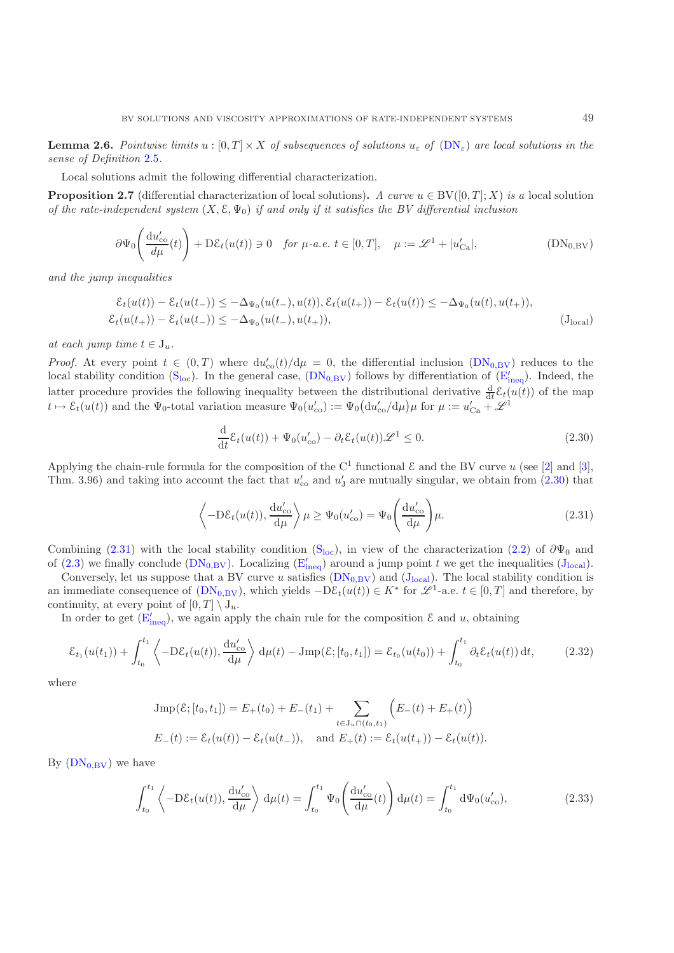**Lemma 2.6.** *Pointwise limits*  $u : [0, T] \times X$  *of subsequences of solutions*  $u_{\varepsilon}$  *of*  $(DN_{\varepsilon})$  $(DN_{\varepsilon})$  *are local solutions in the sense of Definition* [2.5](#page-12-0)*.*

Local solutions admit the following differential characterization.

<span id="page-13-0"></span>**Proposition 2.7** (differential characterization of local solutions). *A curve*  $u \in BV([0,T]; X)$  *is a* local solution *of the rate-independent system*  $(X, \mathcal{E}, \Psi_0)$  *if and only if it satisfies the BV differential inclusion* 

$$
\partial \Psi_0 \left( \frac{\mathrm{d}u'_{\mathrm{co}}}{d\mu}(t) \right) + \mathrm{D}\mathcal{E}_t(u(t)) \ni 0 \quad \text{for } \mu\text{-}a.e. \ t \in [0, T], \quad \mu := \mathscr{L}^1 + |u'_{\mathrm{Ca}}|, \tag{DN_{0,\mathrm{BV}}}
$$

*and the jump inequalities*

$$
\mathcal{E}_t(u(t)) - \mathcal{E}_t(u(t-)) \leq -\Delta_{\Psi_0}(u(t-), u(t)), \mathcal{E}_t(u(t+)) - \mathcal{E}_t(u(t)) \leq -\Delta_{\Psi_0}(u(t), u(t+)),
$$
  

$$
\mathcal{E}_t(u(t+)) - \mathcal{E}_t(u(t-)) \leq -\Delta_{\Psi_0}(u(t-), u(t+)),
$$
 (J<sub>local</sub>)

*at each jump time*  $t \in J_u$ .

*Proof.* At every point  $t \in (0,T)$  where  $du'_{co}(t)/d\mu = 0$ , the differential inclusion  $(DN_{0,BV})$  $(DN_{0,BV})$  reduces to the [loc](#page-12-4)al stability condition  $(S_{loc})$ . In the general case,  $(DN_{0,BV})$  $(DN_{0,BV})$  follows by differentiation of  $(E'_{ineq})$  $(E'_{ineq})$  $(E'_{ineq})$ . Indeed, the latter procedure provides the following inequality between the distributional derivative  $\frac{d}{dt}\mathcal{E}_t(u(t))$  of the map  $t \mapsto \mathcal{E}_t(u(t))$  and the  $\Psi_0$ -total variation measure  $\Psi_0(u'_{\text{co}}) := \Psi_0\left(\frac{du'_{\text{co}}}{\mu}\right)\mu$  for  $\mu := u'_{\text{Ca}} + \mathcal{L}^1$ 

<span id="page-13-2"></span>
$$
\frac{\mathrm{d}}{\mathrm{d}t} \mathcal{E}_t(u(t)) + \Psi_0(u'_{\mathrm{co}}) - \partial_t \mathcal{E}_t(u(t)) \mathcal{L}^1 \le 0. \tag{2.30}
$$

Applying the chain-rule formula for the composition of the C<sup>1</sup> functional  $\mathcal E$  and the BV curve u (see [\[2\]](#page-43-16) and [\[3\]](#page-43-15), Thm. 3.96) and taking into account the fact that  $u'_{\rm co}$  and  $u'_{\rm J}$  are mutually singular, we obtain from [\(2.30\)](#page-12-5) that

$$
\left\langle -D\mathcal{E}_t(u(t)), \frac{\mathrm{d}u'_{\mathrm{co}}}{\mathrm{d}\mu} \right\rangle \mu \ge \Psi_0(u'_{\mathrm{co}}) = \Psi_0 \left(\frac{\mathrm{d}u'_{\mathrm{co}}}{\mathrm{d}\mu}\right) \mu. \tag{2.31}
$$

<span id="page-13-1"></span>Combining [\(2.31\)](#page-13-1) with the local stability condition [\(S](#page-8-1)<sub>loc</sub>), in view of the characterization [\(2.2\)](#page-6-4) of  $\partial\Psi_0$  and of [\(2.3\)](#page-6-2) we finally conclude ( $\text{DN}_{0,\text{BV}}$ ). Localizing ( $\text{E}'_{\text{ineq}}$  $\text{E}'_{\text{ineq}}$  $\text{E}'_{\text{ineq}}$ ) around a jump point t we get the inequalities ( $J_{\text{local}}$  $J_{\text{local}}$  $J_{\text{local}}$ ).

Conversely, let us suppose that a BV curve u satisfies  $(DN_{0,BV})$  $(DN_{0,BV})$  and  $(J_{local})$  $(J_{local})$  $(J_{local})$ . The local stability condition is an immediate consequence of  $(DN_{0,BV})$  $(DN_{0,BV})$ , which yields  $-D\mathcal{E}_t(u(t)) \in K^*$  for  $\mathscr{L}^1$ -a.e.  $t \in [0,T]$  and therefore, by continuity, at every point of  $[0, T] \setminus J_u$ .

In order to get  $(E'_{\text{ineq}})$  $(E'_{\text{ineq}})$  $(E'_{\text{ineq}})$ , we again apply the chain rule for the composition  $\mathcal E$  and  $u$ , obtaining

$$
\mathcal{E}_{t_1}(u(t_1)) + \int_{t_0}^{t_1} \left\langle -D\mathcal{E}_t(u(t)), \frac{\mathrm{d}u'_{\mathrm{co}}}{\mathrm{d}\mu} \right\rangle \, \mathrm{d}\mu(t) - \mathrm{Jmp}(\mathcal{E};[t_0, t_1]) = \mathcal{E}_{t_0}(u(t_0)) + \int_{t_0}^{t_1} \partial_t \mathcal{E}_t(u(t)) \, \mathrm{d}t,\tag{2.32}
$$

<span id="page-13-3"></span>where

$$
\text{Jmp}(\mathcal{E};[t_0,t_1]) = E_+(t_0) + E_-(t_1) + \sum_{t \in J_u \cap (t_0,t_1)} \left( E_-(t) + E_+(t) \right)
$$
  

$$
E_-(t) := \mathcal{E}_t(u(t)) - \mathcal{E}_t(u(t_-)), \text{ and } E_+(t) := \mathcal{E}_t(u(t_+)) - \mathcal{E}_t(u(t)).
$$

<span id="page-13-4"></span>By  $(DN_{0,BV})$  $(DN_{0,BV})$  we have

$$
\int_{t_0}^{t_1} \left\langle -D\mathcal{E}_t(u(t)), \frac{\mathrm{d}u'_{\mathrm{co}}}{\mathrm{d}\mu} \right\rangle \, \mathrm{d}\mu(t) = \int_{t_0}^{t_1} \Psi_0\!\left(\frac{\mathrm{d}u'_{\mathrm{co}}}{\mathrm{d}\mu}(t)\right) \mathrm{d}\mu(t) = \int_{t_0}^{t_1} \mathrm{d}\Psi_0(u'_{\mathrm{co}}),\tag{2.33}
$$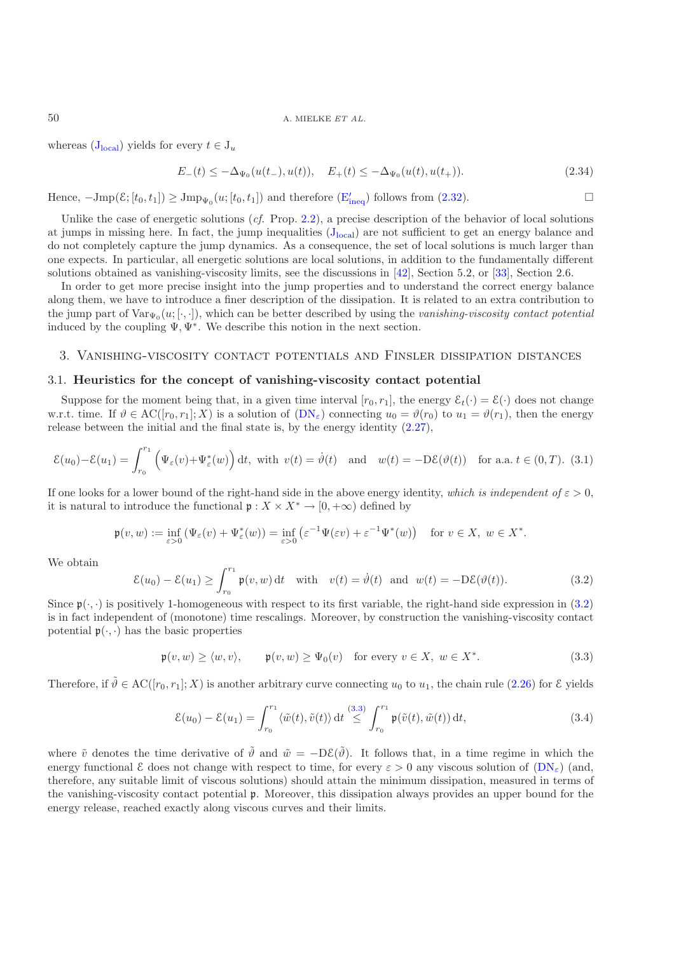#### 50 A. MIELKE *ET AL.*

<span id="page-14-6"></span>whereas  $(J<sub>local</sub>)$  $(J<sub>local</sub>)$  $(J<sub>local</sub>)$  yields for every  $t \in J_u$ 

$$
E_{-}(t) \le -\Delta_{\Psi_0}(u(t_{-}), u(t)), \quad E_{+}(t) \le -\Delta_{\Psi_0}(u(t), u(t_{+})). \tag{2.34}
$$

Hence,  $-\text{Jmp}(\mathcal{E};[t_0,t_1]) \ge \text{Jmp}_{\Psi_0}(u;[t_0,t_1])$  and therefore  $(\mathcal{E}'_{\text{ineq}})$  $(\mathcal{E}'_{\text{ineq}})$  $(\mathcal{E}'_{\text{ineq}})$  follows from [\(2.32\)](#page-13-3).

Unlike the case of energetic solutions (*cf.* Prop. [2.2\)](#page-8-0), a precise description of the behavior of local solutions at jumps in missing here. In fact, the jump inequalities  $(J_{local})$  $(J_{local})$  $(J_{local})$  are not sufficient to get an energy balance and do not completely capture the jump dynamics. As a consequence, the set of local solutions is much larger than one expects. In particular, all energetic solutions are local solutions, in addition to the fundamentally different solutions obtained as vanishing-viscosity limits, see the discussions in [\[42\]](#page-44-5), Section 5.2, or [\[33](#page-44-28)], Section 2.6.

In order to get more precise insight into the jump properties and to understand the correct energy balance along them, we have to introduce a finer description of the dissipation. It is related to an extra contribution to the jump part of  $\text{Var}_{\Psi_0}(u; [\cdot, \cdot])$ , which can be better described by using the *vanishing-viscosity contact potential* induced by the coupling  $\Psi, \Psi^*$ . We describe this notion in the next section.

## 3. Vanishing-viscosity contact potentials and Finsler dissipation distances

#### <span id="page-14-1"></span><span id="page-14-0"></span>3.1. **Heuristics for the concept of vanishing-viscosity contact potential**

Suppose for the moment being that, in a given time interval  $[r_0, r_1]$ , the energy  $\mathcal{E}_t(\cdot) = \mathcal{E}(\cdot)$  does not change w.r.t. time. If  $\vartheta \in \mathrm{AC}([r_0, r_1]; X)$  is a solution of  $(DN_{\varepsilon})$  $(DN_{\varepsilon})$  connecting  $u_0 = \vartheta(r_0)$  to  $u_1 = \vartheta(r_1)$ , then the energy release between the initial and the final state is, by the energy identity [\(2.27\)](#page-11-4),

<span id="page-14-4"></span>
$$
\mathcal{E}(u_0) - \mathcal{E}(u_1) = \int_{r_0}^{r_1} \left( \Psi_{\varepsilon}(v) + \Psi_{\varepsilon}^*(w) \right) dt
$$
, with  $v(t) = \dot{\vartheta}(t)$  and  $w(t) = -D\mathcal{E}(\vartheta(t))$  for a.a.  $t \in (0, T)$ . (3.1)

If one looks for a lower bound of the right-hand side in the above energy identity, *which is independent of*  $\varepsilon > 0$ , it is natural to introduce the functional  $\mathfrak{p}: X \times X^* \to [0, +\infty)$  defined by

$$
\mathfrak{p}(v,w) := \inf_{\varepsilon > 0} \left( \Psi_{\varepsilon}(v) + \Psi_{\varepsilon}^*(w) \right) = \inf_{\varepsilon > 0} \left( \varepsilon^{-1} \Psi(\varepsilon v) + \varepsilon^{-1} \Psi^*(w) \right) \quad \text{for } v \in X, \ w \in X^*.
$$

<span id="page-14-2"></span>We obtain

$$
\mathcal{E}(u_0) - \mathcal{E}(u_1) \ge \int_{r_0}^{r_1} \mathfrak{p}(v, w) dt \quad \text{with} \quad v(t) = \dot{\vartheta}(t) \quad \text{and} \quad w(t) = -D\mathcal{E}(\vartheta(t)). \tag{3.2}
$$

Since  $\mathfrak{p}(\cdot,\cdot)$  is positively 1-homogeneous with respect to its first variable, the right-hand side expression in [\(3.2\)](#page-14-2) is in fact independent of (monotone) time rescalings. Moreover, by construction the vanishing-viscosity contact potential  $\mathfrak{p}(\cdot,\cdot)$  has the basic properties

$$
\mathfrak{p}(v, w) \ge \langle w, v \rangle, \qquad \mathfrak{p}(v, w) \ge \Psi_0(v) \quad \text{for every } v \in X, \ w \in X^*.
$$
 (3.3)

<span id="page-14-5"></span><span id="page-14-3"></span>Therefore, if  $\tilde{\vartheta} \in AC([r_0, r_1]; X)$  is another arbitrary curve connecting  $u_0$  to  $u_1$ , the chain rule [\(2.26\)](#page-11-5) for  $\mathcal E$  yields

$$
\mathcal{E}(u_0) - \mathcal{E}(u_1) = \int_{r_0}^{r_1} \langle \tilde{w}(t), \tilde{v}(t) \rangle dt \stackrel{(3.3)}{\leq} \int_{r_0}^{r_1} \mathfrak{p}(\tilde{v}(t), \tilde{w}(t)) dt,
$$
\n(3.4)

where  $\tilde{v}$  denotes the time derivative of  $\tilde{\vartheta}$  and  $\tilde{w} = -D\mathcal{E}(\tilde{\vartheta})$ . It follows that, in a time regime in which the energy functional  $\mathcal E$  does not change with respect to time, for every  $\varepsilon > 0$  any viscous solution of  $(DN_{\varepsilon})$  $(DN_{\varepsilon})$  (and, therefore, any suitable limit of viscous solutions) should attain the minimum dissipation, measured in terms of the vanishing-viscosity contact potential p. Moreover, this dissipation always provides an upper bound for the energy release, reached exactly along viscous curves and their limits.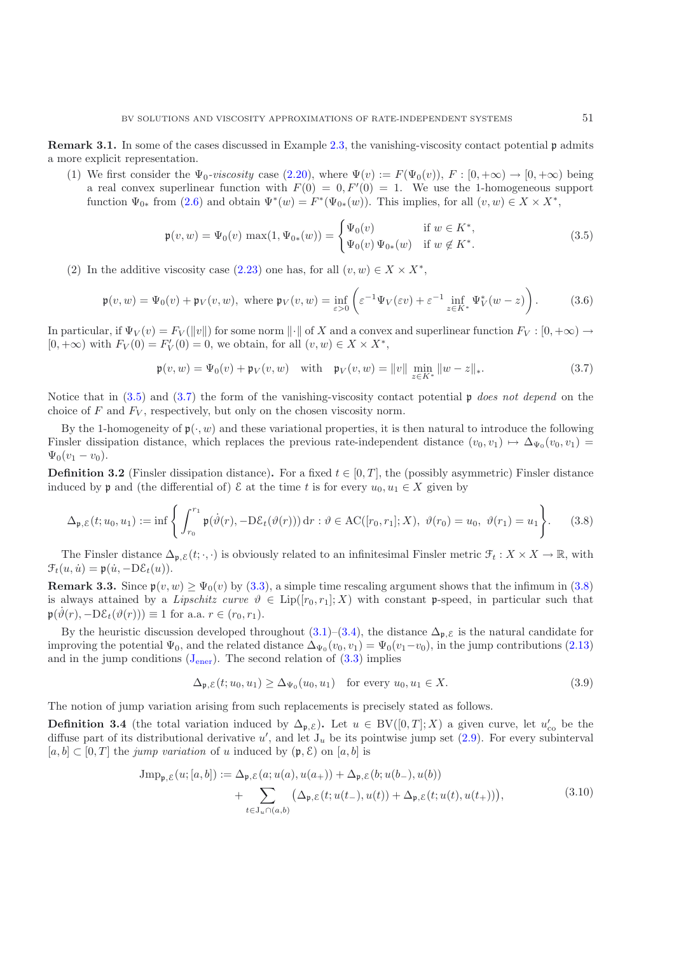**Remark 3.1.** In some of the cases discussed in Example [2.3,](#page-10-0) the vanishing-viscosity contact potential p admits a more explicit representation.

(1) We first consider the  $\Psi_0$ -viscosity case [\(2.20\)](#page-10-5), where  $\Psi(v) := F(\Psi_0(v)), F : [0, +\infty) \to [0, +\infty)$  being a real convex superlinear function with  $F(0) = 0, F'(0) = 1$ . We use the 1-homogeneous support function  $\Psi_{0*}$  from  $(2.6)$  and obtain  $\Psi^*(w) = F^*(\Psi_{0*}(w))$ . This implies, for all  $(v, w) \in X \times X^*$ ,

$$
\mathfrak{p}(v, w) = \Psi_0(v) \max(1, \Psi_{0*}(w)) = \begin{cases} \Psi_0(v) & \text{if } w \in K^*, \\ \Psi_0(v) \Psi_{0*}(w) & \text{if } w \notin K^*. \end{cases}
$$
 (3.5)

<span id="page-15-0"></span>(2) In the additive viscosity case [\(2.23\)](#page-11-3) one has, for all  $(v, w) \in X \times X^*$ ,

$$
\mathfrak{p}(v, w) = \Psi_0(v) + \mathfrak{p}_V(v, w), \text{ where } \mathfrak{p}_V(v, w) = \inf_{\varepsilon > 0} \left( \varepsilon^{-1} \Psi_V(\varepsilon v) + \varepsilon^{-1} \inf_{z \in K^*} \Psi_V^*(w - z) \right). \tag{3.6}
$$

<span id="page-15-4"></span>In particular, if  $\Psi_V(v) = F_V(\|v\|)$  for some norm  $\|\cdot\|$  of X and a convex and superlinear function  $F_V : [0, +\infty) \to$  $[0, +\infty)$  with  $F_V(0) = F'_V(0) = 0$ , we obtain, for all  $(v, w) \in X \times X^*$ ,

$$
\mathfrak{p}(v, w) = \Psi_0(v) + \mathfrak{p}_V(v, w) \quad \text{with} \quad \mathfrak{p}_V(v, w) = \|v\| \min_{z \in K^*} \|w - z\|_*.
$$
 (3.7)

<span id="page-15-1"></span>Notice that in [\(3.5\)](#page-15-0) and [\(3.7\)](#page-15-1) the form of the vanishing-viscosity contact potential p *does not depend* on the choice of  $F$  and  $F_V$ , respectively, but only on the chosen viscosity norm.

By the 1-homogeneity of  $\mathfrak{p}(\cdot, w)$  and these variational properties, it is then natural to introduce the following Finsler dissipation distance, which replaces the previous rate-independent distance  $(v_0, v_1) \mapsto \Delta_{\Psi_0}(v_0, v_1)$  $\Psi_0(v_1-v_0).$ 

**Definition 3.2** (Finsler dissipation distance). For a fixed  $t \in [0, T]$ , the (possibly asymmetric) Finsler distance induced by **p** and (the differential of)  $\mathcal E$  at the time t is for every  $u_0, u_1 \in X$  given by

$$
\Delta_{\mathfrak{p},\mathcal{E}}(t;u_0,u_1) := \inf \left\{ \int_{r_0}^{r_1} \mathfrak{p}(\dot{\vartheta}(r), -D\mathcal{E}_t(\vartheta(r))) dr : \vartheta \in \mathrm{AC}([r_0,r_1];X), \ \vartheta(r_0) = u_0, \ \vartheta(r_1) = u_1 \right\}.
$$
 (3.8)

<span id="page-15-2"></span>The Finsler distance  $\Delta_{p,\mathcal{E}}(t;\cdot,\cdot)$  is obviously related to an infinitesimal Finsler metric  $\mathcal{F}_t: X \times X \to \mathbb{R}$ , with  $\mathcal{F}_t(u, \dot{u}) = \mathfrak{p}(\dot{u}, -D\mathcal{E}_t(u)).$ 

**Remark 3.3.** Since  $\mathfrak{p}(v, w) \geq \Psi_0(v)$  by [\(3.3\)](#page-14-3), a simple time rescaling argument shows that the infimum in [\(3.8\)](#page-15-2) is always attained by a *Lipschitz curve*  $\vartheta \in \text{Lip}([r_0, r_1]; X)$  with constant p-speed, in particular such that  $\mathfrak{p}(\vartheta(r), -D\mathcal{E}_t(\vartheta(r))) \equiv 1$  for a.a.  $r \in (r_0, r_1)$ .

By the heuristic discussion developed throughout  $(3.1)$ – $(3.4)$ , the distance  $\Delta_{\mathfrak{p},\mathcal{E}}$  is the natural candidate for improving the potential  $\Psi_0$ , and the related distance  $\Delta_{\Psi_0}(v_0, v_1)=\Psi_0(v_1-v_0)$ , in the jump contributions [\(2.13\)](#page-8-1) and in the jump conditions  $(J_{\text{ener}})$  $(J_{\text{ener}})$  $(J_{\text{ener}})$ . The second relation of  $(3.3)$  implies

$$
\Delta_{\mathfrak{p}, \mathcal{E}}(t; u_0, u_1) \ge \Delta_{\Psi_0}(u_0, u_1) \quad \text{for every } u_0, u_1 \in X. \tag{3.9}
$$

<span id="page-15-3"></span>The notion of jump variation arising from such replacements is precisely stated as follows.

**Definition 3.4** (the total variation induced by  $\Delta_{p,\mathcal{E}}$ ). Let  $u \in BV([0,T];X)$  a given curve, let  $u'_{\text{co}}$  be the diffuse part of its distributional derivative u', and let  $J_u$  be its pointwise jump set [\(2.9\)](#page-7-7). For every subinterval  $[a, b] \subset [0, T]$  the *jump variation* of u induced by  $(\mathfrak{p}, \mathcal{E})$  on  $[a, b]$  is

$$
Jmp_{\mathfrak{p},\mathcal{E}}(u;[a,b]) := \Delta_{\mathfrak{p},\mathcal{E}}(a;u(a),u(a_+)) + \Delta_{\mathfrak{p},\mathcal{E}}(b;u(b_-),u(b)) + \sum_{t \in J_u \cap (a,b)} (\Delta_{\mathfrak{p},\mathcal{E}}(t;u(t_-),u(t)) + \Delta_{\mathfrak{p},\mathcal{E}}(t;u(t),u(t_+))),
$$
\n(3.10)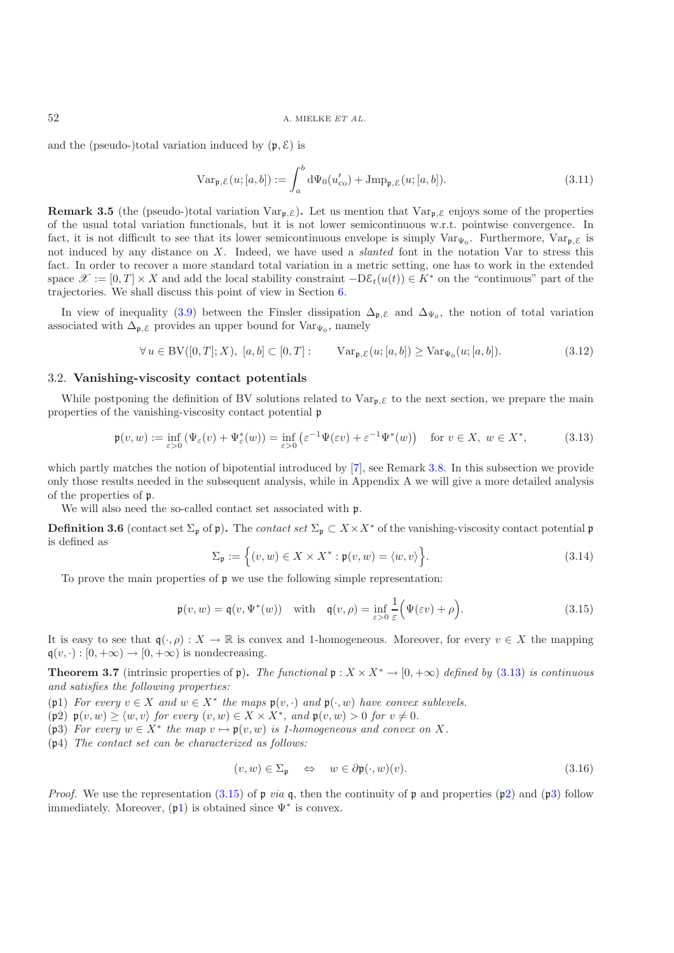<span id="page-16-8"></span>and the (pseudo-)total variation induced by  $(\mathfrak{p}, \mathcal{E})$  is

$$
\operatorname{Var}_{\mathfrak{p}, \mathcal{E}}(u; [a, b]) := \int_a^b \mathrm{d}\Psi_0(u'_{\text{co}}) + \operatorname{Jmp}_{\mathfrak{p}, \mathcal{E}}(u; [a, b]). \tag{3.11}
$$

**Remark 3.5** (the (pseudo-)total variation  $\text{Var}_{\mathbf{p}, \mathcal{E}}$ ). Let us mention that  $\text{Var}_{\mathbf{p}, \mathcal{E}}$  enjoys some of the properties of the usual total variation functionals, but it is not lower semicontinuous w.r.t. pointwise convergence. In fact, it is not difficult to see that its lower semicontinuous envelope is simply  $Var_{\Psi_0}$ . Furthermore,  $Var_{\mathfrak{p}, \mathcal{E}}$  is not induced by any distance on X. Indeed, we have used a *slanted* font in the notation Var to stress this fact. In order to recover a more standard total variation in a metric setting, one has to work in the extended space  $\mathscr{X} := [0, T] \times X$  and add the local stability constraint  $-\mathcal{D}\mathcal{E}_t(u(t)) \in K^*$  on the "continuous" part of the trajectories. We shall discuss this point of view in Section [6.](#page-29-0)

In view of inequality [\(3.9\)](#page-15-3) between the Finsler dissipation  $\Delta_{\mathfrak{p},\mathcal{E}}$  and  $\Delta_{\Psi_0}$ , the notion of total variation associated with  $\Delta_{\mathfrak{p},\mathcal{E}}$  provides an upper bound for  $\text{Var}_{\Psi_0}$ , namely

$$
\forall u \in BV([0, T]; X), [a, b] \subset [0, T]: \qquad \text{Var}_{\mathfrak{p}, \mathcal{E}}(u; [a, b]) \geq \text{Var}_{\Psi_0}(u; [a, b]). \tag{3.12}
$$

## <span id="page-16-9"></span>3.2. **Vanishing-viscosity contact potentials**

While postponing the definition of BV solutions related to  $Var_{p,\mathcal{E}}$  to the next section, we prepare the main properties of the vanishing-viscosity contact potential p

$$
\mathfrak{p}(v, w) := \inf_{\varepsilon > 0} \left( \Psi_{\varepsilon}(v) + \Psi_{\varepsilon}^*(w) \right) = \inf_{\varepsilon > 0} \left( \varepsilon^{-1} \Psi(\varepsilon v) + \varepsilon^{-1} \Psi^*(w) \right) \quad \text{for } v \in X, \ w \in X^*, \tag{3.13}
$$

<span id="page-16-0"></span>which partly matches the notion of bipotential introduced by [\[7](#page-43-14)], see Remark [3.8.](#page-17-2) In this subsection we provide only those results needed in the subsequent analysis, while in Appendix A we will give a more detailed analysis of the properties of p.

We will also need the so-called contact set associated with p.

**Definition 3.6** (contact set  $\Sigma_p$  of p). The *contact set*  $\Sigma_p \subset X \times X^*$  of the vanishing-viscosity contact potential p is defined as

$$
\Sigma_{\mathfrak{p}} := \Big\{ (v, w) \in X \times X^* : \mathfrak{p}(v, w) = \langle w, v \rangle \Big\}.
$$
 (3.14)

<span id="page-16-1"></span>To prove the main properties of  $\mathfrak p$  we use the following simple representation:

<span id="page-16-7"></span>
$$
\mathfrak{p}(v, w) = \mathfrak{q}(v, \Psi^*(w)) \quad \text{with} \quad \mathfrak{q}(v, \rho) = \inf_{\varepsilon > 0} \frac{1}{\varepsilon} \Big( \Psi(\varepsilon v) + \rho \Big). \tag{3.15}
$$

It is easy to see that  $\mathfrak{q}(\cdot,\rho): X \to \mathbb{R}$  is convex and 1-homogeneous. Moreover, for every  $v \in X$  the mapping  $\mathfrak{q}(v, \cdot) : [0, +\infty) \to [0, +\infty)$  is nondecreasing.

**Theorem 3.7** (intrinsic properties of p). The functional  $p : X \times X^* \to [0, +\infty)$  defined by [\(3.13\)](#page-16-0) is continuous *and satisfies the following properties:*

<span id="page-16-4"></span><span id="page-16-2"></span>(p1) *For every*  $v \in X$  *and*  $w \in X^*$  *the maps*  $p(v, \cdot)$  *and*  $p(\cdot, w)$  *have convex sublevels.* 

<span id="page-16-3"></span>(p2)  $p(v, w) \ge \langle w, v \rangle$  *for every*  $(v, w) \in X \times X^*$ *, and*  $p(v, w) > 0$  *for*  $v \ne 0$ *.* 

(p3) *For every*  $w \in X^*$  *the map*  $v \mapsto p(v, w)$  *is 1-homogeneous and convex on* X.

<span id="page-16-5"></span>(p4) *The contact set can be characterized as follows:*

<span id="page-16-6"></span>
$$
(v, w) \in \Sigma_{\mathfrak{p}} \quad \Leftrightarrow \quad w \in \partial \mathfrak{p}(\cdot, w)(v). \tag{3.16}
$$

*Proof.* We use the representation [\(3.15\)](#page-16-1) of p *via* q, then the continuity of p and properties (p[2\)](#page-16-2) and (p[3\)](#page-16-3) follow immediately. Moreover,  $(\mathfrak{p}_1)$  $(\mathfrak{p}_1)$  is obtained since  $\Psi^*$  is convex.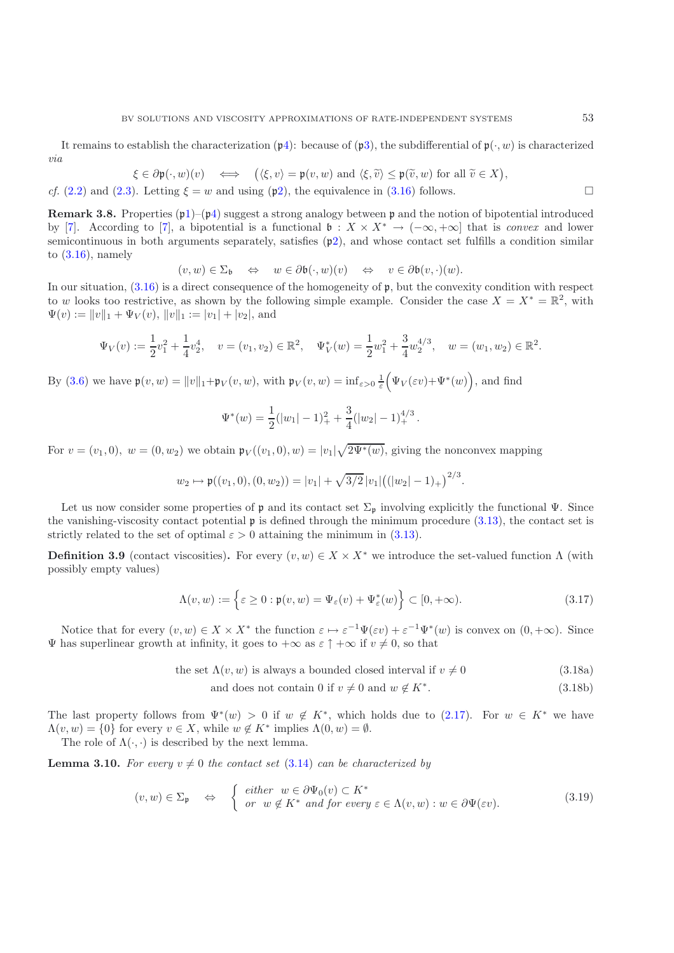It remains to establish the characterization  $(\mathfrak{p}_4)$  $(\mathfrak{p}_4)$ : because of  $(\mathfrak{p}_3)$  $(\mathfrak{p}_3)$ , the subdifferential of  $\mathfrak{p}(\cdot, w)$  is characterized *via*

$$
\xi \in \partial \mathfrak{p}(\cdot, w)(v) \iff \left( \langle \xi, v \rangle = \mathfrak{p}(v, w) \text{ and } \langle \xi, \widetilde{v} \rangle \leq \mathfrak{p}(\widetilde{v}, w) \text{ for all } \widetilde{v} \in X \right),
$$

<span id="page-17-2"></span>*cf.* [\(2.2\)](#page-6-4) and [\(2.3\)](#page-6-2). Letting  $\xi = w$  and using (p[2\)](#page-16-2), the equivalence in [\(3.16\)](#page-16-6) follows.

**Remark 3.8.** Properties  $(p1)$  $(p1)$ – $(p4)$  $(p4)$  suggest a strong analogy between p and the notion of bipotential introduced by [\[7\]](#page-43-14). According to [\[7](#page-43-14)], a bipotential is a functional  $\mathfrak{b}: X \times X^* \to (-\infty, +\infty]$  that is *convex* and lower semicontinuous in both arguments separately, satisfies  $(p2)$  $(p2)$ , and whose contact set fulfills a condition similar to  $(3.16)$ , namely

$$
(v, w) \in \Sigma_{\mathfrak{b}} \quad \Leftrightarrow \quad w \in \partial \mathfrak{b}(\cdot, w)(v) \quad \Leftrightarrow \quad v \in \partial \mathfrak{b}(v, \cdot)(w).
$$

In our situation,  $(3.16)$  is a direct consequence of the homogeneity of p, but the convexity condition with respect to w looks too restrictive, as shown by the following simple example. Consider the case  $X = X^* = \mathbb{R}^2$ , with  $\Psi(v) := ||v||_1 + \Psi_V(v), ||v||_1 := |v_1| + |v_2|$ , and

$$
\Psi_V(v) := \frac{1}{2}v_1^2 + \frac{1}{4}v_2^4, \quad v = (v_1, v_2) \in \mathbb{R}^2, \quad \Psi_V^*(w) = \frac{1}{2}w_1^2 + \frac{3}{4}w_2^{4/3}, \quad w = (w_1, w_2) \in \mathbb{R}^2.
$$

By [\(3.6\)](#page-15-4) we have  $\mathfrak{p}(v, w) = ||v||_1 + \mathfrak{p}_V(v, w)$ , with  $\mathfrak{p}_V(v, w) = \inf_{\varepsilon > 0} \frac{1}{\varepsilon} (\Psi_V(\varepsilon v) + \Psi^*(w))$ , and find

$$
\Psi^*(w) = \frac{1}{2}(|w_1| - 1)^2 + \frac{3}{4}(|w_2| - 1)^{4/3}_+.
$$

For  $v = (v_1, 0), w = (0, w_2)$  we obtain  $\mathfrak{p}_V((v_1, 0), w) = |v_1|\sqrt{2\Psi^*(w)}$ , giving the nonconvex mapping

$$
w_2 \mapsto \mathfrak{p}((v_1,0),(0,w_2)) = |v_1| + \sqrt{3/2} |v_1| ((|w_2|-1)_+)^{2/3}.
$$

Let us now consider some properties of  $\mathfrak p$  and its contact set  $\Sigma_{\mathfrak p}$  involving explicitly the functional  $\Psi$ . Since the vanishing-viscosity contact potential p is defined through the minimum procedure [\(3.13\)](#page-16-0), the contact set is strictly related to the set of optimal  $\varepsilon > 0$  attaining the minimum in [\(3.13\)](#page-16-0).

<span id="page-17-0"></span>**Definition 3.9** (contact viscosities). For every  $(v, w) \in X \times X^*$  we introduce the set-valued function  $\Lambda$  (with possibly empty values)

$$
\Lambda(v, w) := \left\{ \varepsilon \ge 0 : \mathfrak{p}(v, w) = \Psi_{\varepsilon}(v) + \Psi_{\varepsilon}^*(w) \right\} \subset [0, +\infty). \tag{3.17}
$$

<span id="page-17-4"></span>Notice that for every  $(v, w) \in X \times X^*$  the function  $\varepsilon \mapsto \varepsilon^{-1} \Psi(\varepsilon v) + \varepsilon^{-1} \Psi^*(w)$  is convex on  $(0, +\infty)$ . Since  $\Psi$  has superlinear growth at infinity, it goes to  $+\infty$  as  $\varepsilon \uparrow +\infty$  if  $v \neq 0$ , so that

the set  $\Lambda(v, w)$  is always a bounded closed interval if  $v \neq 0$  (3.18a)

<span id="page-17-5"></span><span id="page-17-3"></span>and does not contain 0 if  $v \neq 0$  and  $w \notin K^*$ . (3.18b)

The last property follows from  $\Psi^*(w) > 0$  if  $w \notin K^*$ , which holds due to [\(2.17\)](#page-10-6). For  $w \in K^*$  we have  $\Lambda(v, w) = \{0\}$  for every  $v \in X$ , while  $w \notin K^*$  implies  $\Lambda(0, w) = \emptyset$ . The role of  $\Lambda(\cdot, \cdot)$  is described by the next lemma.

<span id="page-17-1"></span>**Lemma 3.10.** For every  $v \neq 0$  the contact set [\(3.14\)](#page-16-7) can be characterized by

$$
(v, w) \in \Sigma_{\mathfrak{p}} \quad \Leftrightarrow \quad \begin{cases} \text{ either } w \in \partial \Psi_0(v) \subset K^* \\ \text{ or } w \notin K^* \text{ and for every } \varepsilon \in \Lambda(v, w) : w \in \partial \Psi(\varepsilon v). \end{cases} \tag{3.19}
$$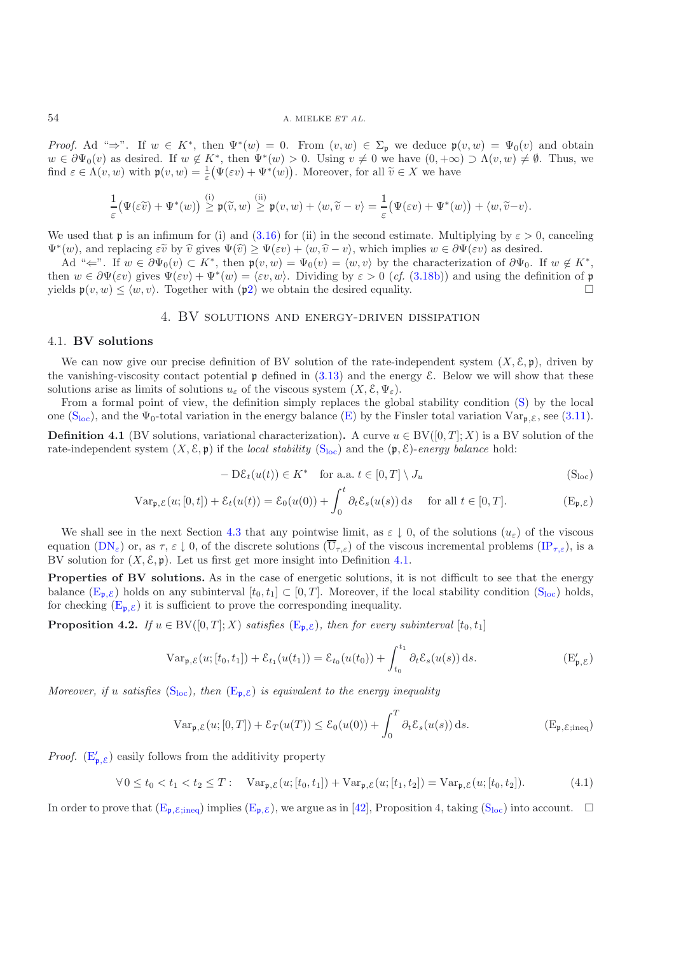*Proof.* Ad " $\Rightarrow$ ". If  $w \in K^*$ , then  $\Psi^*(w) = 0$ . From  $(v, w) \in \Sigma_{\mathfrak{p}}$  we deduce  $\mathfrak{p}(v, w) = \Psi_0(v)$  and obtain  $w \in \partial \Psi_0(v)$  as desired. If  $w \notin K^*$ , then  $\Psi^*(w) > 0$ . Using  $v \neq 0$  we have  $(0, +\infty) \supset \Lambda(v, w) \neq \emptyset$ . Thus, we find  $\varepsilon \in \Lambda(v, w)$  with  $\mathfrak{p}(v, w) = \frac{1}{\varepsilon} (\Psi(\varepsilon v) + \Psi^*(w))$ . Moreover, for all  $\widetilde{v} \in X$  we have

$$
\frac{1}{\varepsilon} \big( \Psi(\varepsilon \widetilde{v}) + \Psi^*(w) \big) \stackrel{\mathrm{(i)}}{\geq} \mathfrak{p}(\widetilde{v},w) \stackrel{\mathrm{(ii)}}{\geq} \mathfrak{p}(v,w) + \langle w, \widetilde{v}-v \rangle = \frac{1}{\varepsilon} \big( \Psi(\varepsilon v) + \Psi^*(w) \big) + \langle w, \widetilde{v}-v \rangle.
$$

We used that p is an infimum for (i) and [\(3.16\)](#page-16-6) for (ii) in the second estimate. Multiplying by  $\varepsilon > 0$ , canceling  $\Psi^*(w)$ , and replacing  $\varepsilon\tilde{v}$  by  $\hat{v}$  gives  $\Psi(\hat{v}) \ge \Psi(\varepsilon v) + \langle w, \hat{v} - v \rangle$ , which implies  $w \in \partial \Psi(\varepsilon v)$  as desired.

Ad " $\Leftarrow$ ". If  $w \in \partial \Psi_0(v) \subset K^*$ , then  $\mathfrak{p}(v, w) = \Psi_0(v) = \langle w, v \rangle$  by the characterization of  $\partial \Psi_0$ . If  $w \notin K^*$ , then  $w \in \partial \Psi(\varepsilon v)$  gives  $\Psi(\varepsilon v) + \Psi^*(w) = \langle \varepsilon v, w \rangle$ . Dividing by  $\varepsilon > 0$  (*cf.* [\(3.18b\)](#page-17-3)) and using the definition of **p** yields  $\mathfrak{p}(v, w) \le \langle w, v \rangle$ . Together with  $(\mathfrak{p}_2)$  $(\mathfrak{p}_2)$  we obtain the desired equality.

## 4. BV solutions and energy-driven dissipation

## <span id="page-18-0"></span>4.1. **BV solutions**

We can now give our precise definition of BV solution of the rate-independent system  $(X, \mathcal{E}, \mathfrak{p})$ , driven by the vanishing-viscosity contact potential  $\mathfrak p$  defined in [\(3.13\)](#page-16-0) and the energy  $\mathcal E$ . Below we will show that these solutions arise as limits of solutions  $u_{\varepsilon}$  of the viscous system  $(X, \mathcal{E}, \Psi_{\varepsilon})$ .

From a formal point of view, the definition simply replaces the global stability condition [\(S\)](#page-7-2) by the local one  $(S<sub>loc</sub>)$  $(S<sub>loc</sub>)$ , and the  $\Psi_0$ -total variation in the energy balance [\(E\)](#page-7-3) by the Finsler total variation  $Var_{\mathbf{p}, \mathcal{E}}$ , see [\(3.11\)](#page-16-8).

**Definition 4.1** (BV solutions, variational characterization). A curve  $u \in BV([0,T]; X)$  is a BV solution of the rate-independent system  $(X, \mathcal{E}, \mathfrak{p})$  if the *local stability*  $(S_{loc})$  $(S_{loc})$  and the  $(\mathfrak{p}, \mathcal{E})$ -*energy balance* hold:

<span id="page-18-2"></span>
$$
- D\mathcal{E}_t(u(t)) \in K^* \quad \text{for a.a. } t \in [0, T] \setminus J_u \tag{Sloc}
$$

<span id="page-18-1"></span>
$$
\operatorname{Var}_{\mathfrak{p},\mathcal{E}}(u;[0,t]) + \mathcal{E}_t(u(t)) = \mathcal{E}_0(u(0)) + \int_0^t \partial_t \mathcal{E}_s(u(s)) \, \mathrm{d}s \quad \text{ for all } t \in [0,T]. \tag{E}_{\mathfrak{p},\mathcal{E}})
$$

We shall see in the next Section [4.3](#page-21-0) that any pointwise limit, as  $\varepsilon \downarrow 0$ , of the solutions  $(u_{\varepsilon})$  of the viscous equation  $(DN_{\varepsilon})$  $(DN_{\varepsilon})$  or, as  $\tau, \varepsilon \downarrow 0$ , of the discrete solutions  $(\overline{U}_{\tau,\varepsilon})$  of the viscous incremental problems  $({\rm IP}_{\tau,\varepsilon})$ , is a BV solution for  $(X, \mathcal{E}, \mathfrak{p})$ . Let us first get more insight into Definition [4.1.](#page-7-8)

**Properties of BV solutions.** As in the case of energetic solutions, it is not difficult to see that the energy balance  $(E_{\mathfrak{p}, \mathcal{E}})$  $(E_{\mathfrak{p}, \mathcal{E}})$  holds on any subinterval  $[t_0, t_1] \subset [0, T]$ . Moreover, if the local stability condition  $(S_{\text{loc}})$  $(S_{\text{loc}})$  holds, for checking  $(E_{\mathfrak{p},\mathcal{E}})$  $(E_{\mathfrak{p},\mathcal{E}})$  it is sufficient to prove the corresponding inequality.

**Proposition 4.2.** *If*  $u \in BV([0, T]; X)$  *satisfies*  $(E_{p, \mathcal{E}})$  $(E_{p, \mathcal{E}})$ *, then for every subinterval*  $[t_0, t_1]$ 

$$
Var_{\mathfrak{p}, \mathcal{E}}(u; [t_0, t_1]) + \mathcal{E}_{t_1}(u(t_1)) = \mathcal{E}_{t_0}(u(t_0)) + \int_{t_0}^{t_1} \partial_t \mathcal{E}_s(u(s)) ds.
$$
 (E' <sub>$\mathfrak{p}, \mathcal{E}$</sub> )

*Moreover, if* u *satisfies*  $(S_{loc})$  $(S_{loc})$ *, then*  $(E_{p,\varepsilon})$  $(E_{p,\varepsilon})$  *is equivalent to the energy inequality* 

<span id="page-18-4"></span><span id="page-18-3"></span>
$$
\operatorname{Var}_{\mathfrak{p}, \mathcal{E}}(u; [0, T]) + \mathcal{E}_T(u(T)) \le \mathcal{E}_0(u(0)) + \int_0^T \partial_t \mathcal{E}_s(u(s)) \, \mathrm{d}s. \tag{E}_{\mathfrak{p}, \mathcal{E}; \text{ineq}})
$$

*Proof.*  $(E'_{\mathfrak{p}, \mathcal{E}})$  $(E'_{\mathfrak{p}, \mathcal{E}})$  easily follows from the additivity property

$$
\forall 0 \le t_0 < t_1 < t_2 \le T: \quad \text{Var}_{\mathfrak{p}, \mathcal{E}}(u; [t_0, t_1]) + \text{Var}_{\mathfrak{p}, \mathcal{E}}(u; [t_1, t_2]) = \text{Var}_{\mathfrak{p}, \mathcal{E}}(u; [t_0, t_2]). \tag{4.1}
$$

In order to prove that  $(E_{p,\mathcal{E};\text{ineq}})$  $(E_{p,\mathcal{E};\text{ineq}})$  implies  $(E_{p,\mathcal{E}})$ , we argue as in [\[42](#page-44-5)], Proposition 4, taking  $(S_{loc})$  $(S_{loc})$  into account.  $\square$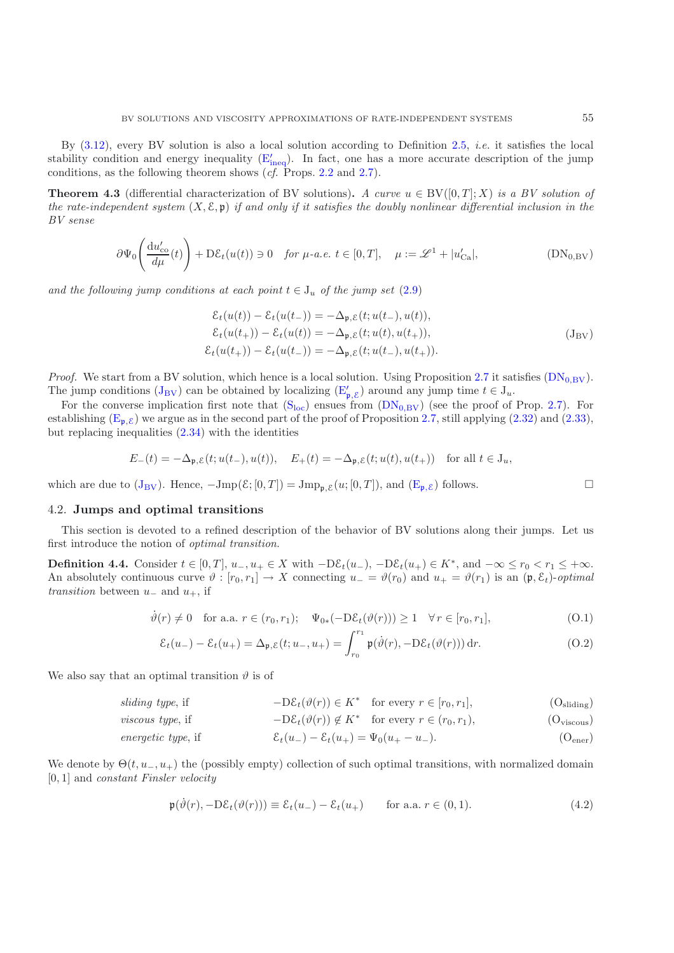By [\(3.12\)](#page-16-9), every BV solution is also a local solution according to Definition [2.5,](#page-12-0) *i.e.* it satisfies the local stability condition and energy [ineq](#page-12-3)uality  $(E'_{\text{ineq}})$ . In fact, one has a more accurate description of the jump conditions, as the following theorem shows (*cf.* Props. [2.2](#page-8-0) and [2.7\)](#page-13-0).

**Theorem 4.3** (differential characterization of BV solutions)**.** *A curve*  $u \in BV(0,T]: X$ ) *is a BV solution of the rate-independent system*  $(X, \mathcal{E}, \mathfrak{p})$  *if and only if it satisfies the doubly nonlinear differential inclusion in the BV sense*

$$
\partial \Psi_0 \left( \frac{\mathrm{d}u'_{\mathrm{co}}}{d\mu}(t) \right) + \mathrm{D}\mathcal{E}_t(u(t)) \ni 0 \quad \text{for } \mu\text{-}a.e. \ t \in [0, T], \quad \mu := \mathscr{L}^1 + |u'_{\mathrm{Ca}}|, \tag{DN_{0,\mathrm{BV}}}
$$

<span id="page-19-2"></span>and the following jump conditions at each point  $t \in J_u$  of the jump set  $(2.9)$ 

<span id="page-19-0"></span>
$$
\mathcal{E}_t(u(t)) - \mathcal{E}_t(u(t_-)) = -\Delta_{\mathfrak{p},\mathcal{E}}(t; u(t_-), u(t)),
$$
  
\n
$$
\mathcal{E}_t(u(t_+)) - \mathcal{E}_t(u(t)) = -\Delta_{\mathfrak{p},\mathcal{E}}(t; u(t), u(t_+)),
$$
  
\n
$$
\mathcal{E}_t(u(t_+)) - \mathcal{E}_t(u(t_-)) = -\Delta_{\mathfrak{p},\mathcal{E}}(t; u(t_-), u(t_+)).
$$
\n(J<sub>BV</sub>)

*Proof.* We start from a BV solution, which hence is a local solution. Using Proposition [2.7](#page-13-0) it satisfies  $(DN_{0,BV})$  $(DN_{0,BV})$ . The jump conditions  $(J_{BV})$  $(J_{BV})$  $(J_{BV})$  can be obtained by localizing  $(E'_{\mathfrak{p}, \mathcal{E}})$  $(E'_{\mathfrak{p}, \mathcal{E}})$  around any jump time  $t \in J_u$ .

For the converse implication first note that  $(S_{loc})$  $(S_{loc})$  $(S_{loc})$  ensues from  $(DN_{0,BV})$  $(DN_{0,BV})$  (see the proof of Prop. [2.7\)](#page-13-0). For establishing  $(E_{p,\mathcal{E}})$  $(E_{p,\mathcal{E}})$  we argue as in the second part of the proof of Proposition [2.7,](#page-13-0) still applying [\(2.32\)](#page-13-3) and [\(2.33\)](#page-13-4), but replacing inequalities  $(2.34)$  with the identities

$$
E_-(t)=-\Delta_{\mathfrak{p},\mathcal{E}}(t;u(t_-),u(t)),\quad E_+(t)=-\Delta_{\mathfrak{p},\mathcal{E}}(t;u(t),u(t_+))\quad\text{for all }t\in\mathcal{J}_u,
$$

which are due to  $(J_{\text{BV}})$  $(J_{\text{BV}})$  $(J_{\text{BV}})$ . Hence,  $-Jmp(\mathcal{E};[0,T]) = Jmp_{\mathfrak{p},\mathcal{E}}(u;[0,T])$ , and  $(\mathbb{E}_{\mathfrak{p},\mathcal{E}})$  follows.

#### <span id="page-19-1"></span>4.2. **Jumps and optimal transitions**

This section is devoted to a refined description of the behavior of BV solutions along their jumps. Let us first introduce the notion of *optimal transition*.

**Definition 4.4.** Consider  $t \in [0, T]$ ,  $u_-, u_+ \in X$  with  $-D\mathcal{E}_t(u_-)$ ,  $-D\mathcal{E}_t(u_+) \in K^*$ , and  $-\infty \le r_0 < r_1 \le +\infty$ . An absolutely continuous curve  $\vartheta : [r_0, r_1] \to X$  connecting  $u_-=\vartheta(r_0)$  and  $u_+=\vartheta(r_1)$  is an  $(\mathfrak{p}, \mathcal{E}_t)$ -*optimal transition* between  $u_$  and  $u_+$ , if

$$
\dot{\vartheta}(r) \neq 0 \quad \text{for a.a. } r \in (r_0, r_1); \quad \Psi_{0*}(-\mathcal{D}\mathcal{E}_t(\vartheta(r))) \ge 1 \quad \forall r \in [r_0, r_1], \tag{O.1}
$$

<span id="page-19-5"></span><span id="page-19-3"></span>
$$
\mathcal{E}_t(u_-) - \mathcal{E}_t(u_+) = \Delta_{\mathfrak{p}, \mathcal{E}}(t; u_-, u_+) = \int_{r_0}^{r_1} \mathfrak{p}(\dot{\vartheta}(r), -D\mathcal{E}_t(\vartheta(r))) dr.
$$
 (O.2)

We also say that an optimal transition  $\vartheta$  is of

*sliding type*, if  $-D\mathcal{E}_t(\vartheta(r)) \in K^*$  for every  $r \in [r_0, r_1]$ , (Osliding)

*viscous type*, if 
$$
-D\mathcal{E}_t(\vartheta(r)) \notin K^* \text{ for every } r \in (r_0, r_1),
$$
 (O<sub>viscous</sub>)

*energetic type*, if 
$$
\mathcal{E}_t(u_-) - \mathcal{E}_t(u_+) = \Psi_0(u_+ - u_-). \tag{Oener}
$$

We denote by  $\Theta(t, u_-, u_+)$  the (possibly empty) collection of such optimal transitions, with normalized domain [0, 1] and *constant Finsler velocity*

<span id="page-19-6"></span><span id="page-19-4"></span>
$$
\mathfrak{p}(\dot{\vartheta}(r), -D\mathcal{E}_t(\vartheta(r))) \equiv \mathcal{E}_t(u_-) - \mathcal{E}_t(u_+) \quad \text{for a.a. } r \in (0,1). \tag{4.2}
$$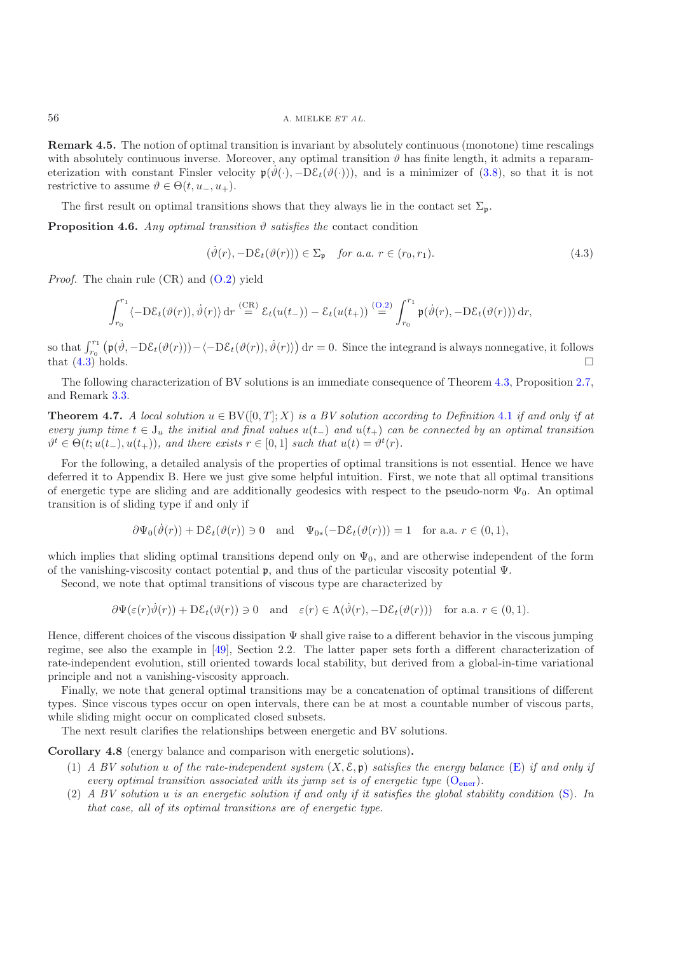**Remark 4.5.** The notion of optimal transition is invariant by absolutely continuous (monotone) time rescalings with absolutely continuous inverse. Moreover, any optimal transition  $\vartheta$  has finite length, it admits a reparameterization with constant Finsler velocity  $p(\hat{\theta}(\cdot), -D\mathcal{E}_t(\hat{\theta}(\cdot)))$ , and is a minimizer of [\(3.8\)](#page-15-2), so that it is not restrictive to assume  $\vartheta \in \Theta(t, u_-, u_+).$ 

The first result on optimal transitions shows that they always lie in the contact set  $\Sigma_p$ .

**Proposition 4.6.** *Any optimal transition*  $\vartheta$  *satisfies the* contact condition

$$
(\dot{\vartheta}(r), -D\mathcal{E}_t(\vartheta(r))) \in \Sigma_{\mathfrak{p}} \quad \text{for a.a. } r \in (r_0, r_1). \tag{4.3}
$$

*Proof.* The chain rule (CR) and [\(O.2\)](#page-19-3) yield

<span id="page-20-0"></span>
$$
\int_{r_0}^{r_1} \langle -D\mathcal{E}_t(\vartheta(r)), \dot{\vartheta}(r) \rangle dr \stackrel{\text{(CR)}}{=} \mathcal{E}_t(u(t_-)) - \mathcal{E}_t(u(t_+)) \stackrel{\text{(O.2)}}{=} \int_{r_0}^{r_1} \mathfrak{p}(\dot{\vartheta}(r), -D\mathcal{E}_t(\vartheta(r))) dr,
$$

so that  $\int_{r_0}^{r_1} (\mathfrak{p}(\dot{\vartheta}, -D\mathcal{E}_t(\vartheta(r))) - \langle -D\mathcal{E}_t(\vartheta(r)), \dot{\vartheta}(r) \rangle) dr = 0$ . Since the integrand is always nonnegative, it follows that  $(4.3)$  holds.

The following characterization of BV solutions is an immediate consequence of Theorem [4.3,](#page-10-0) Proposition [2.7,](#page-13-0) and Remark [3.3.](#page-10-0)

**Theorem 4.7.** *A local solution*  $u \in BV([0,T]; X)$  *is a BV solution according to Definition* [4.1](#page-7-8) *if and only if at every jump time*  $t \in J_u$  *the initial and final values*  $u(t_+)$  *and*  $u(t_+)$  *can be connected by an optimal transition*  $\vartheta^t \in \Theta(t; u(t_-), u(t_+)),$  and there exists  $r \in [0, 1]$  such that  $u(t) = \vartheta^t(r)$ .

For the following, a detailed analysis of the properties of optimal transitions is not essential. Hence we have deferred it to Appendix B. Here we just give some helpful intuition. First, we note that all optimal transitions of energetic type are sliding and are additionally geodesics with respect to the pseudo-norm  $\Psi_0$ . An optimal transition is of sliding type if and only if

$$
\partial \Psi_0(\dot{\vartheta}(r)) + D\mathcal{E}_t(\vartheta(r)) \ni 0 \quad \text{and} \quad \Psi_{0*}(-D\mathcal{E}_t(\vartheta(r))) = 1 \quad \text{for a.a. } r \in (0,1),
$$

which implies that sliding optimal transitions depend only on  $\Psi_0$ , and are otherwise independent of the form of the vanishing-viscosity contact potential p, and thus of the particular viscosity potential Ψ.

Second, we note that optimal transitions of viscous type are characterized by

$$
\partial \Psi(\varepsilon(r)\dot{\vartheta}(r)) + D\mathcal{E}_t(\vartheta(r)) \ni 0 \quad \text{and} \quad \varepsilon(r) \in \Lambda(\dot{\vartheta}(r), -D\mathcal{E}_t(\vartheta(r))) \quad \text{for a.a. } r \in (0,1).
$$

Hence, different choices of the viscous dissipation  $\Psi$  shall give raise to a different behavior in the viscous jumping regime, see also the example in [\[49\]](#page-44-31), Section 2.2. The latter paper sets forth a different characterization of rate-independent evolution, still oriented towards local stability, but derived from a global-in-time variational principle and not a vanishing-viscosity approach.

Finally, we note that general optimal transitions may be a concatenation of optimal transitions of different types. Since viscous types occur on open intervals, there can be at most a countable number of viscous parts, while sliding might occur on complicated closed subsets.

The next result clarifies the relationships between energetic and BV solutions.

**Corollary 4.8** (energy balance and comparison with energetic solutions)**.**

- (1) *A BV solution* u *of the rate-independent system* (X, E, p) *satisfies the energy balance* [\(E\)](#page-7-3) *if and only if every optimal transition associated with its jump set is of energetic type*  $(O_{\text{ener}})$  $(O_{\text{ener}})$ *.*
- (2) *A BV solution* u *is an energetic solution if and only if it satisfies the global stability condition* [\(S\)](#page-7-2)*. In that case, all of its optimal transitions are of energetic type.*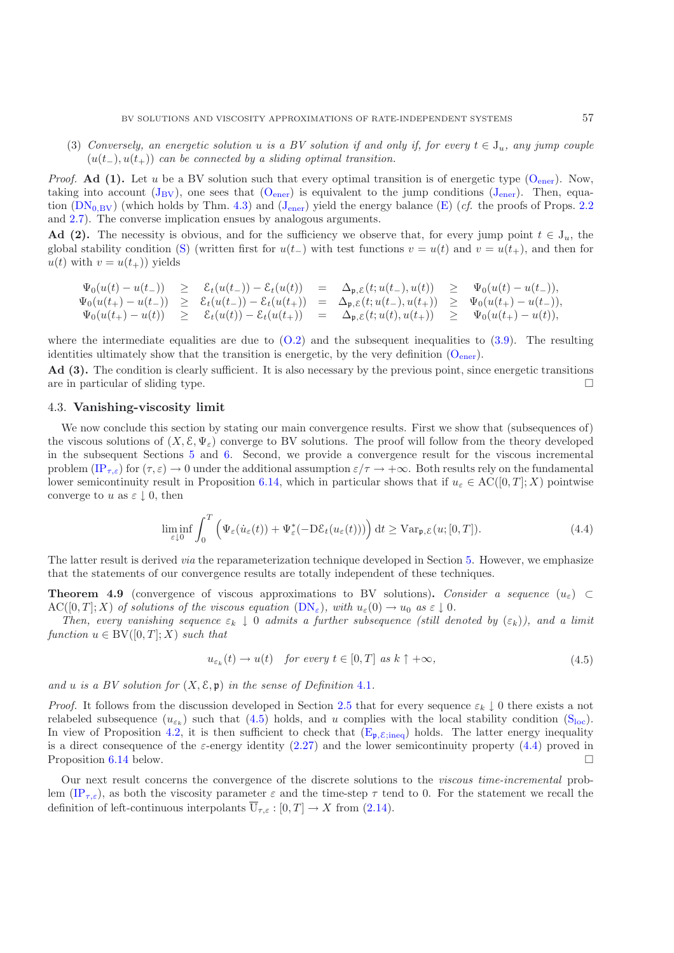(3) *Conversely, an energetic solution* u *is a BV solution if and only if, for every*  $t \in J_u$ *, any jump couple* (u(t−), u(t+)) *can be connected by a sliding optimal transition.*

*Proof.* **Ad (1).** Let u be a BV solution such that every optimal transition is of [ener](#page-19-4)getic type  $(O_{ener})$ . Now, taking into account  $(J_{BV})$  $(J_{BV})$  $(J_{BV})$ , one sees that  $(O_{ener})$  $(O_{ener})$  $(O_{ener})$  is equivalent to the jump conditions  $(J_{ener})$ . Then, equation  $(DN_{0,BV})$  $(DN_{0,BV})$  (which holds by Thm. [4.3\)](#page-10-0) and  $(J_{\text{ener}})$  $(J_{\text{ener}})$  $(J_{\text{ener}})$  yield the energy balance [\(E\)](#page-7-3) (*cf.* the proofs of Props. [2.2](#page-8-0) and [2.7\)](#page-13-0). The converse implication ensues by analogous arguments.

**Ad (2).** The necessity is obvious, and for the sufficiency we observe that, for every jump point  $t \in J_u$ , the global stability condition [\(S\)](#page-7-2) (written first for  $u(t_{-})$  with test functions  $v = u(t)$  and  $v = u(t_{+})$ , and then for  $u(t)$  with  $v = u(t_+)$  yields

$$
\begin{array}{rclcrcl} \Psi_0(u(t)-u(t_-)) & \geq & \mathcal{E}_t(u(t_-))-\mathcal{E}_t(u(t)) &=& \Delta_{\mathfrak{p},\mathcal{E}}(t;u(t_-),u(t)) & \geq & \Psi_0(u(t)-u(t_-)),\\ \Psi_0(u(t_+)-u(t_-)) & \geq & \mathcal{E}_t(u(t_-))-\mathcal{E}_t(u(t_+)) &=& \Delta_{\mathfrak{p},\mathcal{E}}(t;u(t_-),u(t_+)) & \geq & \Psi_0(u(t_+)-u(t_-)),\\ \Psi_0(u(t_+)-u(t)) & \geq & \mathcal{E}_t(u(t))-\mathcal{E}_t(u(t_+)) &=& \Delta_{\mathfrak{p},\mathcal{E}}(t;u(t),u(t_+)) & \geq & \Psi_0(u(t_+)-u(t)), \end{array}
$$

where the intermediate equalities are due to  $(0.2)$  and the subsequent inequalities to  $(3.9)$ . The resulting identities ultimately show that the transition is [ener](#page-19-4)getic, by the very definition  $(O_{\text{ener}})$ .

Ad (3). The condition is clearly sufficient. It is also necessary by the previous point, since energetic transitions are in particular of sliding type.  $\Box$ 

#### <span id="page-21-0"></span>4.3. **Vanishing-viscosity limit**

We now conclude this section by stating our main convergence results. First we show that (subsequences of) the viscous solutions of  $(X, \mathcal{E}, \Psi_{\varepsilon})$  converge to BV solutions. The proof will follow from the theory developed in the subsequent Sections [5](#page-23-0) and [6.](#page-29-0) Second, we provide a convergence result for the viscous incremental problem  $(\Pi_{\tau,\varepsilon})$  for  $(\tau,\varepsilon) \to 0$  under the additional assumption  $\varepsilon/\tau \to +\infty$ . Both results rely on the fundamental lower semicontinuity result in Proposition [6.14,](#page-37-1) which in particular shows that if  $u_{\varepsilon} \in AC([0,T]; X)$  pointwise converge to u as  $\varepsilon \perp 0$ , then

$$
\liminf_{\varepsilon \downarrow 0} \int_0^T \left( \Psi_{\varepsilon}(\dot{u}_{\varepsilon}(t)) + \Psi_{\varepsilon}^*(-\mathcal{D}\mathcal{E}_t(u_{\varepsilon}(t))) \right) dt \geq \mathrm{Var}_{\mathfrak{p}, \mathcal{E}}(u; [0, T]). \tag{4.4}
$$

<span id="page-21-2"></span>The latter result is derived *via* the reparameterization technique developed in Section [5.](#page-23-0) However, we emphasize that the statements of our convergence results are totally independent of these techniques.

**Theorem 4.9** (convergence of viscous approximations to BV solutions). *Consider a sequence*  $(u_{\varepsilon}) \subset$ AC([0, T]; X) of solutions of the viscous equation  $(DN_{\varepsilon})$  $(DN_{\varepsilon})$ , with  $u_{\varepsilon}(0) \to u_0$  as  $\varepsilon \downarrow 0$ .

*Then, every vanishing sequence*  $\varepsilon_k \downarrow 0$  *admits a further subsequence (still denoted by*  $(\varepsilon_k)$ *), and a limit function*  $u \in BV([0,T];X)$  *such that* 

$$
u_{\varepsilon_k}(t) \to u(t) \quad \text{for every } t \in [0, T] \text{ as } k \uparrow +\infty,
$$
\n
$$
(4.5)
$$

<span id="page-21-1"></span>*and u is a BV solution for*  $(X, \mathcal{E}, \mathfrak{p})$  *in the sense of Definition* [4.1](#page-7-8)*.* 

*Proof.* It follows from the discussion developed in Section [2.5](#page-12-2) that for every sequence  $\varepsilon_k \downarrow 0$  there exists a not relabeled subsequence  $(u_{\varepsilon_k})$  such that [\(4.5\)](#page-21-1) holds, and u complies with the local stability condition [\(S](#page-18-1)<sub>loc</sub>). In view of Proposition [4.2,](#page-8-0) it is then sufficient to check that  $(E_{p,\mathcal{E};\text{ineq}})$  holds. The latter energy inequality is a direct consequence of the  $\varepsilon$ -energy identity [\(2.27\)](#page-11-4) and the lower semicontinuity property [\(4.4\)](#page-21-2) proved in Proposition [6.14](#page-37-1) below.

Our next result concerns the convergence of the discrete solutions to the *viscous time-incremental* problem  $(\text{IP}_{\tau,\varepsilon})$ , as both the viscosity parameter  $\varepsilon$  and the time-step  $\tau$  tend to 0. For the statement we recall the definition of left-continuous interpolants  $\overline{U}_{\tau,\varepsilon} : [0,T] \to X$  from [\(2.14\)](#page-8-4).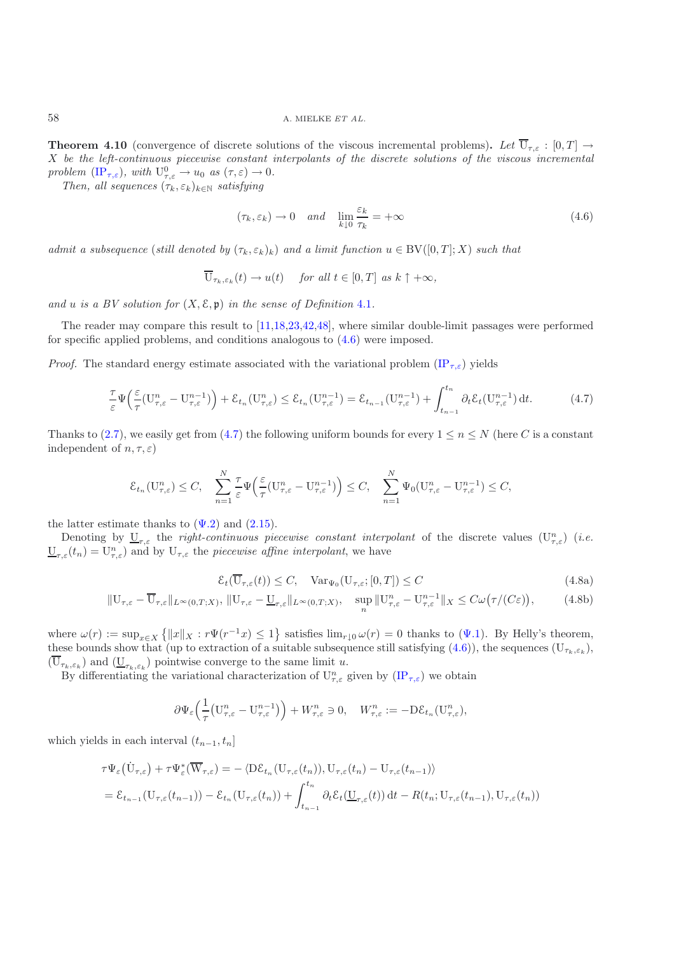**Theorem 4.10** (convergence of discrete solutions of the viscous incremental problems). Let  $\overline{U}_{\tau,\varepsilon}$ :  $[0,T] \rightarrow$ X *be the left-continuous piecewise constant interpolants of the discrete solutions of the viscous incremental problem*  $(\text{IP}_{\tau,\varepsilon})$ *, with*  $U_{\tau,\varepsilon}^0 \to u_0$  *as*  $(\tau,\varepsilon) \to 0$ *.* 

*Then, all sequences*  $(\tau_k, \varepsilon_k)_{k \in \mathbb{N}}$  *satisfying* 

$$
(\tau_k, \varepsilon_k) \to 0 \quad and \quad \lim_{k \downarrow 0} \frac{\varepsilon_k}{\tau_k} = +\infty \tag{4.6}
$$

*admit a subsequence* (*still denoted by*  $(\tau_k, \varepsilon_k)_k$ ) *and a limit function*  $u \in BV([0, T]; X)$  *such that* 

<span id="page-22-0"></span>
$$
\overline{\mathbf{U}}_{\tau_k,\varepsilon_k}(t) \to u(t) \quad \text{ for all } t \in [0,T] \text{ as } k \uparrow +\infty,
$$

*and* u *is a BV solution for* (X, E, p) *in the sense of Definition* [4.1](#page-7-8)*.*

The reader may compare this result to [\[11](#page-43-8)[,18](#page-43-0)[,23](#page-44-20)[,42](#page-44-5)[,48\]](#page-44-32), where similar double-limit passages were performed for specific applied problems, and conditions analogous to [\(4.6\)](#page-22-0) were imposed.

<span id="page-22-1"></span>*Proof.* The standard energy estimate associated with the variational problem  $(\text{IP}_{\tau,\varepsilon})$  yields

$$
\frac{\tau}{\varepsilon}\Psi\left(\frac{\varepsilon}{\tau}(U_{\tau,\varepsilon}^n - U_{\tau,\varepsilon}^{n-1})\right) + \mathcal{E}_{t_n}(U_{\tau,\varepsilon}^n) \le \mathcal{E}_{t_n}(U_{\tau,\varepsilon}^{n-1}) = \mathcal{E}_{t_{n-1}}(U_{\tau,\varepsilon}^{n-1}) + \int_{t_{n-1}}^{t_n} \partial_t \mathcal{E}_t(U_{\tau,\varepsilon}^{n-1}) dt. \tag{4.7}
$$

Thanks to [\(2.7\)](#page-7-6), we easily get from [\(4.7\)](#page-22-1) the following uniform bounds for every  $1 \le n \le N$  (here C is a constant independent of  $n, \tau, \varepsilon$ )

$$
\mathcal{E}_{t_n}(\mathbf{U}_{\tau,\varepsilon}^n) \leq C, \quad \sum_{n=1}^N \frac{\tau}{\varepsilon} \Psi\left(\frac{\varepsilon}{\tau} (\mathbf{U}_{\tau,\varepsilon}^n - \mathbf{U}_{\tau,\varepsilon}^{n-1})\right) \leq C, \quad \sum_{n=1}^N \Psi_0(\mathbf{U}_{\tau,\varepsilon}^n - \mathbf{U}_{\tau,\varepsilon}^{n-1}) \leq C,
$$

the latter estimate thanks to  $(\Psi.2)$  and  $(2.15)$ .

Denoting by  $\underline{U}_{\tau,\varepsilon}$  the *right-continuous piecewise constant interpolant* of the discrete values  $(U_{\tau,\varepsilon})$  (*i.e.*  $\underline{U}_{\tau,\varepsilon}(t_n) = \overline{U}_{\tau,\varepsilon}^n$  and by  $U_{\tau,\varepsilon}$  the *piecewise affine interpolant*, we have

<span id="page-22-3"></span><span id="page-22-2"></span>
$$
\mathcal{E}_t(\overline{\mathbf{U}}_{\tau,\varepsilon}(t)) \le C, \quad \text{Var}_{\Psi_0}(\mathbf{U}_{\tau,\varepsilon};[0,T]) \le C \tag{4.8a}
$$

$$
\|\mathbf{U}_{\tau,\varepsilon}-\overline{\mathbf{U}}_{\tau,\varepsilon}\|_{L^{\infty}(0,T;X)},\|\mathbf{U}_{\tau,\varepsilon}-\underline{\mathbf{U}}_{\tau,\varepsilon}\|_{L^{\infty}(0,T;X)},\quad \sup_{n}\|\mathbf{U}_{\tau,\varepsilon}^{n}-\mathbf{U}_{\tau,\varepsilon}^{n-1}\|_{X}\leq C\omega(\tau/(C\varepsilon)),\tag{4.8b}
$$

where  $\omega(r) := \sup_{x \in X} \{ ||x||_X : r\Psi(r^{-1}x) \leq 1 \}$  satisfies  $\lim_{r \downarrow 0} \omega(r) = 0$  thanks to  $(\Psi.1)$ . By Helly's theorem, these bounds show that (up to extraction of a suitable subsequence still satisfying  $(4.6)$ ), the sequences  $(U_{\tau_k,\varepsilon_k})$ ,  $(\overline{U}_{\tau_k,\varepsilon_k})$  and  $(\underline{U}_{\tau_k,\varepsilon_k})$  pointwise converge to the same limit u.

By differentiating the variational characterization of  $U_{\tau,\varepsilon}^n$  given by  $(\text{IP}_{\tau,\varepsilon})$  we obtain

$$
\partial \Psi_{\varepsilon} \left( \frac{1}{\tau} \left( \mathbf{U}_{\tau,\varepsilon}^n - \mathbf{U}_{\tau,\varepsilon}^{n-1} \right) \right) + W_{\tau,\varepsilon}^n \ni 0, \quad W_{\tau,\varepsilon}^n := -\mathrm{D} \mathcal{E}_{t_n} (\mathbf{U}_{\tau,\varepsilon}^n),
$$

which yields in each interval  $(t_{n-1}, t_n]$ 

$$
\tau \Psi_{\varepsilon} (\dot{\mathbf{U}}_{\tau,\varepsilon}) + \tau \Psi_{\varepsilon}^* (\overline{\mathbf{W}}_{\tau,\varepsilon}) = - \langle \mathbf{D} \mathcal{E}_{t_n} (\mathbf{U}_{\tau,\varepsilon}(t_n)), \mathbf{U}_{\tau,\varepsilon}(t_n) - \mathbf{U}_{\tau,\varepsilon}(t_{n-1}) \rangle
$$
  
=  $\mathcal{E}_{t_{n-1}} (\mathbf{U}_{\tau,\varepsilon}(t_{n-1})) - \mathcal{E}_{t_n} (\mathbf{U}_{\tau,\varepsilon}(t_n)) + \int_{t_{n-1}}^{t_n} \partial_t \mathcal{E}_t (\underline{\mathbf{U}}_{\tau,\varepsilon}(t)) dt - R(t_n; \mathbf{U}_{\tau,\varepsilon}(t_{n-1}), \mathbf{U}_{\tau,\varepsilon}(t_n))$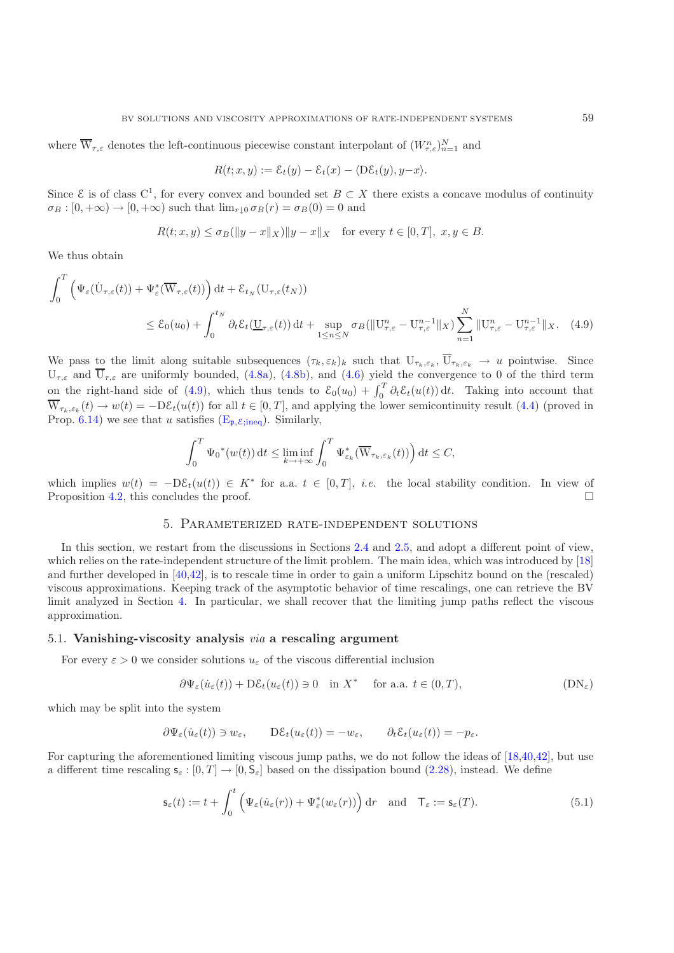where  $\overline{W}_{\tau,\varepsilon}$  denotes the left-continuous piecewise constant interpolant of  $(W_{\tau,\varepsilon}^n)_{n=1}^N$  and

<span id="page-23-1"></span>
$$
R(t; x, y) := \mathcal{E}_t(y) - \mathcal{E}_t(x) - \langle D\mathcal{E}_t(y), y - x \rangle.
$$

Since  $\mathcal E$  is of class C<sup>1</sup>, for every convex and bounded set  $B \subset X$  there exists a concave modulus of continuity  $\sigma_B : [0, +\infty) \to [0, +\infty)$  such that  $\lim_{r \to 0} \sigma_B(r) = \sigma_B(0) = 0$  and

$$
R(t; x, y) \le \sigma_B(\|y - x\|_X)\|y - x\|_X \quad \text{for every } t \in [0, T], \ x, y \in B.
$$

We thus obtain

$$
\int_0^T \left( \Psi_{\varepsilon}(\dot{U}_{\tau,\varepsilon}(t)) + \Psi_{\varepsilon}^*(\overline{W}_{\tau,\varepsilon}(t)) \right) dt + \mathcal{E}_{t_N}(U_{\tau,\varepsilon}(t_N))
$$
\n
$$
\leq \mathcal{E}_0(u_0) + \int_0^{t_N} \partial_t \mathcal{E}_t(\underline{U}_{\tau,\varepsilon}(t)) dt + \sup_{1 \leq n \leq N} \sigma_B(\|U_{\tau,\varepsilon}^n - U_{\tau,\varepsilon}^{n-1}\|_X) \sum_{n=1}^N \|U_{\tau,\varepsilon}^n - U_{\tau,\varepsilon}^{n-1}\|_X. \tag{4.9}
$$

We pass to the limit along suitable subsequences  $(\tau_k, \varepsilon_k)_k$  such that  $U_{\tau_k, \varepsilon_k}$ ,  $\overline{U}_{\tau_k, \varepsilon_k} \to u$  pointwise. Since  $U_{\tau,\varepsilon}$  and  $\overline{U}_{\tau,\varepsilon}$  are uniformly bounded, [\(4.8a\)](#page-22-2), [\(4.8b\)](#page-22-3), and [\(4.6\)](#page-22-0) yield the convergence to 0 of the third term on the right-hand side of [\(4.9\)](#page-23-1), which thus tends to  $\mathcal{E}_0(u_0) + \int_0^T \partial_t \mathcal{E}_t(u(t)) dt$ . Taking into account that  $\overline{W}_{\tau_k,\varepsilon_k}(t) \to w(t) = -D\mathcal{E}_t(u(t))$  for all  $t \in [0,T]$ , and applying the lower semicontinuity result [\(4.4\)](#page-21-2) (proved in Prop. [6.14\)](#page-37-1) we see that u satisfies  $(E_{\mathfrak{p}, \mathcal{E}; \text{ineq}})$ . Similarly,

$$
\int_0^T \Psi_0^*(w(t)) dt \le \liminf_{k \to +\infty} \int_0^T \Psi_{\varepsilon_k}^*(\overline{W}_{\tau_k, \varepsilon_k}(t)) dt \le C,
$$

<span id="page-23-0"></span>which implies  $w(t) = -D\mathcal{E}_t(u(t)) \in K^*$  for a.a.  $t \in [0,T]$ , *i.e.* the local stability condition. In view of Proposition [4.2,](#page-8-0) this concludes the proof.  $\Box$ 

#### 5. Parameterized rate-independent solutions

In this section, we restart from the discussions in Sections [2.4](#page-11-0) and [2.5,](#page-12-2) and adopt a different point of view, which relies on the rate-independent structure of the limit problem. The main idea, which was introduced by [\[18](#page-43-0)] and further developed in [\[40](#page-44-4)[,42\]](#page-44-5), is to rescale time in order to gain a uniform Lipschitz bound on the (rescaled) viscous approximations. Keeping track of the asymptotic behavior of time rescalings, one can retrieve the BV limit analyzed in Section [4.](#page-18-0) In particular, we shall recover that the limiting jump paths reflect the viscous approximation.

## <span id="page-23-3"></span>5.1. **Vanishing-viscosity analysis** *via* **a rescaling argument**

<span id="page-23-2"></span>For every  $\varepsilon > 0$  we consider solutions  $u_{\varepsilon}$  of the viscous differential inclusion

<span id="page-23-4"></span>
$$
\partial \Psi_{\varepsilon}(\dot{u}_{\varepsilon}(t)) + \mathrm{D}\mathcal{E}_{t}(u_{\varepsilon}(t)) \ni 0 \quad \text{in } X^* \quad \text{ for a.a. } t \in (0,T), \tag{DN_{\varepsilon}}
$$

which may be split into the system

$$
\partial \Psi_{\varepsilon}(\dot{u}_{\varepsilon}(t)) \ni w_{\varepsilon}, \qquad D\mathcal{E}_{t}(u_{\varepsilon}(t)) = -w_{\varepsilon}, \qquad \partial_{t}\mathcal{E}_{t}(u_{\varepsilon}(t)) = -p_{\varepsilon}.
$$

For capturing the aforementioned limiting viscous jump paths, we do not follow the ideas of [\[18](#page-43-0)[,40](#page-44-4)[,42](#page-44-5)], but use a different time rescaling  $\mathsf{s}_{\varepsilon} : [0,T] \to [0,\mathsf{S}_{\varepsilon}]$  based on the dissipation bound [\(2.28\)](#page-12-6), instead. We define

$$
\mathbf{s}_{\varepsilon}(t) := t + \int_0^t \left( \Psi_{\varepsilon}(\dot{u}_{\varepsilon}(r)) + \Psi_{\varepsilon}^*(w_{\varepsilon}(r)) \right) dr \quad \text{and} \quad \mathsf{T}_{\varepsilon} := \mathsf{s}_{\varepsilon}(T). \tag{5.1}
$$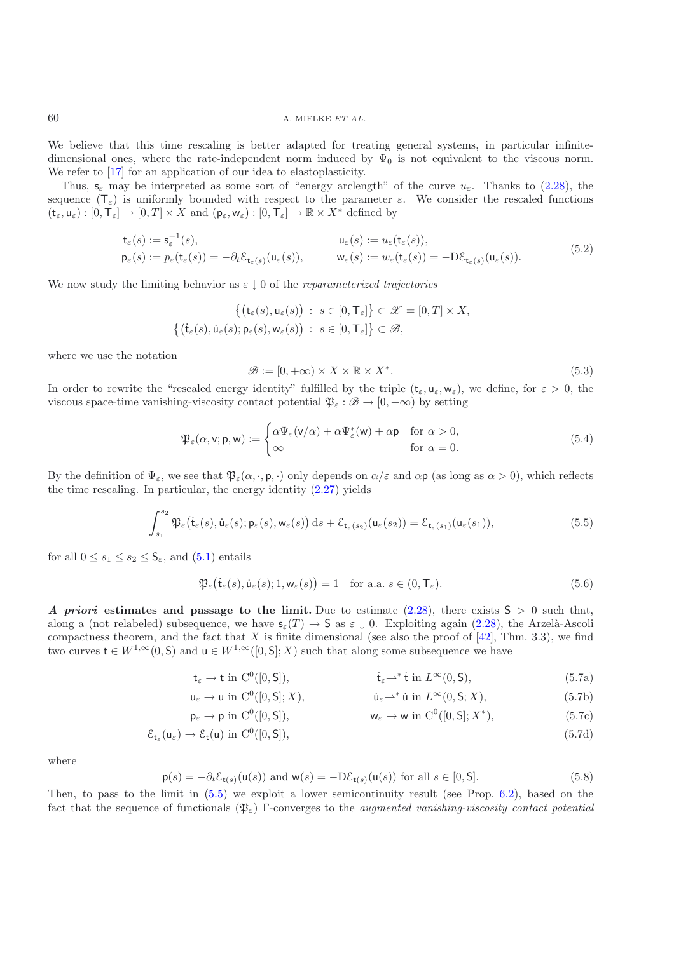We believe that this time rescaling is better adapted for treating general systems, in particular infinitedimensional ones, where the rate-independent norm induced by  $\Psi_0$  is not equivalent to the viscous norm. We refer to  $\left[17\right]$  $\left[17\right]$  $\left[17\right]$  for an application of our idea to elastoplasticity.

Thus,  $s_{\varepsilon}$  may be interpreted as some sort of "energy arclength" of the curve  $u_{\varepsilon}$ . Thanks to [\(2.28\)](#page-12-6), the sequence  $(\mathsf{T}_{\varepsilon})$  is uniformly bounded with respect to the parameter  $\varepsilon$ . We consider the rescaled functions  $(\mathsf{t}_{\varepsilon}, \mathsf{u}_{\varepsilon}) : [0, \mathsf{T}_{\varepsilon}] \to [0, T] \times X$  and  $(\mathsf{p}_{\varepsilon}, \mathsf{w}_{\varepsilon}) : [0, \mathsf{T}_{\varepsilon}] \to \mathbb{R} \times X^*$  defined by

$$
\begin{aligned}\n\mathbf{t}_{\varepsilon}(s) &:= \mathbf{s}_{\varepsilon}^{-1}(s), & \mathbf{u}_{\varepsilon}(s) &:= u_{\varepsilon}(\mathbf{t}_{\varepsilon}(s)), \\
\mathbf{p}_{\varepsilon}(s) &:= p_{\varepsilon}(\mathbf{t}_{\varepsilon}(s)) = -\partial_t \mathcal{E}_{\mathbf{t}_{\varepsilon}(s)}(\mathbf{u}_{\varepsilon}(s)), & \mathbf{w}_{\varepsilon}(s) &:= w_{\varepsilon}(\mathbf{t}_{\varepsilon}(s)) = -\mathbf{D}\mathcal{E}_{\mathbf{t}_{\varepsilon}(s)}(\mathbf{u}_{\varepsilon}(s)).\n\end{aligned}\n\tag{5.2}
$$

<span id="page-24-5"></span>We now study the limiting behavior as ε ↓ 0 of the *reparameterized trajectories*

$$
\left\{ \begin{aligned} \left\{ \begin{pmatrix} \mathsf{t}_{\varepsilon}(s), \mathsf{u}_{\varepsilon}(s) \end{pmatrix} \; : \; s \in [0, \mathsf{T}_{\varepsilon}] \right\} \subset \mathscr{X} = [0, T] \times X, \\ \left\{ \begin{pmatrix} \mathsf{t}_{\varepsilon}(s), \mathsf{u}_{\varepsilon}(s); \mathsf{p}_{\varepsilon}(s), \mathsf{w}_{\varepsilon}(s) \end{pmatrix} \; : \; s \in [0, \mathsf{T}_{\varepsilon}] \right\} \subset \mathscr{B}, \end{aligned} \right.
$$

where we use the notation

$$
\mathcal{B} := [0, +\infty) \times X \times \mathbb{R} \times X^*.
$$
\n(5.3)

In order to rewrite the "rescaled energy identity" fulfilled by the triple  $(t_{\varepsilon}, u_{\varepsilon}, w_{\varepsilon})$ , we define, for  $\varepsilon > 0$ , the viscous space-time vanishing-viscosity contact potential  $\mathfrak{P}_{\varepsilon} : \mathscr{B} \to [0, +\infty)$  by setting

$$
\mathfrak{P}_{\varepsilon}(\alpha, \mathbf{v}; \mathbf{p}, \mathbf{w}) := \begin{cases} \alpha \Psi_{\varepsilon}(\mathbf{v}/\alpha) + \alpha \Psi_{\varepsilon}^{*}(\mathbf{w}) + \alpha \mathbf{p} & \text{for } \alpha > 0, \\ \infty & \text{for } \alpha = 0. \end{cases}
$$
\n(5.4)

<span id="page-24-4"></span>By the definition of  $\Psi_{\varepsilon}$ , we see that  $\mathfrak{P}_{\varepsilon}(\alpha, \cdot, \mathsf{p}, \cdot)$  only depends on  $\alpha/\varepsilon$  and  $\alpha\mathsf{p}$  (as long as  $\alpha > 0$ ), which reflects the time rescaling. In particular, the energy identity [\(2.27\)](#page-11-4) yields

$$
\int_{s_1}^{s_2} \mathfrak{P}_{\varepsilon}(\dot{\mathsf{t}}_{\varepsilon}(s), \dot{\mathsf{u}}_{\varepsilon}(s); \mathsf{p}_{\varepsilon}(s), \mathsf{w}_{\varepsilon}(s)) \, ds + \mathcal{E}_{\mathsf{t}_{\varepsilon}(s_2)}(\mathsf{u}_{\varepsilon}(s_2)) = \mathcal{E}_{\mathsf{t}_{\varepsilon}(s_1)}(\mathsf{u}_{\varepsilon}(s_1)),\tag{5.5}
$$

<span id="page-24-2"></span><span id="page-24-0"></span>for all  $0 \leq s_1 \leq s_2 \leq \mathsf{S}_{\varepsilon}$ , and  $(5.1)$  entails

$$
\mathfrak{P}_{\varepsilon}(\dot{\mathbf{t}}_{\varepsilon}(s), \dot{\mathbf{u}}_{\varepsilon}(s); 1, \mathbf{w}_{\varepsilon}(s)) = 1 \quad \text{for a.a. } s \in (0, \mathsf{T}_{\varepsilon}). \tag{5.6}
$$

*A priori* estimates and passage to the limit. Due to estimate [\(2.28\)](#page-12-6), there exists  $S > 0$  such that, along a (not relabeled) subsequence, we have  $s_{\varepsilon}(T) \to S$  as  $\varepsilon \downarrow 0$ . Exploiting again [\(2.28\)](#page-12-6), the Arzelà-Ascoli compactness theorem, and the fact that X is finite dimensional (see also the proof of  $[42]$ , Thm. 3.3), we find two curves  $t \in W^{1,\infty}(0, \mathsf{S})$  and  $u \in W^{1,\infty}([0, \mathsf{S}]; X)$  such that along some subsequence we have

<span id="page-24-1"></span>
$$
\mathsf{t}_{\varepsilon} \to \mathsf{t} \text{ in } \mathcal{C}^0([0,\mathsf{S}]), \qquad \qquad \mathsf{t}_{\varepsilon} \to^* \mathsf{t} \text{ in } L^{\infty}(0,\mathsf{S}), \tag{5.7a}
$$

$$
\mathsf{u}_{\varepsilon} \to \mathsf{u} \text{ in } \mathcal{C}^0([0,\mathsf{S}];X), \qquad \qquad \mathsf{\dot{u}}_{\varepsilon} \to^* \dot{\mathsf{u}} \text{ in } L^{\infty}(0,\mathsf{S};X), \tag{5.7b}
$$

$$
\mathsf{p}_{\varepsilon} \to \mathsf{p} \text{ in } C^{0}([0, S]), \qquad \qquad \mathsf{w}_{\varepsilon} \to \mathsf{w} \text{ in } C^{0}([0, S]; X^{*}), \qquad (5.7c)
$$

$$
\mathcal{E}_{t_{\varepsilon}}(u_{\varepsilon}) \to \mathcal{E}_{t}(u) \text{ in } C^{0}([0, S]),\tag{5.7d}
$$

<span id="page-24-3"></span>where

$$
\mathsf{p}(s) = -\partial_t \mathcal{E}_{\mathsf{t}(s)}(\mathsf{u}(s)) \text{ and } \mathsf{w}(s) = -\mathrm{D}\mathcal{E}_{\mathsf{t}(s)}(\mathsf{u}(s)) \text{ for all } s \in [0, \mathsf{S}]. \tag{5.8}
$$

Then, to pass to the limit in [\(5.5\)](#page-24-0) we exploit a lower semicontinuity result (see Prop. [6.2\)](#page-8-0), based on the fact that the sequence of functionals (Pε) Γ-converges to the *augmented vanishing-viscosity contact potential*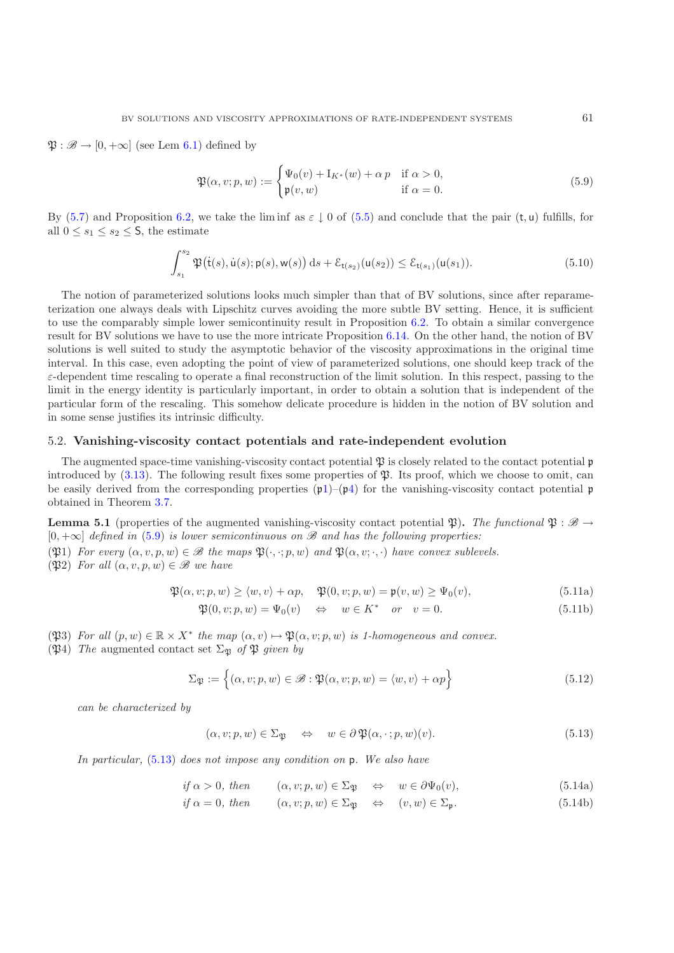<span id="page-25-0"></span> $\mathfrak{P}: \mathscr{B} \to [0, +\infty]$  (see Lem [6.1\)](#page-7-8) defined by

$$
\mathfrak{P}(\alpha, v; p, w) := \begin{cases} \Psi_0(v) + \mathbf{I}_{K^*}(w) + \alpha p & \text{if } \alpha > 0, \\ \mathfrak{p}(v, w) & \text{if } \alpha = 0. \end{cases}
$$
\n(5.9)

By [\(5.7\)](#page-24-1) and Proposition [6.2,](#page-8-0) we take the liminf as  $\varepsilon \downarrow 0$  of [\(5.5\)](#page-24-0) and conclude that the pair (t, u) fulfills, for all  $0 \leq s_1 \leq s_2 \leq S$ , the estimate

$$
\int_{s_1}^{s_2} \mathfrak{P}(\dot{\mathsf{t}}(s), \dot{\mathsf{u}}(s); \mathsf{p}(s), \mathsf{w}(s)) \, \mathrm{d}s + \mathcal{E}_{\mathsf{t}(s_2)}(\mathsf{u}(s_2)) \le \mathcal{E}_{\mathsf{t}(s_1)}(\mathsf{u}(s_1)).\tag{5.10}
$$

<span id="page-25-2"></span>The notion of parameterized solutions looks much simpler than that of BV solutions, since after reparameterization one always deals with Lipschitz curves avoiding the more subtle BV setting. Hence, it is sufficient to use the comparably simple lower semicontinuity result in Proposition [6.2.](#page-8-0) To obtain a similar convergence result for BV solutions we have to use the more intricate Proposition [6.14.](#page-37-1) On the other hand, the notion of BV solutions is well suited to study the asymptotic behavior of the viscosity approximations in the original time interval. In this case, even adopting the point of view of parameterized solutions, one should keep track of the  $\varepsilon$ -dependent time rescaling to operate a final reconstruction of the limit solution. In this respect, passing to the limit in the energy identity is particularly important, in order to obtain a solution that is independent of the particular form of the rescaling. This somehow delicate procedure is hidden in the notion of BV solution and in some sense justifies its intrinsic difficulty.

#### <span id="page-25-6"></span>5.2. **Vanishing-viscosity contact potentials and rate-independent evolution**

The augmented space-time vanishing-viscosity contact potential  $\mathfrak P$  is closely related to the contact potential  $\mathfrak p$ introduced by  $(3.13)$ . The following result fixes some properties of  $\mathfrak{P}$ . Its proof, which we choose to omit, can be easily derived from the corresponding properties  $(\mu 1)$  $(\mu 1)$ – $(\mu 4)$  $(\mu 4)$  for the vanishing-viscosity contact potential p obtained in Theorem [3.7.](#page-13-0)

**Lemma 5.1** (properties of the augmented vanishing-viscosity contact potential  $\mathfrak{P}$ ). The functional  $\mathfrak{P} : \mathscr{B} \to$ [0, +∞] *defined in* [\(5.9\)](#page-25-0) *is lower semicontinuous on B and has the following properties:*

<span id="page-25-4"></span>(P31) *For every*  $(\alpha, v, p, w) \in \mathcal{B}$  *the maps*  $\mathfrak{B}(\cdot, \cdot; p, w)$  *and*  $\mathfrak{B}(\alpha, v; \cdot, \cdot)$  *have convex sublevels.* 

( $\mathfrak{P}2$ ) *For all*  $(\alpha, v, p, w) \in \mathcal{B}$  *we have* 

$$
\mathfrak{P}(\alpha, v; p, w) \ge \langle w, v \rangle + \alpha p, \quad \mathfrak{P}(0, v; p, w) = \mathfrak{p}(v, w) \ge \Psi_0(v), \tag{5.11a}
$$

<span id="page-25-3"></span>
$$
\mathfrak{P}(0, v; p, w) = \Psi_0(v) \quad \Leftrightarrow \quad w \in K^* \quad \text{or} \quad v = 0. \tag{5.11b}
$$

- <span id="page-25-5"></span>(P3) *For all*  $(p, w) \in \mathbb{R} \times X^*$  *the map*  $(\alpha, v) \mapsto \mathfrak{P}(\alpha, v; p, w)$  *is 1-homogeneous and convex.*
- ( $\mathfrak{P}_4$ ) *The* augmented contact set  $\Sigma_{\mathfrak{P}}$  *of*  $\mathfrak{P}$  *given by*

$$
\Sigma_{\mathfrak{P}} := \left\{ (\alpha, v; p, w) \in \mathcal{B} : \mathfrak{P}(\alpha, v; p, w) = \langle w, v \rangle + \alpha p \right\}
$$
\n(5.12)

<span id="page-25-1"></span>*can be characterized by*

$$
(\alpha, v; p, w) \in \Sigma_{\mathfrak{P}} \quad \Leftrightarrow \quad w \in \partial \mathfrak{P}(\alpha, \cdot; p, w)(v). \tag{5.13}
$$

*In particular,* [\(5.13\)](#page-25-1) *does not impose any condition on* p*. We also have*

$$
if \alpha > 0, then \qquad (\alpha, v; p, w) \in \Sigma_{\mathfrak{P}} \quad \Leftrightarrow \quad w \in \partial \Psi_0(v), \tag{5.14a}
$$

$$
if \alpha = 0, then \qquad (\alpha, v; p, w) \in \Sigma_{\mathfrak{P}} \quad \Leftrightarrow \quad (v, w) \in \Sigma_{\mathfrak{p}}.
$$
 (5.14b)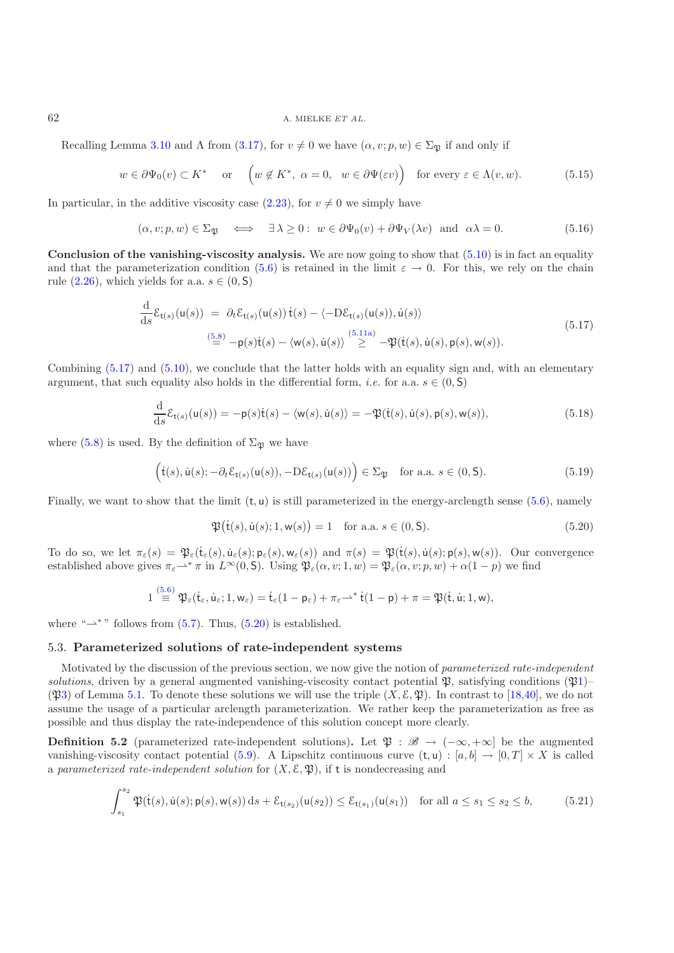## 62 A. MIELKE *ET AL.*

Recalling Lemma [3.10](#page-17-1) and  $\Lambda$  from [\(3.17\)](#page-17-4), for  $v \neq 0$  we have  $(\alpha, v; p, w) \in \Sigma_{\mathfrak{R}}$  if and only if

$$
w \in \partial \Psi_0(v) \subset K^*
$$
 or  $\left(w \notin K^*, \ \alpha = 0, \ w \in \partial \Psi(\varepsilon v)\right)$  for every  $\varepsilon \in \Lambda(v, w)$ . (5.15)

<span id="page-26-5"></span>In particular, in the additive viscosity case [\(2.23\)](#page-11-3), for  $v \neq 0$  we simply have

$$
(\alpha, v; p, w) \in \Sigma_{\mathfrak{P}} \iff \exists \lambda \ge 0 : w \in \partial \Psi_0(v) + \partial \Psi_V(\lambda v) \text{ and } \alpha \lambda = 0.
$$
 (5.16)

**Conclusion of the vanishing-viscosity analysis.** We are now going to show that  $(5.10)$  is in fact an equality and that the parameterization condition [\(5.6\)](#page-24-2) is retained in the limit  $\varepsilon \to 0$ . For this, we rely on the chain rule [\(2.26\)](#page-11-5), which yields for a.a.  $s \in (0, S)$ 

$$
\frac{\mathrm{d}}{\mathrm{d}s} \mathcal{E}_{\mathsf{t}(s)}(\mathsf{u}(s)) = \partial_t \mathcal{E}_{\mathsf{t}(s)}(\mathsf{u}(s)) \, \dot{\mathsf{t}}(s) - \langle -\mathrm{D} \mathcal{E}_{\mathsf{t}(s)}(\mathsf{u}(s)), \dot{\mathsf{u}}(s) \rangle \n\stackrel{(5.8)}{=} -\mathsf{p}(s) \dot{\mathsf{t}}(s) - \langle \mathsf{w}(s), \dot{\mathsf{u}}(s) \rangle \stackrel{(5.11a)}{\geq} -\mathfrak{P}(\dot{\mathsf{t}}(s), \dot{\mathsf{u}}(s), \mathsf{p}(s), \mathsf{w}(s)).
$$
\n(5.17)

<span id="page-26-0"></span>Combining  $(5.17)$  and  $(5.10)$ , we conclude that the latter holds with an equality sign and, with an elementary argument, that such equality also holds in the differential form, *i.e.* for a.a.  $s \in (0, S)$ 

$$
\frac{\mathrm{d}}{\mathrm{d}s}\mathcal{E}_{\mathsf{t}(s)}(\mathsf{u}(s)) = -\mathsf{p}(s)\dot{\mathsf{t}}(s) - \langle \mathsf{w}(s), \dot{\mathsf{u}}(s) \rangle = -\mathfrak{P}(\dot{\mathsf{t}}(s), \dot{\mathsf{u}}(s), \mathsf{p}(s), \mathsf{w}(s)),\tag{5.18}
$$

<span id="page-26-4"></span><span id="page-26-3"></span>where [\(5.8\)](#page-24-3) is used. By the definition of  $\Sigma_{\mathfrak{P}}$  we have

<span id="page-26-1"></span>
$$
(\dot{\mathsf{t}}(s), \dot{\mathsf{u}}(s); -\partial_t \mathcal{E}_{\mathsf{t}(s)}(\mathsf{u}(s)), -D \mathcal{E}_{\mathsf{t}(s)}(\mathsf{u}(s)) \big) \in \Sigma_{\mathfrak{P}} \quad \text{for a.a. } s \in (0, \mathsf{S}). \tag{5.19}
$$

Finally, we want to show that the limit  $(t, u)$  is still parameterized in the energy-arclength sense [\(5.6\)](#page-24-2), namely

$$
\mathfrak{P}(\dot{\mathsf{t}}(s), \dot{\mathsf{u}}(s); 1, \mathsf{w}(s)) = 1 \quad \text{for a.a. } s \in (0, \mathsf{S}).\tag{5.20}
$$

To do so, we let  $\pi_{\varepsilon}(s) = \mathfrak{P}_{\varepsilon}(\mathfrak{t}_{\varepsilon}(s), \mathfrak{u}_{\varepsilon}(s); \mathfrak{p}_{\varepsilon}(s), \mathfrak{w}_{\varepsilon}(s))$  and  $\pi(s) = \mathfrak{P}(\mathfrak{t}(s), \mathfrak{u}(s); \mathfrak{p}(s), \mathfrak{w}(s))$ . Our convergence established above gives  $\pi_{\varepsilon} \to^* \pi$  in  $L^{\infty}(0, \mathsf{S})$ . Using  $\mathfrak{P}_{\varepsilon}(\alpha, v; 1, w) = \mathfrak{P}_{\varepsilon}(\alpha, v; p, w) + \alpha(1 - p)$  we find

$$
1\stackrel{(5.6)}{\equiv} \mathfrak{P}_\varepsilon(t_\varepsilon,\dot{u}_\varepsilon;1,w_\varepsilon)=\dot{t}_\varepsilon(1-p_\varepsilon)+\pi_\varepsilon \rightharpoonup^* \dot{t}(1-p)+\pi=\mathfrak{P}(\dot{t},\dot{u};1,w),
$$

where " $\rightarrow$ "" follows from [\(5.7\)](#page-24-1). Thus, [\(5.20\)](#page-26-1) is established.

#### 5.3. **Parameterized solutions of rate-independent systems**

Motivated by the discussion of the previous section, we now give the notion of *parameterized rate-independent solutions*, driven by a general augmented vanishing-viscosity contact potential  $\mathfrak{P}$ , satisfying conditions  $(\mathfrak{P}1)$  $(\mathfrak{P}1)$ –  $(\mathfrak{B}3)$  $(\mathfrak{B}3)$  of Lemma [5.1.](#page-7-8) To denote these solutions we will use the triple  $(X, \mathcal{E}, \mathfrak{B})$ . In contrast to [\[18](#page-43-0)[,40\]](#page-44-4), we do not assume the usage of a particular arclength parameterization. We rather keep the parameterization as free as possible and thus display the rate-independence of this solution concept more clearly.

<span id="page-26-2"></span>**Definition 5.2** (parameterized rate-independent solutions). Let  $\mathfrak{P} : \mathscr{B} \to (-\infty, +\infty]$  be the augmented vanishing-viscosity contact potential [\(5.9\)](#page-25-0). A Lipschitz continuous curve  $(t, u): [a, b] \rightarrow [0, T] \times X$  is called a *parameterized rate-independent solution* for  $(X, \mathcal{E}, \mathfrak{P})$ , if t is nondecreasing and

$$
\int_{s_1}^{s_2} \mathfrak{P}(\dot{t}(s), \dot{u}(s); p(s), w(s)) ds + \mathcal{E}_{t(s_2)}(u(s_2)) \le \mathcal{E}_{t(s_1)}(u(s_1)) \quad \text{for all } a \le s_1 \le s_2 \le b,
$$
 (5.21)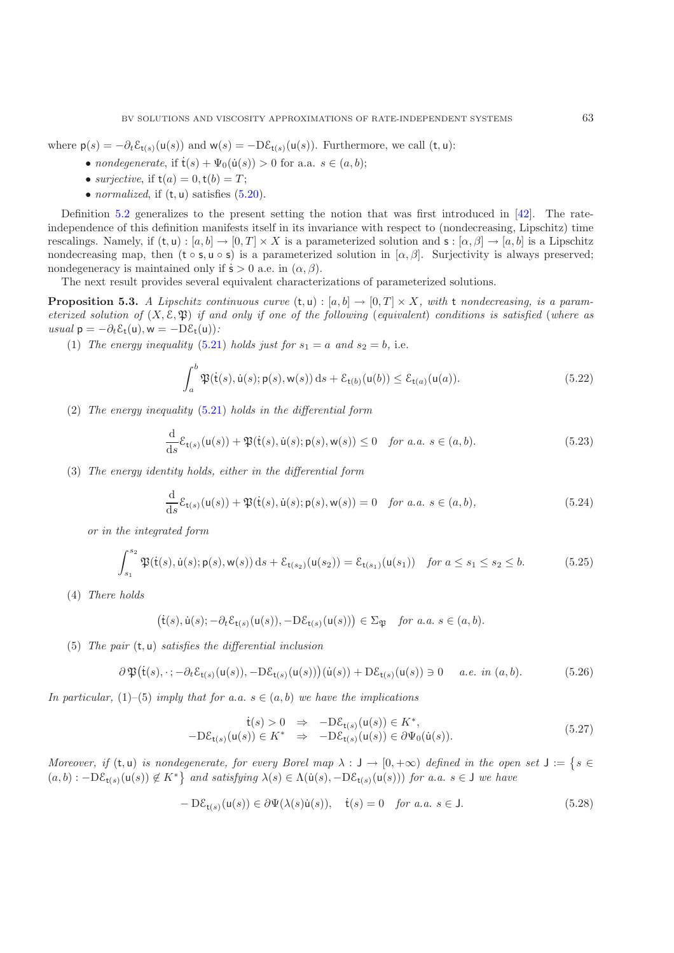where  $p(s) = -\partial_t \mathcal{E}_{t(s)}(u(s))$  and  $w(s) = -D\mathcal{E}_{t(s)}(u(s))$ . Furthermore, we call  $(t, u)$ :

- *nondegenerate*, if  $\dot{\mathbf{t}}(s) + \Psi_0(\dot{\mathbf{u}}(s)) > 0$  for a.a.  $s \in (a, b);$
- *surjective*, if  $t(a) = 0, t(b) = T$ ;
- *normalized*, if (t, u) satisfies [\(5.20\)](#page-26-1).

Definition [5.2](#page-8-0) generalizes to the present setting the notion that was first introduced in [\[42](#page-44-5)]. The rateindependence of this definition manifests itself in its invariance with respect to (nondecreasing, Lipschitz) time rescalings. Namely, if  $(t, u): [a, b] \to [0, T] \times X$  is a parameterized solution and  $s: [\alpha, \beta] \to [a, b]$  is a Lipschitz nondecreasing map, then  $(t \circ s, u \circ s)$  is a parameterized solution in  $[\alpha, \beta]$ . Surjectivity is always preserved; nondegeneracy is maintained only if  $\dot{\mathsf{s}} > 0$  a.e. in  $(\alpha, \beta)$ .

The next result provides several equivalent characterizations of parameterized solutions.

**Proposition 5.3.** *A Lipschitz continuous curve*  $(t, u) : [a, b] \rightarrow [0, T] \times X$ , with t *nondecreasing*, *is a parameterized solution of* (X, E, P) *if and only if one of the following* (*equivalent*) *conditions is satisfied* (*where as*  $usual \mathsf{p} = -\partial_t \mathcal{E}_\mathsf{t}(\mathsf{u}), \mathsf{w} = -\mathrm{D}\mathcal{E}_\mathsf{t}(\mathsf{u})$ :

<span id="page-27-1"></span>(1) *The energy inequality* [\(5.21\)](#page-26-2) *holds just for*  $s_1 = a$  *and*  $s_2 = b$ , i.e.

$$
\int_a^b \mathfrak{P}(\dot{\mathsf{t}}(s), \dot{\mathsf{u}}(s); \mathsf{p}(s), \mathsf{w}(s)) \, \mathrm{d}s + \mathcal{E}_{\mathsf{t}(b)}(\mathsf{u}(b)) \le \mathcal{E}_{\mathsf{t}(a)}(\mathsf{u}(a)).\tag{5.22}
$$

(2) *The energy inequality* [\(5.21\)](#page-26-2) *holds in the differential form*

$$
\frac{\mathrm{d}}{\mathrm{d}s}\mathcal{E}_{\mathsf{t}(s)}(\mathsf{u}(s)) + \mathfrak{P}(\dot{\mathsf{t}}(s), \dot{\mathsf{u}}(s); \mathsf{p}(s), \mathsf{w}(s)) \le 0 \quad \text{for a.a. } s \in (a, b). \tag{5.23}
$$

(3) *The energy identity holds, either in the differential form*

$$
\frac{\mathrm{d}}{\mathrm{d}s}\mathcal{E}_{\mathsf{t}(s)}(\mathsf{u}(s)) + \mathfrak{P}(\dot{\mathsf{t}}(s), \dot{\mathsf{u}}(s); \mathsf{p}(s), \mathsf{w}(s)) = 0 \quad \text{for a.a. } s \in (a, b), \tag{5.24}
$$

*or in the integrated form*

$$
\int_{s_1}^{s_2} \mathfrak{P}(\dot{t}(s), \dot{u}(s); \mathsf{p}(s), \mathsf{w}(s)) \, ds + \mathcal{E}_{t(s_2)}(u(s_2)) = \mathcal{E}_{t(s_1)}(u(s_1)) \quad \text{for } a \le s_1 \le s_2 \le b. \tag{5.25}
$$

(4) *There holds*

$$
\big(\dot{\mathsf{t}}(s),\dot{\mathsf{u}}(s);-\partial_t \mathcal{E}_{\mathsf{t}(s)}(\mathsf{u}(s)),-\mathrm{D}\mathcal{E}_{\mathsf{t}(s)}(\mathsf{u}(s))\big) \in \Sigma_{\mathfrak{P}} \quad \textit{for a.a.} \ s\in (a,b).
$$

(5) *The pair* (t, u) *satisfies the differential inclusion*

$$
\partial \mathfrak{P}(\dot{\mathsf{t}}(s), \cdot; -\partial_t \mathcal{E}_{\mathsf{t}(s)}(\mathsf{u}(s)), -D \mathcal{E}_{\mathsf{t}(s)}(\mathsf{u}(s)))(\dot{\mathsf{u}}(s)) + D \mathcal{E}_{\mathsf{t}(s)}(\mathsf{u}(s)) \ni 0 \quad a.e. \text{ in } (a, b). \tag{5.26}
$$

<span id="page-27-0"></span>*In particular,* (1)–(5) *imply that for a.a.*  $s \in (a, b)$  *we have the implications* 

$$
\dot{\mathbf{t}}(s) > 0 \Rightarrow -\mathbf{D}\mathcal{E}_{\mathbf{t}(s)}(\mathbf{u}(s)) \in K^*,
$$
  
-
$$
\mathbf{D}\mathcal{E}_{\mathbf{t}(s)}(\mathbf{u}(s)) \in K^* \Rightarrow -\mathbf{D}\mathcal{E}_{\mathbf{t}(s)}(\mathbf{u}(s)) \in \partial \Psi_0(\dot{\mathbf{u}}(s)).
$$
 (5.27)

*Moreover, if*  $(t, u)$  *is nondegenerate, for every Borel map*  $\lambda : J \to [0, +\infty)$  *defined in the open set*  $J := \{ s \in$  $(a, b) : -D\mathcal{E}_{t(s)}(u(s)) \notin K^* \}$  and satisfying  $\lambda(s) \in \Lambda(u(s), -D\mathcal{E}_{t(s)}(u(s)))$  for a.a.  $s \in J$  we have

$$
-D\mathcal{E}_{\mathsf{t}(s)}(\mathsf{u}(s)) \in \partial \Psi(\lambda(s)\dot{\mathsf{u}}(s)), \quad \dot{\mathsf{t}}(s) = 0 \quad \text{for a.a. } s \in \mathsf{J}.\tag{5.28}
$$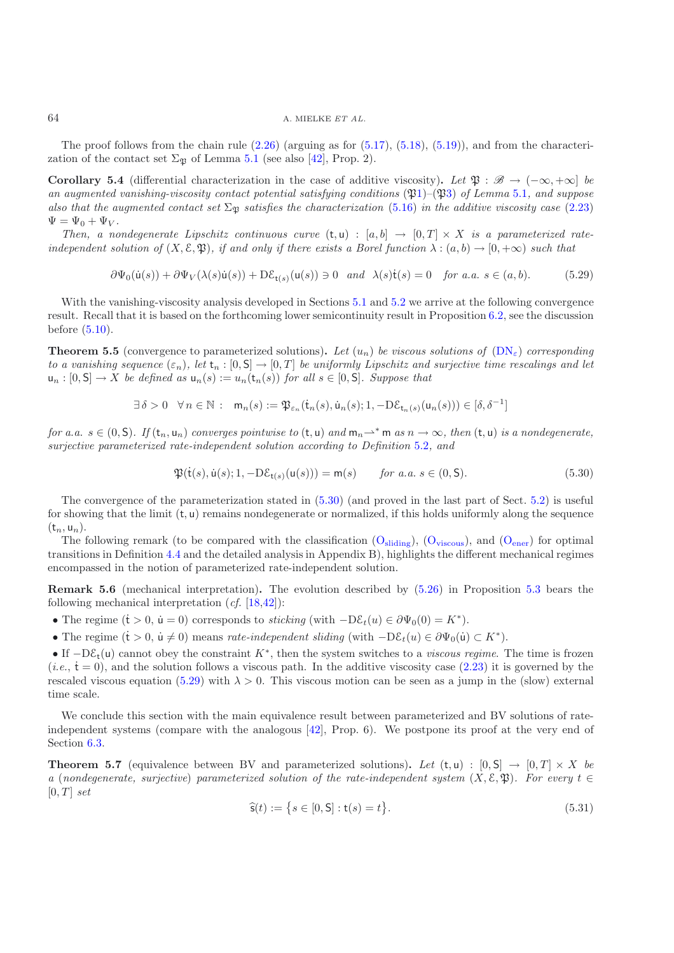The proof follows from the chain rule  $(2.26)$  (arguing as for  $(5.17)$ ,  $(5.18)$ ,  $(5.19)$ ), and from the characterization of the contact set  $\Sigma_{\mathfrak{P}}$  of Lemma [5.1](#page-7-8) (see also [\[42\]](#page-44-5), Prop. 2).

**Corollary 5.4** (differential characterization in the case of additive viscosity). Let  $\mathfrak{P}: \mathscr{B} \to (-\infty, +\infty]$  be *an augmented vanishing-viscosity contact potential satisfying conditions* (P[1\)](#page-25-4)–(P[3\)](#page-25-5) *of Lemma* [5.1](#page-7-8)*, and suppose also that the augmented contact set*  $\Sigma_{\mathfrak{P}}$  *satisfies the characterization* [\(5.16\)](#page-26-5) *in the additive viscosity case* [\(2.23\)](#page-11-3)  $\Psi = \Psi_0 + \Psi_V$ .

*Then, a nondegenerate Lipschitz continuous curve*  $(t, u) : [a, b] \rightarrow [0, T] \times X$  *is a parameterized rateindependent solution of*  $(X, \mathcal{E}, \mathfrak{P})$ *, if and only if there exists a Borel function*  $\lambda : (a, b) \to [0, +\infty)$  *such that* 

$$
\partial\Psi_0(\dot{u}(s)) + \partial\Psi_V(\lambda(s)\dot{u}(s)) + D\xi_{\dot{t}(s)}(u(s)) \ni 0 \quad and \quad \lambda(s)\dot{t}(s) = 0 \quad \text{for a.a. } s \in (a, b). \tag{5.29}
$$

<span id="page-28-1"></span>With the vanishing-viscosity analysis developed in Sections [5.1](#page-23-3) and [5.2](#page-25-6) we arrive at the following convergence result. Recall that it is based on the forthcoming lower semicontinuity result in Proposition [6.2,](#page-8-0) see the discussion before [\(5.10\)](#page-25-2).

**Theorem 5.5** (convergence to parameterized solutions). Let  $(u_n)$  be viscous solutions of  $(DN_{\varepsilon})$  $(DN_{\varepsilon})$  corresponding *to a vanishing sequence*  $(\varepsilon_n)$ , let  $\mathsf{t}_n : [0, \mathsf{S}] \to [0, T]$  *be uniformly Lipschitz and surjective time rescalings and let*  $u_n : [0, S] \to X$  *be defined as*  $u_n(s) := u_n(t_n(s))$  *for all*  $s \in [0, S]$ *. Suppose that* 

$$
\exists \delta > 0 \quad \forall \, n \in \mathbb{N} \, : \quad \mathsf{m}_n(s) := \mathfrak{P}_{\varepsilon_n}(\dot{\mathsf{t}}_n(s), \dot{\mathsf{u}}_n(s); 1, -\mathrm{D}\mathcal{E}_{\mathsf{t}_n(s)}(\mathsf{u}_n(s))) \in [\delta, \delta^{-1}]
$$

*for a.a.*  $s \in (0, S)$ . If  $(t_n, u_n)$  *converges pointwise to*  $(t, u)$  *and*  $m_n \rightharpoonup^* m$  *as*  $n \to \infty$ *, then*  $(t, u)$  *is a nondegenerate, surjective parameterized rate-independent solution according to Definition* [5.2](#page-8-0)*, and*

$$
\mathfrak{P}(\dot{\mathsf{t}}(s), \dot{\mathsf{u}}(s); 1, -D\mathcal{E}_{\mathsf{t}(s)}(\mathsf{u}(s))) = \mathsf{m}(s) \qquad \text{for a.a. } s \in (0, \mathsf{S}). \tag{5.30}
$$

<span id="page-28-0"></span>The convergence of the parameterization stated in [\(5.30\)](#page-28-0) (and proved in the last part of Sect. [5.2\)](#page-25-6) is useful for showing that the limit  $(t, u)$  remains nondegenerate or normalized, if this holds uniformly along the sequence  $(t_n, u_n)$ .

The following remark (to be compared with the classification  $(O_{\text{slidine}})$  $(O_{\text{slidine}})$ ,  $(O_{\text{viscous}})$  $(O_{\text{viscous}})$  $(O_{\text{viscous}})$ , and  $(O_{\text{ener}})$  for optimal transitions in Definition [4.4](#page-11-1) and the detailed analysis in Appendix B), highlights the different mechanical regimes encompassed in the notion of parameterized rate-independent solution.

**Remark 5.6** (mechanical interpretation)**.** The evolution described by [\(5.26\)](#page-27-0) in Proposition [5.3](#page-10-0) bears the following mechanical interpretation (*cf.* [\[18](#page-43-0)[,42](#page-44-5)]):

- The regime  $(\dot{t} > 0, \dot{u} = 0)$  corresponds to *sticking* (with  $-D\mathcal{E}_t(u) \in \partial \Psi_0(0) = K^*$ ).
- The regime  $(\dot{t} > 0, \dot{u} \neq 0)$  means *rate-independent sliding* (with  $-D\mathcal{E}_t(u) \in \partial \Psi_0(\dot{u}) \subset K^*$ ).

• If  $-D\mathcal{E}_t(u)$  cannot obey the constraint  $K^*$ , then the system switches to a *viscous regime*. The time is frozen  $(i.e., \dot{\mathbf{t}} = 0)$ , and the solution follows a viscous path. In the additive viscosity case  $(2.23)$  it is governed by the rescaled viscous equation [\(5.29\)](#page-28-1) with  $\lambda > 0$ . This viscous motion can be seen as a jump in the (slow) external time scale.

We conclude this section with the main equivalence result between parameterized and BV solutions of rateindependent systems (compare with the analogous [\[42\]](#page-44-5), Prop. 6). We postpone its proof at the very end of Section [6.3.](#page-37-0)

**Theorem 5.7** (equivalence between BV and parameterized solutions). Let  $(t, u) : [0, S] \rightarrow [0, T] \times X$  be *a* (*nondegenerate, surjective*) *parameterized solution of the rate-independent system* ( $X, \mathcal{E}, \mathfrak{P}$ )*. For every*  $t \in$  $[0, T]$  *set* 

<span id="page-28-2"></span>
$$
\hat{\mathbf{s}}(t) := \{ s \in [0, \mathsf{S}] : \mathbf{t}(s) = t \}. \tag{5.31}
$$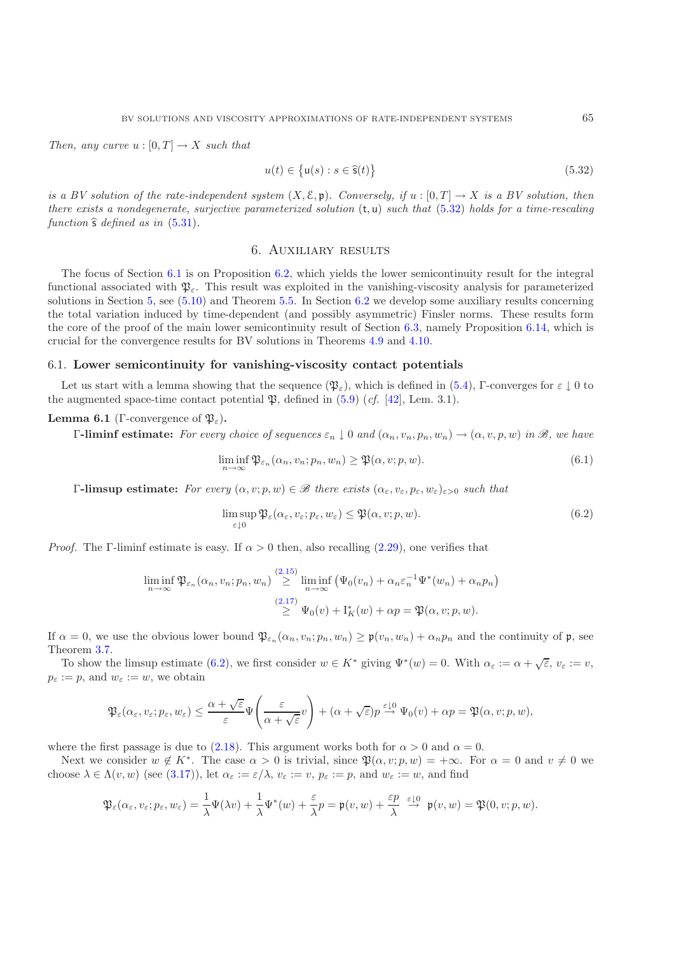*Then, any curve*  $u : [0, T] \to X$  *such that* 

<span id="page-29-1"></span>
$$
u(t) \in \{ \mathsf{u}(s) : s \in \hat{\mathsf{s}}(t) \}
$$
\n
$$
(5.32)
$$

*is a BV solution of the rate-independent system*  $(X, \mathcal{E}, \mathfrak{p})$ *. Conversely, if*  $u : [0, T] \rightarrow X$  *is a BV solution, then there exists a nondegenerate, surjective parameterized solution* (t, u) *such that* [\(5.32\)](#page-29-1) *holds for a time-rescaling function*  $\hat{s}$  *defined as in* [\(5.31\)](#page-28-2).

## 6. Auxiliary results

<span id="page-29-0"></span>The focus of Section [6.1](#page-29-2) is on Proposition [6.2,](#page-8-0) which yields the lower semicontinuity result for the integral functional associated with  $\mathfrak{P}_{\varepsilon}$ . This result was exploited in the vanishing-viscosity analysis for parameterized solutions in Section [5,](#page-23-0) see [\(5.10\)](#page-25-2) and Theorem [5.5.](#page-12-0) In Section [6.2](#page-30-0) we develop some auxiliary results concerning the total variation induced by time-dependent (and possibly asymmetric) Finsler norms. These results form the core of the proof of the main lower semicontinuity result of Section [6.3,](#page-37-0) namely Proposition [6.14,](#page-37-1) which is crucial for the convergence results for BV solutions in Theorems [4.9](#page-17-0) and [4.10.](#page-17-1)

## <span id="page-29-2"></span>6.1. **Lower semicontinuity for vanishing-viscosity contact potentials**

Let us start with a lemma showing that the sequence  $(\mathfrak{P}_{\varepsilon})$ , which is defined in [\(5.4\)](#page-24-4), Γ-converges for  $\varepsilon \downarrow 0$  to the augmented space-time contact potential  $\mathfrak{P}$ , defined in [\(5.9\)](#page-25-0) (*cf.* [\[42](#page-44-5)], Lem. 3.1).

## **Lemma 6.1** (Γ-convergence of  $\mathfrak{P}_{\varepsilon}$ ).

Γ**-liminf estimate:** *For every choice of sequences* ε<sup>n</sup> ↓ 0 *and* (αn, vn, pn, wn) → (α, v, p, w) *in B, we have*

$$
\liminf_{n \to \infty} \mathfrak{P}_{\varepsilon_n}(\alpha_n, v_n; p_n, w_n) \ge \mathfrak{P}(\alpha, v; p, w).
$$
\n(6.1)

Γ**-limsup estimate:** *For every* (α, v; p, w) ∈ *B there exists* (αε, vε, pε, wε)ε><sup>0</sup> *such that*

$$
\limsup_{\varepsilon \downarrow 0} \mathfrak{P}_{\varepsilon}(\alpha_{\varepsilon}, v_{\varepsilon}; p_{\varepsilon}, w_{\varepsilon}) \leq \mathfrak{P}(\alpha, v; p, w). \tag{6.2}
$$

*Proof.* The Γ-liminf estimate is easy. If  $\alpha > 0$  then, also recalling [\(2.29\)](#page-12-7), one verifies that

<span id="page-29-3"></span>
$$
\liminf_{n \to \infty} \mathfrak{P}_{\varepsilon_n}(\alpha_n, v_n; p_n, w_n) \stackrel{(2.15)}{\geq} \liminf_{n \to \infty} \left( \Psi_0(v_n) + \alpha_n \varepsilon_n^{-1} \Psi^*(w_n) + \alpha_n p_n \right)
$$
\n
$$
\stackrel{(2.17)}{\geq} \Psi_0(v) + \mathcal{I}_K^*(w) + \alpha p = \mathfrak{P}(\alpha, v; p, w).
$$

If  $\alpha = 0$ , we use the obvious lower bound  $\mathfrak{P}_{\varepsilon_n}(\alpha_n, v_n; p_n, w_n) \geq \mathfrak{p}(v_n, w_n) + \alpha_n p_n$  and the continuity of p, see Theorem [3.7.](#page-13-0)

To show the limsup estimate [\(6.2\)](#page-29-3), we first consider  $w \in K^*$  giving  $\Psi^*(w) = 0$ . With  $\alpha_{\varepsilon} := \alpha + \sqrt{\varepsilon}, v_{\varepsilon} := v$ ,  $p_{\varepsilon} := p$ , and  $w_{\varepsilon} := w$ , we obtain

$$
\mathfrak{P}_{\varepsilon}(\alpha_{\varepsilon},v_{\varepsilon};p_{\varepsilon},w_{\varepsilon})\leq \frac{\alpha+\sqrt{\varepsilon}}{\varepsilon}\Psi\Biggl(\frac{\varepsilon}{\alpha+\sqrt{\varepsilon}}v\Biggr)+(\alpha+\sqrt{\varepsilon})p\stackrel{\varepsilon\downarrow 0}{\to}\Psi_0(v)+\alpha p=\mathfrak{P}(\alpha,v;p,w),
$$

where the first passage is due to [\(2.18\)](#page-10-7). This argument works both for  $\alpha > 0$  and  $\alpha = 0$ .

Next we consider  $w \notin K^*$ . The case  $\alpha > 0$  is trivial, since  $\mathfrak{P}(\alpha, v; p, w) = +\infty$ . For  $\alpha = 0$  and  $v \neq 0$  we choose  $\lambda \in \Lambda(v, w)$  (see [\(3.17\)](#page-17-4)), let  $\alpha_{\varepsilon} := \varepsilon/\lambda$ ,  $v_{\varepsilon} := v$ ,  $p_{\varepsilon} := p$ , and  $w_{\varepsilon} := w$ , and find

$$
\mathfrak{P}_\varepsilon(\alpha_\varepsilon,v_\varepsilon;p_\varepsilon,w_\varepsilon)=\frac{1}{\lambda}\Psi(\lambda v)+\frac{1}{\lambda}\Psi^*(w)+\frac{\varepsilon}{\lambda}p=\mathfrak{p}(v,w)+\frac{\varepsilon p}{\lambda}\ \stackrel{\varepsilon\downarrow 0}{\to}\ \mathfrak{p}(v,w)=\mathfrak{P}(0,v;p,w).
$$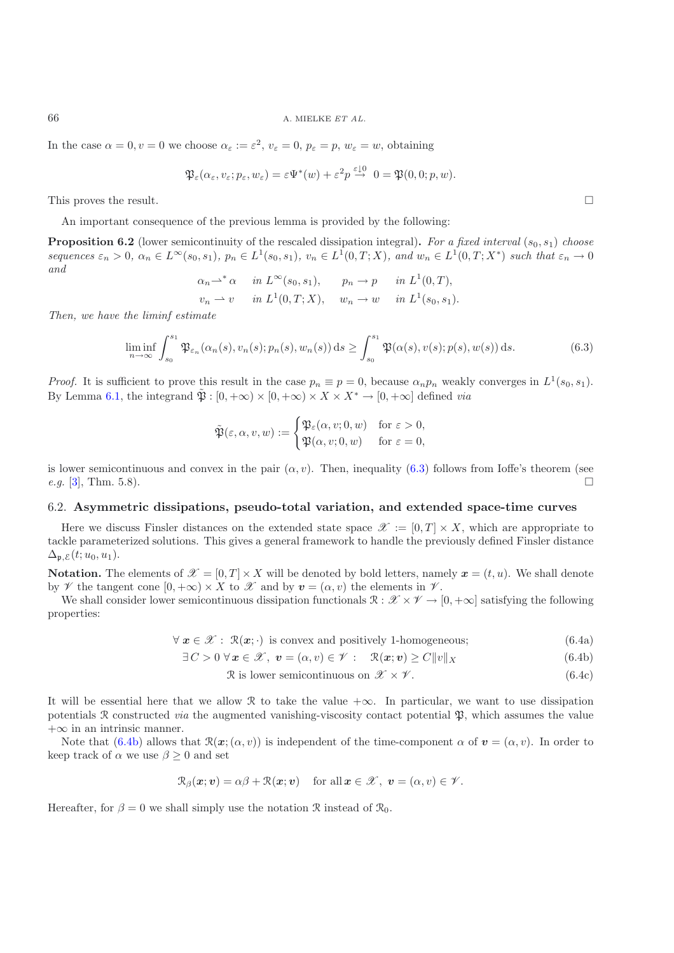66 A. MIELKE *ET AL.*

In the case  $\alpha = 0, v = 0$  we choose  $\alpha_{\varepsilon} := \varepsilon^2$ ,  $v_{\varepsilon} = 0$ ,  $p_{\varepsilon} = p$ ,  $w_{\varepsilon} = w$ , obtaining

$$
\mathfrak{P}_{\varepsilon}(\alpha_{\varepsilon}, v_{\varepsilon}; p_{\varepsilon}, w_{\varepsilon}) = \varepsilon \Psi^*(w) + \varepsilon^2 p \stackrel{\varepsilon \downarrow 0}{\to} 0 = \mathfrak{P}(0, 0; p, w).
$$

This proves the result.  $\hfill \square$ 

An important consequence of the previous lemma is provided by the following:

**Proposition 6.2** (lower semicontinuity of the rescaled dissipation integral). For a fixed interval  $(s_0, s_1)$  choose *sequences*  $\varepsilon_n > 0$ ,  $\alpha_n \in L^\infty(s_0, s_1)$ ,  $p_n \in L^1(s_0, s_1)$ ,  $v_n \in L^1(0, T; X)$ , and  $w_n \in L^1(0, T; X^*)$  *such that*  $\varepsilon_n \to 0$ *and*

$$
\alpha_n \rightharpoonup^* \alpha \quad in \ L^{\infty}(s_0, s_1), \qquad p_n \to p \quad in \ L^1(0, T),
$$
  

$$
v_n \to v \quad in \ L^1(0, T; X), \qquad w_n \to w \quad in \ L^1(s_0, s_1).
$$

*Then, we have the liminf estimate*

$$
\liminf_{n \to \infty} \int_{s_0}^{s_1} \mathfrak{P}_{\varepsilon_n}(\alpha_n(s), v_n(s); p_n(s), w_n(s)) ds \ge \int_{s_0}^{s_1} \mathfrak{P}(\alpha(s), v(s); p(s), w(s)) ds.
$$
 (6.3)

*Proof.* It is sufficient to prove this result in the case  $p_n \equiv p = 0$ , because  $\alpha_n p_n$  weakly converges in  $L^1(s_0, s_1)$ . By Lemma [6.1,](#page-7-8) the integrand  $\tilde{\mathfrak{B}}$  :  $[0, +\infty) \times [0, +\infty) \times X \times X^* \to [0, +\infty]$  defined *via* 

$$
\tilde{\mathfrak{P}}(\varepsilon,\alpha,v,w) := \begin{cases} \mathfrak{P}_{\varepsilon}(\alpha,v;0,w) & \text{for } \varepsilon > 0, \\ \mathfrak{P}(\alpha,v;0,w) & \text{for } \varepsilon = 0, \end{cases}
$$

is lower semicontinuous and convex in the pair  $(\alpha, v)$ . Then, inequality [\(6.3\)](#page-30-1) follows from Ioffe's theorem (see *e.g.* [\[3\]](#page-43-15), Thm. 5.8). □

#### <span id="page-30-0"></span>6.2. **Asymmetric dissipations, pseudo-total variation, and extended space-time curves**

Here we discuss Finsler distances on the extended state space  $\mathscr{X} := [0, T] \times X$ , which are appropriate to tackle parameterized solutions. This gives a general framework to handle the previously defined Finsler distance  $\Delta_{\mathfrak{p},\mathcal{E}}(t;u_0,u_1).$ 

**Notation.** The elements of  $\mathcal{X} = [0, T] \times X$  will be denoted by bold letters, namely  $x = (t, u)$ . We shall denote by  $\mathscr V$  the tangent cone  $[0, +\infty) \times X$  to  $\mathscr X$  and by  $v = (\alpha, v)$  the elements in  $\mathscr V$ .

<span id="page-30-3"></span>We shall consider lower semicontinuous dissipation functionals  $\mathcal{R} : \mathcal{X} \times \mathcal{Y} \to [0, +\infty]$  satisfying the following properties:

$$
\forall x \in \mathcal{X} : \mathcal{R}(x; \cdot) \text{ is convex and positively 1-homogeneous}; \tag{6.4a}
$$

$$
\exists C > 0 \,\forall \, \boldsymbol{x} \in \mathcal{X}, \, \boldsymbol{v} = (\alpha, v) \in \mathcal{V} : \quad \mathcal{R}(\boldsymbol{x}; \boldsymbol{v}) \ge C \|v\|_X \tag{6.4b}
$$

<span id="page-30-4"></span><span id="page-30-2"></span>
$$
\mathcal{R} \text{ is lower semicontinuous on } \mathcal{X} \times \mathcal{V}. \tag{6.4c}
$$

It will be essential here that we allow R to take the value  $+\infty$ . In particular, we want to use dissipation potentials  $\mathcal R$  constructed *via* the augmented vanishing-viscosity contact potential  $\mathfrak P$ , which assumes the value  $+\infty$  in an intrinsic manner.

Note that  $(6.4b)$  allows that  $\mathcal{R}(\mathbf{x}; (\alpha, v))$  is independent of the time-component  $\alpha$  of  $\mathbf{v} = (\alpha, v)$ . In order to keep track of  $\alpha$  we use  $\beta \geq 0$  and set

$$
\mathcal{R}_{\beta}(\boldsymbol{x};\boldsymbol{v}) = \alpha\beta + \mathcal{R}(\boldsymbol{x};\boldsymbol{v}) \quad \text{for all } \boldsymbol{x} \in \mathcal{X}, \ \boldsymbol{v} = (\alpha, v) \in \mathcal{V}.
$$

Hereafter, for  $\beta = 0$  we shall simply use the notation R instead of  $\mathcal{R}_0$ .

<span id="page-30-1"></span>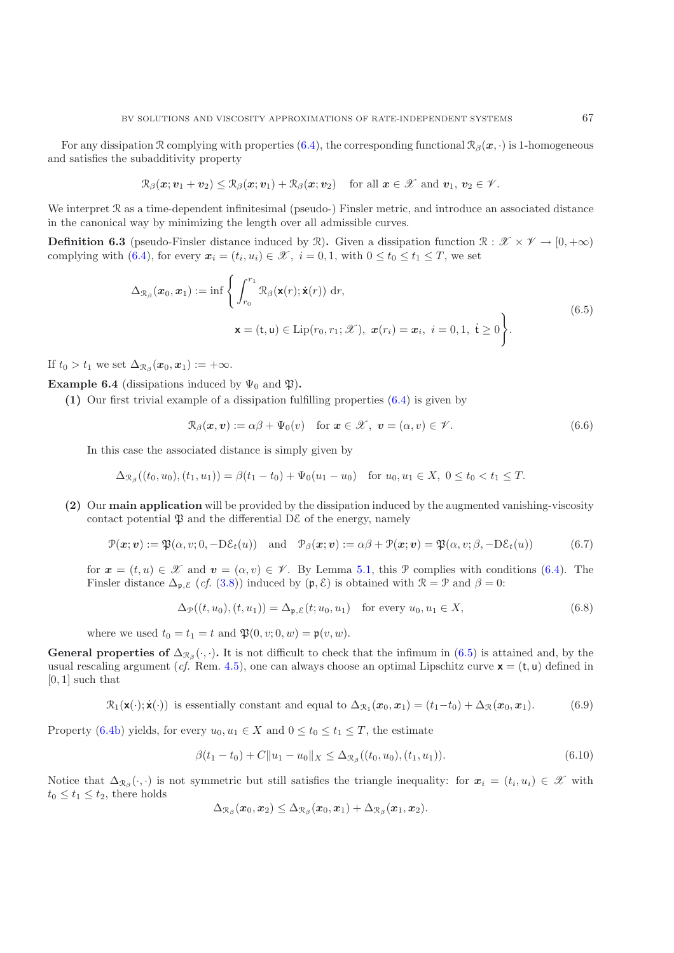For any dissipation R complying with properties  $(6.4)$ , the corresponding functional  $\mathcal{R}_{\beta}(\mathbf{x},\cdot)$  is 1-homogeneous and satisfies the subadditivity property

$$
\mathcal{R}_{\beta}(\boldsymbol{x};\boldsymbol{v}_1+\boldsymbol{v}_2)\leq \mathcal{R}_{\beta}(\boldsymbol{x};\boldsymbol{v}_1)+\mathcal{R}_{\beta}(\boldsymbol{x};\boldsymbol{v}_2) \quad \text{for all } \boldsymbol{x}\in\mathscr{X} \text{ and } \boldsymbol{v}_1,\,\boldsymbol{v}_2\in\mathscr{V}.
$$

We interpret  $\mathcal R$  as a time-dependent infinitesimal (pseudo-) Finsler metric, and introduce an associated distance in the canonical way by minimizing the length over all admissible curves.

**Definition 6.3** (pseudo-Finsler distance induced by R). Given a dissipation function  $\mathbb{R}: \mathcal{X} \times \mathcal{Y} \to [0, +\infty)$ complying with [\(6.4\)](#page-30-3), for every  $x_i = (t_i, u_i) \in \mathcal{X}$ ,  $i = 0, 1$ , with  $0 \le t_0 \le t_1 \le T$ , we set

$$
\Delta_{\mathcal{R}_{\beta}}(\boldsymbol{x}_{0}, \boldsymbol{x}_{1}) := \inf \left\{ \int_{r_{0}}^{r_{1}} \mathcal{R}_{\beta}(\mathbf{x}(r); \dot{\mathbf{x}}(r)) dr, \right\} \n\mathbf{x} = (\mathbf{t}, \mathbf{u}) \in \text{Lip}(r_{0}, r_{1}; \mathcal{X}), \ \boldsymbol{x}(r_{i}) = \boldsymbol{x}_{i}, \ i = 0, 1, \ \mathbf{t} \ge 0 \right\}.
$$
\n(6.5)

<span id="page-31-0"></span>If  $t_0 > t_1$  we set  $\Delta_{\mathcal{R}_\beta}(\mathbf{x}_0, \mathbf{x}_1) := +\infty$ .

**Example 6.4** (dissipations induced by  $\Psi_0$  and  $\mathfrak{P}$ ).

**(1)** Our first trivial example of a dissipation fulfilling properties [\(6.4\)](#page-30-3) is given by

$$
\mathcal{R}_{\beta}(\boldsymbol{x},\boldsymbol{v}) := \alpha\beta + \Psi_0(v) \quad \text{for } \boldsymbol{x} \in \mathcal{X}, \ \boldsymbol{v} = (\alpha, v) \in \mathcal{V}. \tag{6.6}
$$

In this case the associated distance is simply given by

$$
\Delta_{\mathcal{R}_{\beta}}((t_0, u_0), (t_1, u_1)) = \beta(t_1 - t_0) + \Psi_0(u_1 - u_0) \quad \text{for } u_0, u_1 \in X, \ 0 \le t_0 < t_1 \le T.
$$

<span id="page-31-3"></span>**(2)** Our **main application** will be provided by the dissipation induced by the augmented vanishing-viscosity contact potential  $\mathfrak{P}$  and the differential DE of the energy, namely

$$
\mathcal{P}(\mathbf{x}; \mathbf{v}) := \mathfrak{P}(\alpha, v; 0, -D\mathcal{E}_t(u)) \quad \text{and} \quad \mathcal{P}_\beta(\mathbf{x}; \mathbf{v}) := \alpha \beta + \mathcal{P}(\mathbf{x}; \mathbf{v}) = \mathfrak{P}(\alpha, v; \beta, -D\mathcal{E}_t(u)) \tag{6.7}
$$

for  $x = (t, u) \in \mathcal{X}$  and  $v = (\alpha, v) \in \mathcal{V}$ . By Lemma [5.1,](#page-7-8) this P complies with conditions [\(6.4\)](#page-30-3). The Finsler distance  $\Delta_{\mathfrak{p}, \mathcal{E}}$  (*cf.* [\(3.8\)](#page-15-2)) induced by ( $\mathfrak{p}, \mathcal{E}$ ) is obtained with  $\mathcal{R} = \mathcal{P}$  and  $\beta = 0$ :

$$
\Delta_{\mathcal{P}}((t, u_0), (t, u_1)) = \Delta_{\mathfrak{p}, \mathcal{E}}(t; u_0, u_1) \quad \text{for every } u_0, u_1 \in X,
$$
\n
$$
(6.8)
$$

<span id="page-31-4"></span>where we used  $t_0 = t_1 = t$  and  $\mathfrak{P}(0, v; 0, w) = \mathfrak{p}(v, w)$ .

**General properties of**  $\Delta_{\mathcal{R}_{\beta}}(\cdot, \cdot)$ **. It is not difficult to check that the infimum in [\(6.5\)](#page-31-0) is attained and, by the** usual rescaling argument (*cf.* Rem. [4.5\)](#page-12-0), one can always choose an optimal Lipschitz curve  $\mathbf{x} = (\mathbf{t}, \mathbf{u})$  defined in  $[0, 1]$  such that

<span id="page-31-2"></span> $\mathcal{R}_1(\mathbf{x}(\cdot); \dot{\mathbf{x}}(\cdot))$  is essentially constant and equal to  $\Delta_{\mathcal{R}_1}(\mathbf{x}_0, \mathbf{x}_1) = (t_1 - t_0) + \Delta_{\mathcal{R}}(\mathbf{x}_0, \mathbf{x}_1).$  (6.9)

<span id="page-31-1"></span>Property [\(6.4b\)](#page-30-2) yields, for every  $u_0, u_1 \in X$  and  $0 \le t_0 \le t_1 \le T$ , the estimate

$$
\beta(t_1 - t_0) + C \|u_1 - u_0\|_X \le \Delta_{\mathcal{R}_{\beta}}((t_0, u_0), (t_1, u_1)).
$$
\n(6.10)

Notice that  $\Delta_{\mathcal{R}_\beta}(\cdot, \cdot)$  is not symmetric but still satisfies the triangle inequality: for  $x_i = (t_i, u_i) \in \mathcal{X}$  with  $t_0 \leq t_1 \leq t_2$ , there holds

$$
\Delta_{\mathcal{R}_{\beta}}(\boldsymbol{x}_{0},\boldsymbol{x}_{2})\leq \Delta_{\mathcal{R}_{\beta}}(\boldsymbol{x}_{0},\boldsymbol{x}_{1})+\Delta_{\mathcal{R}_{\beta}}(\boldsymbol{x}_{1},\boldsymbol{x}_{2}).
$$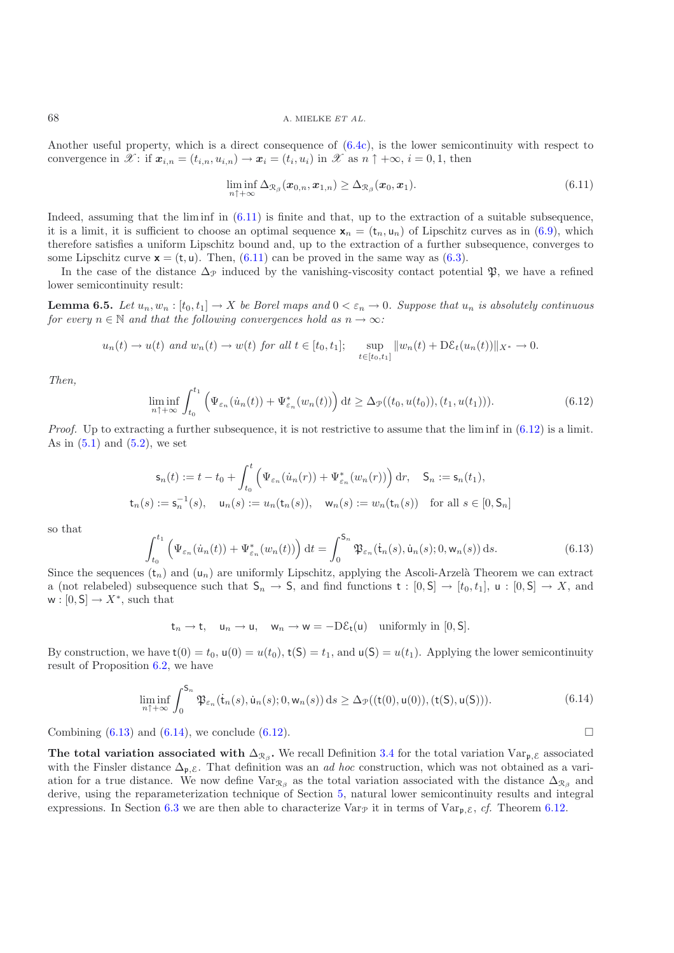Another useful property, which is a direct consequence of [\(6.4c\)](#page-30-4), is the lower semicontinuity with respect to convergence in  $\mathscr{X}$ : if  $\mathbf{x}_{i,n} = (t_{i,n}, u_{i,n}) \to \mathbf{x}_i = (t_i, u_i)$  in  $\mathscr{X}$  as  $n \uparrow +\infty$ ,  $i = 0, 1$ , then

<span id="page-32-0"></span>
$$
\liminf_{n\uparrow+\infty}\Delta_{\mathcal{R}_{\beta}}(\boldsymbol{x}_{0,n},\boldsymbol{x}_{1,n})\geq\Delta_{\mathcal{R}_{\beta}}(\boldsymbol{x}_{0},\boldsymbol{x}_{1}).\tag{6.11}
$$

Indeed, assuming that the lim inf in  $(6.11)$  is finite and that, up to the extraction of a suitable subsequence, it is a limit, it is sufficient to choose an optimal sequence  $\mathbf{x}_n = (\mathbf{t}_n, \mathbf{u}_n)$  of Lipschitz curves as in [\(6.9\)](#page-31-1), which therefore satisfies a uniform Lipschitz bound and, up to the extraction of a further subsequence, converges to some Lipschitz curve  $\mathbf{x} = (\mathbf{t}, \mathbf{u})$ . Then, [\(6.11\)](#page-32-0) can be proved in the same way as [\(6.3\)](#page-30-1).

In the case of the distance  $\Delta_p$  induced by the vanishing-viscosity contact potential  $\mathfrak{P}$ , we have a refined lower semicontinuity result:

**Lemma 6.5.** *Let*  $u_n, w_n : [t_0, t_1] \to X$  *be Borel maps and*  $0 < \varepsilon_n \to 0$ *. Suppose that*  $u_n$  *is absolutely continuous for every*  $n \in \mathbb{N}$  *and that the following convergences hold as*  $n \to \infty$ *:* 

$$
u_n(t) \to u(t)
$$
 and  $w_n(t) \to w(t)$  for all  $t \in [t_0, t_1]$ ;  $\sup_{t \in [t_0, t_1]} ||w_n(t) + D\mathcal{E}_t(u_n(t))||_{X^*} \to 0$ .

<span id="page-32-1"></span>*Then,*

$$
\liminf_{n \uparrow +\infty} \int_{t_0}^{t_1} \left( \Psi_{\varepsilon_n}(\dot{u}_n(t)) + \Psi_{\varepsilon_n}^*(w_n(t)) \right) dt \ge \Delta_{\mathcal{P}}((t_0, u(t_0)), (t_1, u(t_1))). \tag{6.12}
$$

*Proof.* Up to extracting a further subsequence, it is not restrictive to assume that the lim inf in  $(6.12)$  is a limit. As in  $(5.1)$  and  $(5.2)$ , we set

$$
\mathsf{s}_n(t) := t - t_0 + \int_{t_0}^t \left( \Psi_{\varepsilon_n}(u_n(r)) + \Psi_{\varepsilon_n}^*(w_n(r)) \right) dr, \quad \mathsf{S}_n := \mathsf{s}_n(t_1),
$$
  

$$
\mathsf{t}_n(s) := \mathsf{s}_n^{-1}(s), \quad \mathsf{u}_n(s) := u_n(\mathsf{t}_n(s)), \quad \mathsf{w}_n(s) := w_n(\mathsf{t}_n(s)) \quad \text{for all } s \in [0, \mathsf{S}_n]
$$

<span id="page-32-2"></span>so that

$$
\int_{t_0}^{t_1} \left( \Psi_{\varepsilon_n}(\dot{u}_n(t)) + \Psi_{\varepsilon_n}^*(w_n(t)) \right) dt = \int_0^{S_n} \mathfrak{P}_{\varepsilon_n}(\dot{\mathbf{t}}_n(s), \dot{\mathbf{u}}_n(s); 0, \mathbf{w}_n(s)) ds.
$$
 (6.13)

Since the sequences  $(t_n)$  and  $(u_n)$  are uniformly Lipschitz, applying the Ascoli-Arzelà Theorem we can extract a (not relabeled) subsequence such that  $S_n \to S$ , and find functions  $t : [0, S] \to [t_0, t_1]$ ,  $u : [0, S] \to X$ , and  $w : [0, S] \to X^*$ , such that

$$
t_n \to t, \quad u_n \to u, \quad w_n \to w = -D\mathcal{E}_t(u) \quad \text{uniformly in } [0, S].
$$

By construction, we have  $t(0) = t_0$ ,  $u(0) = u(t_0)$ ,  $t(5) = t_1$ , and  $u(5) = u(t_1)$ . Applying the lower semicontinuity result of Proposition [6.2,](#page-8-0) we have

$$
\liminf_{n\uparrow+\infty}\int_0^{S_n}\mathfrak{P}_{\varepsilon_n}(\dot{\mathsf{t}}_n(s),\dot{\mathsf{u}}_n(s);0,\mathsf{w}_n(s))\,\mathrm{d}s \geq \Delta_{\mathcal{P}}((\mathsf{t}(0),\mathsf{u}(0)),(\mathsf{t}(\mathsf{S}),\mathsf{u}(\mathsf{S}))).\tag{6.14}
$$

<span id="page-32-3"></span>Combining  $(6.13)$  and  $(6.14)$ , we conclude  $(6.12)$ .

**The total variation associated with**  $\Delta_{\mathcal{R}_{\beta}}$ **. We recall Definition [3.4](#page-11-1) for the total variation Var<sub>p,**  $\epsilon$ **</sub> associated** with the Finsler distance  $\Delta_{p,\mathcal{E}}$ . That definition was an *ad hoc* construction, which was not obtained as a variation for a true distance. We now define  $Var_{\mathcal{R}_{\beta}}$  as the total variation associated with the distance  $\Delta_{\mathcal{R}_{\beta}}$  and derive, using the reparameterization technique of Section [5,](#page-23-0) natural lower semicontinuity results and integral expressions. In Section [6.3](#page-37-0) we are then able to characterize  $\text{Var}_{\mathcal{P}}$  it in terms of  $\text{Var}_{\mathcal{P}, \mathcal{E}}$ , *cf.* Theorem [6.12.](#page-37-2)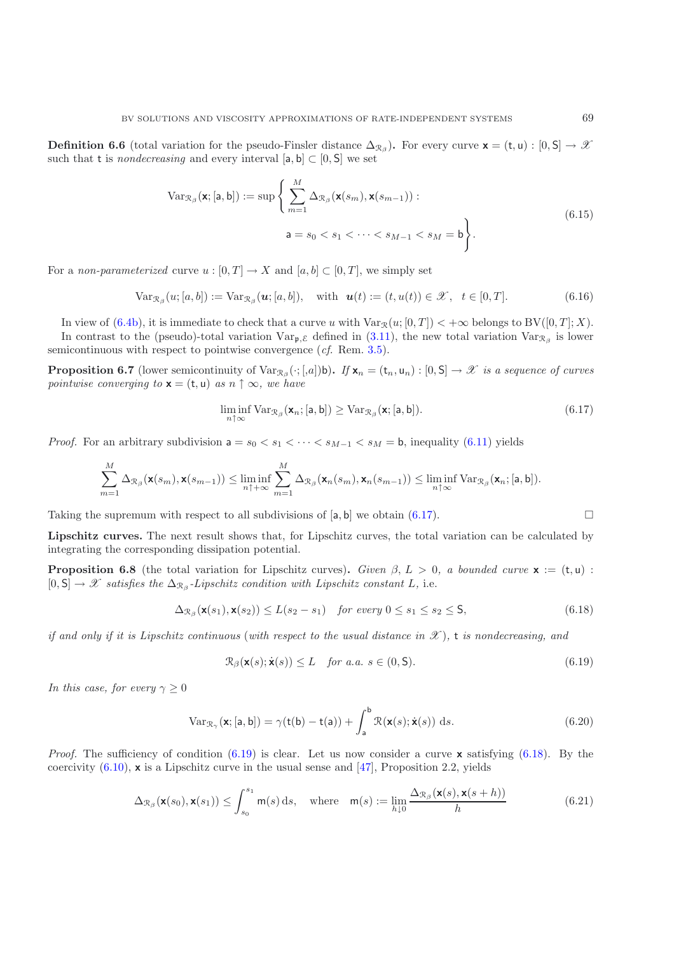**Definition 6.6** (total variation for the pseudo-Finsler distance  $\Delta_{\mathcal{R}_\beta}$ ). For every curve **x** = (t, u) : [0, S]  $\rightarrow \mathcal{X}$ such that t is *nondecreasing* and every interval  $[a, b] \subset [0, S]$  we set

$$
\operatorname{Var}_{\mathcal{R}_{\beta}}(\mathbf{x};[\mathsf{a},\mathsf{b}]):=\sup\left\{\sum_{m=1}^{M}\Delta_{\mathcal{R}_{\beta}}(\mathbf{x}(s_m),\mathbf{x}(s_{m-1})):\mathsf{a}=s_0\n(6.15)
$$

<span id="page-33-6"></span><span id="page-33-5"></span>For a *non-parameterized* curve  $u : [0, T] \to X$  and  $[a, b] \subset [0, T]$ , we simply set

$$
\text{Var}_{\mathcal{R}_{\beta}}(u;[a,b]) := \text{Var}_{\mathcal{R}_{\beta}}(\mathbf{u};[a,b]), \quad \text{with} \quad \mathbf{u}(t) := (t,u(t)) \in \mathcal{X}, \quad t \in [0,T]. \tag{6.16}
$$

In view of [\(6.4b\)](#page-30-2), it is immediate to check that a curve u with  $\text{Var}_{\mathcal{R}}(u;[0,T]) < +\infty$  belongs to  $BV([0,T];X)$ . In contrast to the (pseudo)-total variation  $Var_{\mathfrak{p}, \mathcal{E}}$  defined in [\(3.11\)](#page-16-8), the new total variation  $Var_{\mathcal{R}_\beta}$  is lower semicontinuous with respect to pointwise convergence (*cf.* Rem. [3.5\)](#page-12-0).

**Proposition 6.7** (lower semicontinuity of  $\text{Var}_{\mathcal{R}_{\beta}}(\cdot; [a])$ b). If  $\mathbf{x}_n = (\mathbf{t}_n, \mathbf{u}_n) : [0, \mathsf{S}] \to \mathscr{X}$  *is a sequence of curves pointwise converging to*  $\mathbf{x} = (\mathbf{t}, \mathbf{u})$  *as*  $n \uparrow \infty$ *, we have* 

$$
\liminf_{n \uparrow \infty} \text{Var}_{\mathcal{R}_{\beta}}(\mathbf{x}_n; [\mathsf{a}, \mathsf{b}]) \geq \text{Var}_{\mathcal{R}_{\beta}}(\mathbf{x}; [\mathsf{a}, \mathsf{b}]). \tag{6.17}
$$

*Proof.* For an arbitrary subdivision  $a = s_0 < s_1 < \cdots < s_{M-1} < s_M = b$ , inequality [\(6.11\)](#page-32-0) yields

<span id="page-33-0"></span>
$$
\sum_{m=1}^M \Delta_{\mathcal{R}_{\beta}}(\mathbf{x}(s_m), \mathbf{x}(s_{m-1})) \leq \liminf_{n \uparrow +\infty} \sum_{m=1}^M \Delta_{\mathcal{R}_{\beta}}(\mathbf{x}_n(s_m), \mathbf{x}_n(s_{m-1})) \leq \liminf_{n \uparrow \infty} \text{Var}_{\mathcal{R}_{\beta}}(\mathbf{x}_n; [\mathsf{a}, \mathsf{b}]).
$$

Taking the supremum with respect to all subdivisions of [a, b] we obtain [\(6.17\)](#page-33-0).

**Lipschitz curves.** The next result shows that, for Lipschitz curves, the total variation can be calculated by integrating the corresponding dissipation potential.

**Proposition 6.8** (the total variation for Lipschitz curves). *Given*  $\beta$ ,  $L > 0$ , a bounded curve **x** := (t, u) :  $[0, S] \rightarrow \mathscr{X}$  *satisfies the*  $\Delta_{\mathcal{R}_{\beta}}$ -Lipschitz condition with Lipschitz constant L, i.e.

<span id="page-33-1"></span>
$$
\Delta_{\mathcal{R}_{\beta}}(\mathbf{x}(s_1), \mathbf{x}(s_2)) \le L(s_2 - s_1) \quad \text{for every } 0 \le s_1 \le s_2 \le \mathsf{S},\tag{6.18}
$$

<span id="page-33-2"></span>*if and only if it is Lipschitz continuous* (*with respect to the usual distance in X* )*,* t *is nondecreasing, and*

$$
\mathcal{R}_{\beta}(\mathbf{x}(s); \dot{\mathbf{x}}(s)) \le L \quad \text{for a.a. } s \in (0, \mathsf{S}). \tag{6.19}
$$

<span id="page-33-4"></span>*In this case, for every*  $\gamma \geq 0$ 

$$
\text{Var}_{\mathcal{R}_{\gamma}}(\mathbf{x};[\mathsf{a},\mathsf{b}]) = \gamma(\mathsf{t}(\mathsf{b}) - \mathsf{t}(\mathsf{a})) + \int_{\mathsf{a}}^{\mathsf{b}} \mathcal{R}(\mathbf{x}(s); \dot{\mathbf{x}}(s)) \, \mathrm{d}s. \tag{6.20}
$$

<span id="page-33-3"></span>*Proof.* The sufficiency of condition [\(6.19\)](#page-33-1) is clear. Let us now consider a curve **x** satisfying [\(6.18\)](#page-33-2). By the coercivity  $(6.10)$ , **x** is a Lipschitz curve in the usual sense and  $\overline{47}$ , Proposition 2.2, yields

$$
\Delta_{\mathcal{R}_{\beta}}(\mathbf{x}(s_0), \mathbf{x}(s_1)) \le \int_{s_0}^{s_1} \mathsf{m}(s) \, \mathrm{d}s, \quad \text{where} \quad \mathsf{m}(s) := \lim_{h \downarrow 0} \frac{\Delta_{\mathcal{R}_{\beta}}(\mathbf{x}(s), \mathbf{x}(s+h))}{h} \tag{6.21}
$$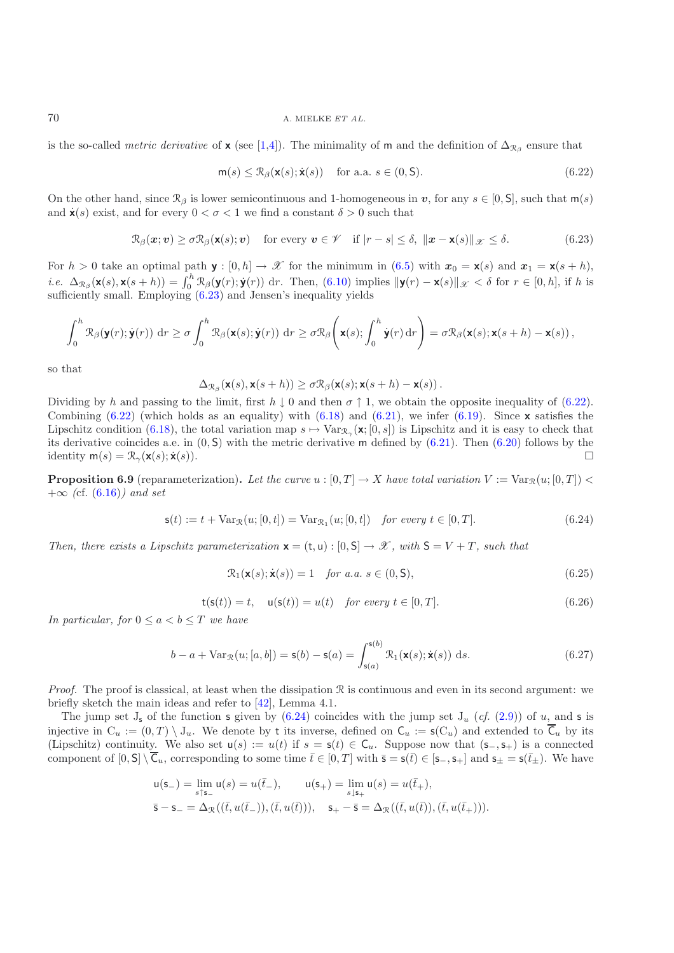is the so-called *metric derivative* of **x** (see [\[1](#page-43-17)[,4\]](#page-43-18)). The minimality of **m** and the definition of  $\Delta_{\mathcal{R}_{\beta}}$  ensure that

$$
\mathsf{m}(s) \le \mathcal{R}_{\beta}(\mathsf{x}(s); \dot{\mathsf{x}}(s)) \quad \text{for a.a. } s \in (0, \mathsf{S}).\tag{6.22}
$$

On the other hand, since  $\mathcal{R}_{\beta}$  is lower semicontinuous and 1-homogeneous in *v*, for any  $s \in [0, S]$ , such that  $m(s)$ and  $\dot{\mathbf{x}}(s)$  exist, and for every  $0 < \sigma < 1$  we find a constant  $\delta > 0$  such that

<span id="page-34-1"></span>
$$
\mathcal{R}_{\beta}(\boldsymbol{x};\boldsymbol{v}) \geq \sigma \mathcal{R}_{\beta}(\mathbf{x}(s);\boldsymbol{v}) \quad \text{for every } \boldsymbol{v} \in \mathscr{V} \quad \text{if } |r-s| \leq \delta, \ \| \boldsymbol{x} - \mathbf{x}(s) \|_{\mathscr{X}} \leq \delta. \tag{6.23}
$$

<span id="page-34-0"></span>For  $h > 0$  take an optimal path **y** :  $[0, h] \to \mathcal{X}$  for the minimum in [\(6.5\)](#page-31-0) with  $x_0 = \mathbf{x}(s)$  and  $x_1 = \mathbf{x}(s + h)$ , *i.e.*  $\Delta_{\mathcal{R}_{\beta}}(\mathbf{x}(s), \mathbf{x}(s+h)) = \int_0^h \mathcal{R}_{\beta}(\mathbf{y}(r); \mathbf{y}(r)) dr$ . Then, [\(6.10\)](#page-31-2) implies  $\|\mathbf{y}(r) - \mathbf{x}(s)\|_{\mathcal{X}} < \delta$  for  $r \in [0, h]$ , if h is sufficiently small. Employing  $(6.23)$  and Jensen's inequality yields

$$
\int_0^h \mathfrak{R}_{\beta}(\mathbf{y}(r); \dot{\mathbf{y}}(r)) \, dr \ge \sigma \int_0^h \mathfrak{R}_{\beta}(\mathbf{x}(s); \dot{\mathbf{y}}(r)) \, dr \ge \sigma \mathfrak{R}_{\beta} \left( \mathbf{x}(s); \int_0^h \dot{\mathbf{y}}(r) \, dr \right) = \sigma \mathfrak{R}_{\beta}(\mathbf{x}(s); \mathbf{x}(s+h) - \mathbf{x}(s)),
$$

so that

$$
\Delta_{\mathcal{R}_{\beta}}(\mathbf{x}(s),\mathbf{x}(s+h)) \geq \sigma \mathcal{R}_{\beta}(\mathbf{x}(s); \mathbf{x}(s+h) - \mathbf{x}(s)).
$$

Dividing by h and passing to the limit, first  $h \downarrow 0$  and then  $\sigma \uparrow 1$ , we obtain the opposite inequality of [\(6.22\)](#page-34-1). Combining  $(6.22)$  (which holds as an equality) with  $(6.18)$  and  $(6.21)$ , we infer  $(6.19)$ . Since **x** satisfies the Lipschitz condition [\(6.18\)](#page-33-2), the total variation map  $s \mapsto \text{Var}_{\mathcal{R}_{\infty}}(\mathbf{x};[0,s])$  is Lipschitz and it is easy to check that its derivative coincides a.e. in  $(0, S)$  with the metric derivative m defined by  $(6.21)$ . Then  $(6.20)$  follows by the identity  $m(s) = \mathcal{R}_{\gamma}(\mathbf{x}(s); \dot{\mathbf{x}}(s)).$ 

**Proposition 6.9** (reparameterization). Let the curve  $u : [0, T] \to X$  have total variation  $V := \text{Var}_{\mathcal{R}}(u; [0, T]) <$ +∞ *(*cf. [\(6.16\)](#page-33-5)*) and set*

$$
\mathbf{s}(t) := t + \text{Var}_{\mathcal{R}}(u; [0, t]) = \text{Var}_{\mathcal{R}_1}(u; [0, t]) \quad \text{for every } t \in [0, T]. \tag{6.24}
$$

<span id="page-34-2"></span>*Then, there exists a Lipschitz parameterization*  $\mathbf{x} = (t, u) : [0, S] \rightarrow \mathcal{X}$ , with  $S = V + T$ , such that

$$
\mathcal{R}_1(\mathbf{x}(s); \dot{\mathbf{x}}(s)) = 1 \quad \text{for a.a. } s \in (0, \mathsf{S}), \tag{6.25}
$$

$$
t(s(t)) = t, \quad u(s(t)) = u(t) \quad \text{for every } t \in [0, T]. \tag{6.26}
$$

<span id="page-34-4"></span>*In particular, for*  $0 \le a < b \le T$  *we have* 

<span id="page-34-3"></span>
$$
b - a + \text{Var}_{\mathcal{R}}(u; [a, b]) = \mathsf{s}(b) - \mathsf{s}(a) = \int_{\mathsf{s}(a)}^{\mathsf{s}(b)} \mathcal{R}_1(\mathsf{x}(s); \dot{\mathsf{x}}(s)) \, \mathrm{d}s. \tag{6.27}
$$

*Proof.* The proof is classical, at least when the dissipation  $\Re$  is continuous and even in its second argument: we briefly sketch the main ideas and refer to [\[42](#page-44-5)], Lemma 4.1.

The jump set  $J_s$  of the function s given by  $(6.24)$  coincides with the jump set  $J_u$  (*cf.* [\(2.9\)](#page-7-7)) of u, and s is injective in  $C_u := (0,T) \setminus J_u$ . We denote by t its inverse, defined on  $C_u := s(C_u)$  and extended to  $\overline{C}_u$  by its (Lipschitz) continuity. We also set  $u(s) := u(t)$  if  $s = s(t) \in C_u$ . Suppose now that  $(s_-, s_+)$  is a connected component of  $[0, \mathsf{S}] \setminus \overline{\mathsf{C}}_u$ , corresponding to some time  $\overline{t} \in [0, T]$  with  $\overline{\mathsf{s}} = \mathsf{s}(\overline{t}) \in [\mathsf{s}_-, \mathsf{s}_+]$  and  $\mathsf{s}_\pm = \mathsf{s}(\overline{t}_\pm)$ . We have

$$
\begin{aligned} &\mathsf{u}(\mathsf{s}_-) = \lim_{s \uparrow \mathsf{s}_-} \mathsf{u}(s) = u(\bar{t}_-), \qquad \mathsf{u}(\mathsf{s}_+) = \lim_{s \downarrow \mathsf{s}_+} \mathsf{u}(s) = u(\bar{t}_+), \\ &\bar{\mathsf{s}} - \mathsf{s}_- = \Delta_{\mathcal{R}}((\bar{t},u(\bar{t}_-)),(\bar{t},u(\bar{t}))), \quad \mathsf{s}_+ - \bar{\mathsf{s}} = \Delta_{\mathcal{R}}((\bar{t},u(\bar{t})),(\bar{t},u(\bar{t}_+))). \end{aligned}
$$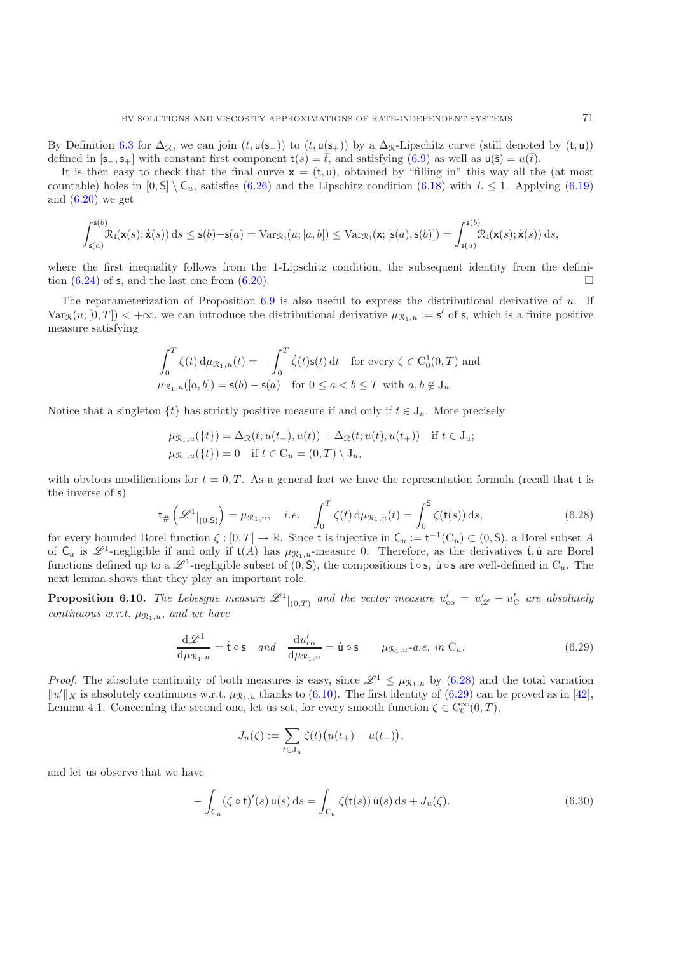By Definition [6.3](#page-10-0) for  $\Delta_{\mathcal{R}}$ , we can join  $(\bar{t},\mathsf{u(s_+)})$  to  $(\bar{t},\mathsf{u(s_+)})$  by a  $\Delta_{\mathcal{R}}$ -Lipschitz curve (still denoted by  $(\mathsf{t},\mathsf{u})$ ) defined in  $[s_-, s_+]$  with constant first component  $t(s) = \overline{t}$ , and satisfying  $(6.9)$  as well as  $u(\overline{s}) = u(\overline{t})$ .

It is then easy to check that the final curve  $\mathbf{x} = (t, u)$ , obtained by "filling in" this way all the (at most countable) holes in  $[0, S] \setminus C_u$ , satisfies [\(6.26\)](#page-34-3) and the Lipschitz condition [\(6.18\)](#page-33-2) with  $L \leq 1$ . Applying [\(6.19\)](#page-33-1) and  $(6.20)$  we get

$$
\int_{\mathsf{s}(a)}^{\mathsf{s}(b)} \mathcal{R}_1(\mathbf{x}(s); \dot{\mathbf{x}}(s)) \, ds \leq \mathsf{s}(b) - \mathsf{s}(a) = \text{Var}_{\mathcal{R}_1}(u; [a, b]) \leq \text{Var}_{\mathcal{R}_1}(\mathbf{x}; [\mathsf{s}(a), \mathsf{s}(b)]) = \int_{\mathsf{s}(a)}^{\mathsf{s}(b)} \mathcal{R}_1(\mathbf{x}(s); \dot{\mathbf{x}}(s)) \, ds,
$$

where the first inequality follows from the 1-Lipschitz condition, the subsequent identity from the definition  $(6.24)$  of s, and the last one from  $(6.20)$ .

The reparameterization of Proposition [6.9](#page-17-0) is also useful to express the distributional derivative of u. If  $Var_{\mathcal{R}}(u;[0,T]) < +\infty$ , we can introduce the distributional derivative  $\mu_{\mathcal{R}_1,u} := \mathsf{s}'$  of s, which is a finite positive measure satisfying

$$
\int_0^T \zeta(t) d\mu_{\mathcal{R}_1, u}(t) = -\int_0^T \dot{\zeta}(t) \mathbf{s}(t) dt \quad \text{for every } \zeta \in \mathcal{C}_0^1(0, T) \text{ and}
$$
  

$$
\mu_{\mathcal{R}_1, u}([a, b]) = \mathbf{s}(b) - \mathbf{s}(a) \quad \text{for } 0 \le a < b \le T \text{ with } a, b \notin \mathcal{J}_u.
$$

Notice that a singleton  $\{t\}$  has strictly positive measure if and only if  $t \in J_u$ . More precisely

$$
\mu_{\mathcal{R}_1, u}(\{t\}) = \Delta_{\mathcal{R}}(t; u(t_-), u(t)) + \Delta_{\mathcal{R}}(t; u(t), u(t_+)) \text{ if } t \in J_u; \n\mu_{\mathcal{R}_1, u}(\{t\}) = 0 \text{ if } t \in C_u = (0, T) \setminus J_u,
$$

with obvious modifications for  $t = 0, T$ . As a general fact we have the representation formula (recall that t is the inverse of s)

$$
\mathsf{t}_{\#}\left(\mathscr{L}^1|_{(0,\mathsf{S})}\right) = \mu_{\mathfrak{R}_1,u}, \quad i.e. \quad \int_0^T \zeta(t) \, \mathrm{d}\mu_{\mathfrak{R}_1,u}(t) = \int_0^{\mathsf{S}} \zeta(\mathsf{t}(s)) \, \mathrm{d}s,\tag{6.28}
$$

<span id="page-35-0"></span>for every bounded Borel function  $\zeta : [0, T] \to \mathbb{R}$ . Since t is injective in  $C_u := t^{-1}(C_u) \subset (0, S)$ , a Borel subset A of  $C_u$  is  $\mathscr{L}^1$ -negligible if and only if  $t(A)$  has  $\mu_{\mathcal{R}_1,u}$ -measure 0. Therefore, as the derivatives  $\dot{t}$ , u are Borel functions defined up to a  $\mathscr{L}^1$ -negligible subset of  $(0, \mathsf{S})$ , the compositions  $\mathsf{t} \circ \mathsf{s}$ ,  $\mathsf{u} \circ \mathsf{s}$  are well-defined in  $C_u$ . The next lemma shows that they play an important role.

**Proposition 6.10.** The Lebesgue measure  $\mathscr{L}^1|_{(0,T)}$  and the vector measure  $u'_{\rm co} = u'_{\mathscr{L}} + u'_{\rm C}$  are absolutely *continuous w.r.t.*  $\mu_{\mathcal{R}_1, u}$ *, and we have* 

$$
\frac{\mathrm{d}\mathscr{L}^1}{\mathrm{d}\mu_{\mathcal{R}_1,u}} = \dot{\mathbf{t}} \circ \mathbf{s} \quad \text{and} \quad \frac{\mathrm{d}u'_{\mathrm{co}}}{\mathrm{d}\mu_{\mathcal{R}_1,u}} = \dot{\mathbf{u}} \circ \mathbf{s} \qquad \mu_{\mathcal{R}_1,u} \text{-a.e. in } C_u. \tag{6.29}
$$

<span id="page-35-1"></span>*Proof.* The absolute continuity of both measures is easy, since  $\mathcal{L}^1 \leq \mu_{\mathcal{R}_1,u}$  by [\(6.28\)](#page-35-0) and the total variation  $||u'||_X$  is absolutely continuous w.r.t.  $\mu_{\mathcal{R}_1,u}$  thanks to [\(6.10\)](#page-31-2). The first identity of [\(6.29\)](#page-35-1) can be proved as in [\[42\]](#page-44-5), Lemma 4.1. Concerning the second one, let us set, for every smooth function  $\zeta \in C_0^{\infty}(0,T)$ ,

$$
J_u(\zeta) := \sum_{t \in J_u} \zeta(t) \big( u(t_+) - u(t_-) \big),
$$

<span id="page-35-2"></span>and let us observe that we have

$$
-\int_{\mathsf{C}_u} (\zeta \circ \mathsf{t})'(s) \, \mathsf{u}(s) \, \mathrm{d} s = \int_{\mathsf{C}_u} \zeta(\mathsf{t}(s)) \, \dot{\mathsf{u}}(s) \, \mathrm{d} s + J_u(\zeta). \tag{6.30}
$$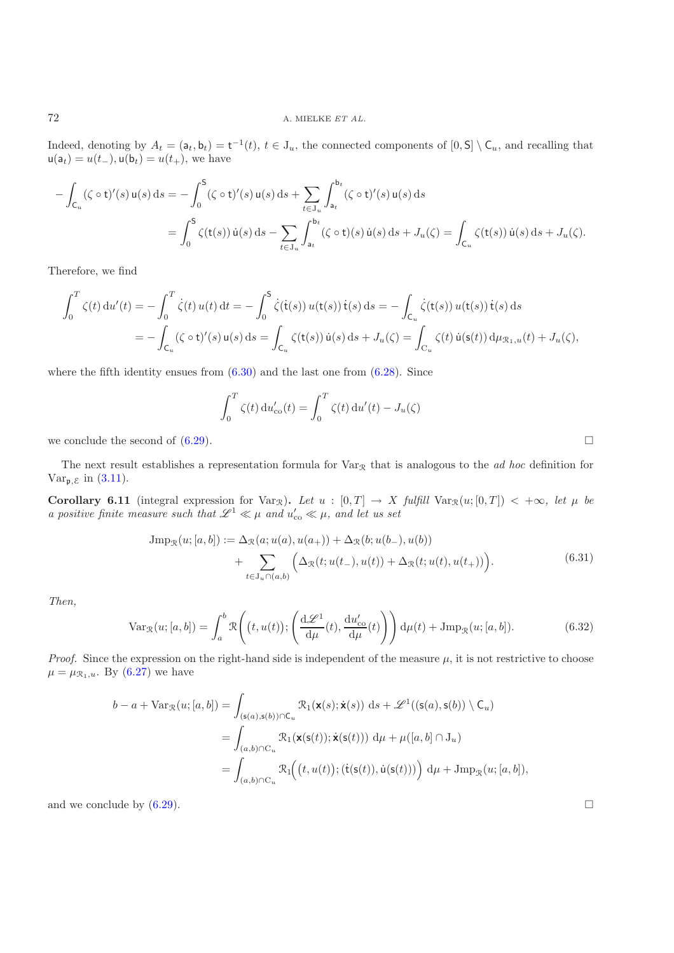Indeed, denoting by  $A_t = (a_t, b_t) = t^{-1}(t), t \in J_u$ , the connected components of  $[0, S] \setminus C_u$ , and recalling that  $u(a_t) = u(t_-, u(b_t)) = u(t_+),$  we have

$$
- \int_{C_u} (\zeta \circ t)'(s) u(s) ds = - \int_0^S (\zeta \circ t)'(s) u(s) ds + \sum_{t \in J_u} \int_{a_t}^{b_t} (\zeta \circ t)'(s) u(s) ds
$$
  
= 
$$
\int_0^S \zeta(t(s)) \dot{u}(s) ds - \sum_{t \in J_u} \int_{a_t}^{b_t} (\zeta \circ t)(s) \dot{u}(s) ds + J_u(\zeta) = \int_{C_u} \zeta(t(s)) \dot{u}(s) ds + J_u(\zeta).
$$

Therefore, we find

$$
\int_0^T \zeta(t) \, \mathrm{d}u'(t) = -\int_0^T \dot{\zeta}(t) \, u(t) \, \mathrm{d}t = -\int_0^S \dot{\zeta}(\dot{\mathbf{t}}(s)) \, u(\mathbf{t}(s)) \, \dot{\mathbf{t}}(s) \, \mathrm{d}s = -\int_{\mathsf{C}_u} \dot{\zeta}(\mathbf{t}(s)) \, u(\mathbf{t}(s)) \, \dot{\mathbf{t}}(s) \, \mathrm{d}s \n= -\int_{\mathsf{C}_u} (\zeta \circ \mathbf{t})'(s) \, u(s) \, \mathrm{d}s = \int_{\mathsf{C}_u} \zeta(\mathbf{t}(s)) \, \dot{\mathbf{u}}(s) \, \mathrm{d}s + J_u(\zeta) = \int_{\mathsf{C}_u} \zeta(t) \, \dot{\mathbf{u}}(\mathbf{s}(t)) \, \mathrm{d}\mu_{\mathcal{R}_1, u}(t) + J_u(\zeta),
$$

where the fifth identity ensues from  $(6.30)$  and the last one from  $(6.28)$ . Since

$$
\int_0^T \zeta(t) \, \mathrm{d}u'_{\rm co}(t) = \int_0^T \zeta(t) \, \mathrm{d}u'(t) - J_u(\zeta)
$$

we conclude the second of  $(6.29)$ .

The next result establishes a representation formula for  $Var_R$  that is analogous to the *ad hoc* definition for  $Var_{\mathfrak{p}, \mathcal{E}}$  in [\(3.11\)](#page-16-8).

**Corollary 6.11** (integral expression for Var<sub>R</sub>). Let  $u : [0, T] \rightarrow X$  fulfill Var<sub>R</sub> $(u; [0, T]) < +\infty$ , let  $\mu$  be *a positive finite measure such that*  $\mathscr{L}^1 \ll \mu$  and  $u'_{\text{co}} \ll \mu$ , and let us set

$$
Jmp_{\mathcal{R}}(u; [a, b]) := \Delta_{\mathcal{R}}(a; u(a), u(a_{+})) + \Delta_{\mathcal{R}}(b; u(b_{-}), u(b)) + \sum_{t \in J_{u} \cap (a, b)} \Big( \Delta_{\mathcal{R}}(t; u(t_{-}), u(t)) + \Delta_{\mathcal{R}}(t; u(t), u(t_{+})) \Big).
$$
(6.31)

<span id="page-36-0"></span>*Then,*

$$
\text{Var}_{\mathcal{R}}(u;[a,b]) = \int_{a}^{b} \mathcal{R}\left((t,u(t));\left(\frac{\mathrm{d}\mathscr{L}^{1}}{\mathrm{d}\mu}(t),\frac{\mathrm{d}u'_{\mathrm{co}}}{\mathrm{d}\mu}(t)\right)\right)\mathrm{d}\mu(t) + \text{Jmp}_{\mathcal{R}}(u;[a,b]).\tag{6.32}
$$

*Proof.* Since the expression on the right-hand side is independent of the measure  $\mu$ , it is not restrictive to choose  $\mu = \mu_{\mathcal{R}_1, u}$ . By [\(6.27\)](#page-34-4) we have

$$
b - a + \text{Var}_{\mathcal{R}}(u; [a, b]) = \int_{(\mathsf{s}(a), \mathsf{s}(b)) \cap \mathsf{C}_u} \mathcal{R}_1(\mathbf{x}(s); \dot{\mathbf{x}}(s)) \, ds + \mathscr{L}^1((\mathsf{s}(a), \mathsf{s}(b)) \setminus \mathsf{C}_u)
$$
  
\n
$$
= \int_{(a, b) \cap \mathsf{C}_u} \mathcal{R}_1(\mathbf{x}(\mathsf{s}(t)); \dot{\mathbf{x}}(\mathsf{s}(t))) \, d\mu + \mu([a, b] \cap \mathsf{J}_u)
$$
  
\n
$$
= \int_{(a, b) \cap \mathsf{C}_u} \mathcal{R}_1((t, u(t)); (\dot{\mathsf{t}}(\mathsf{s}(t)), \dot{u}(\mathsf{s}(t)))) \, d\mu + \text{Imp}_{\mathcal{R}}(u; [a, b]),
$$

and we conclude by  $(6.29)$ .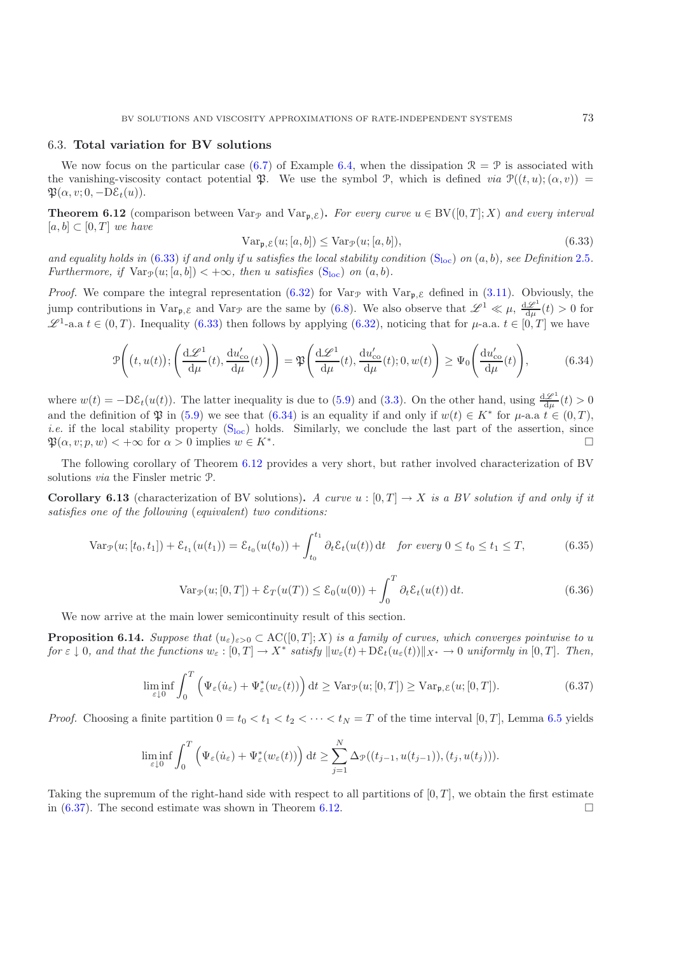#### <span id="page-37-0"></span>6.3. **Total variation for BV solutions**

We now focus on the particular case [\(6.7\)](#page-31-3) of Example [6.4,](#page-11-1) when the dissipation  $\mathcal{R} = \mathcal{P}$  is associated with the vanishing-viscosity contact potential  $\mathfrak{P}$ . We use the symbol P, which is defined *via*  $\mathcal{P}((t, u); (\alpha, v)) =$  $\mathfrak{P}(\alpha, v; 0, -D\mathcal{E}_t(u)).$ 

<span id="page-37-2"></span>**Theorem 6.12** (comparison between Var<sub>P</sub> and Var<sub>P,  $\mathcal{E}$ ). For every curve  $u \in BV([0,T]; X)$  and every interval</sub>  $[a, b] \subset [0, T]$  *we have* 

<span id="page-37-3"></span>
$$
Var_{\mathfrak{p}, \mathcal{E}}(u; [a, b]) \le Var_{\mathcal{P}}(u; [a, b]),
$$
\n(6.33)

*and equality holds in* [\(6.33\)](#page-37-3) *if and only if u satisfies the [loc](#page-18-1)al stability condition*  $(S_{loc})$  *on*  $(a, b)$ *, see Definition* [2.5](#page-12-0)*. Furthermore, if*  $Var_{\mathcal{P}}(u; [a, b]) < +\infty$ *, then* u *satisfies* ( $S_{loc}$  $S_{loc}$  $S_{loc}$ ) *on* (*a, b*)*.* 

*Proof.* We compare the integral representation [\(6.32\)](#page-36-0) for Var<sub>P</sub> with Var<sub>P, $\epsilon$ </sub> defined in [\(3.11\)](#page-16-8). Obviously, the jump contributions in  $\text{Var}_{\mathfrak{p}, \mathcal{E}}$  and  $\text{Var}_{\mathcal{P}}$  are the same by [\(6.8\)](#page-31-4). We also observe that  $\mathscr{L}^1 \ll \mu$ ,  $\frac{d\mathscr{L}^1}{d\mu}(t) > 0$  for  $\mathscr{L}^1$ -a.a  $t \in (0,T)$ . Inequality [\(6.33\)](#page-37-3) then follows by applying [\(6.32\)](#page-36-0), noticing that for  $\mu$ -a.a.  $t \in [0,T]$  we have

$$
\mathcal{P}\left(\left(t, u(t)\right); \left(\frac{\mathrm{d}\mathscr{L}^1}{\mathrm{d}\mu}(t), \frac{\mathrm{d}u'_{\mathrm{co}}}{\mathrm{d}\mu}(t)\right)\right) = \mathfrak{P}\left(\frac{\mathrm{d}\mathscr{L}^1}{\mathrm{d}\mu}(t), \frac{\mathrm{d}u'_{\mathrm{co}}}{\mathrm{d}\mu}(t); 0, w(t)\right) \ge \Psi_0\left(\frac{\mathrm{d}u'_{\mathrm{co}}}{\mathrm{d}\mu}(t)\right),\tag{6.34}
$$

<span id="page-37-4"></span>where  $w(t) = -D\mathcal{E}_t(u(t))$ . The latter inequality is due to [\(5.9\)](#page-25-0) and [\(3.3\)](#page-14-3). On the other hand, using  $\frac{d\mathcal{L}^1}{d\mu}(t) > 0$ and the definition of  $\mathfrak P$  in [\(5.9\)](#page-25-0) we see that [\(6.34\)](#page-37-4) is an equality if and only if  $w(t) \in K^*$  for  $\mu$ -a.a  $t \in (0,T)$ , *i.e.* if the local stability property  $(S<sub>loc</sub>)$  $(S<sub>loc</sub>)$  holds. Similarly, we conclude the last part of the assertion, since  $\mathfrak{P}(\alpha, v; p, w) < +\infty$  for  $\alpha > 0$  implies  $w \in K^*$ .

<span id="page-37-7"></span>The following corollary of Theorem [6.12](#page-37-2) provides a very short, but rather involved characterization of BV solutions *via* the Finsler metric P.

**Corollary 6.13** (characterization of BV solutions). A curve  $u : [0, T] \to X$  is a BV solution if and only if it *satisfies one of the following* (*equivalent*) *two conditions:*

$$
\text{Var}_{\mathcal{P}}(u; [t_0, t_1]) + \mathcal{E}_{t_1}(u(t_1)) = \mathcal{E}_{t_0}(u(t_0)) + \int_{t_0}^{t_1} \partial_t \mathcal{E}_t(u(t)) dt \quad \text{for every } 0 \le t_0 \le t_1 \le T,
$$
 (6.35)

$$
\text{Var}_{\mathcal{P}}(u;[0,T]) + \mathcal{E}_T(u(T)) \le \mathcal{E}_0(u(0)) + \int_0^T \partial_t \mathcal{E}_t(u(t)) dt.
$$
\n(6.36)

<span id="page-37-6"></span>We now arrive at the main lower semicontinuity result of this section.

<span id="page-37-1"></span>**Proposition 6.14.** *Suppose that*  $(u_{\varepsilon})_{\varepsilon>0} \subset AC([0,T];X)$  *is a family of curves, which converges pointwise to u for*  $\varepsilon \downarrow 0$ *, and that the functions*  $w_{\varepsilon} : [0, T] \to X^*$  *satisfy*  $||w_{\varepsilon}(t) + D\mathcal{E}_t(u_{\varepsilon}(t))||_{X^*} \to 0$  *uniformly in* [0, *T*]. Then,

$$
\liminf_{\varepsilon \downarrow 0} \int_0^T \left( \Psi_{\varepsilon}(\dot{u}_{\varepsilon}) + \Psi_{\varepsilon}^*(w_{\varepsilon}(t)) \right) dt \ge \text{Var}_{\mathcal{P}}(u;[0,T]) \ge \text{Var}_{\mathfrak{p},\mathcal{E}}(u;[0,T]). \tag{6.37}
$$

<span id="page-37-5"></span>*Proof.* Choosing a finite partition  $0 = t_0 < t_1 < t_2 < \cdots < t_N = T$  of the time interval  $[0, T]$ , Lemma [6.5](#page-12-0) yields

$$
\liminf_{\varepsilon \downarrow 0} \int_0^T \left( \Psi_{\varepsilon}(\dot{u}_{\varepsilon}) + \Psi_{\varepsilon}^*(w_{\varepsilon}(t)) \right) dt \ge \sum_{j=1}^N \Delta_{\mathcal{P}}((t_{j-1}, u(t_{j-1})), (t_j, u(t_j))).
$$

Taking the supremum of the right-hand side with respect to all partitions of  $[0, T]$ , we obtain the first estimate in [\(6.37\)](#page-37-5). The second estimate was shown in Theorem [6.12.](#page-37-2)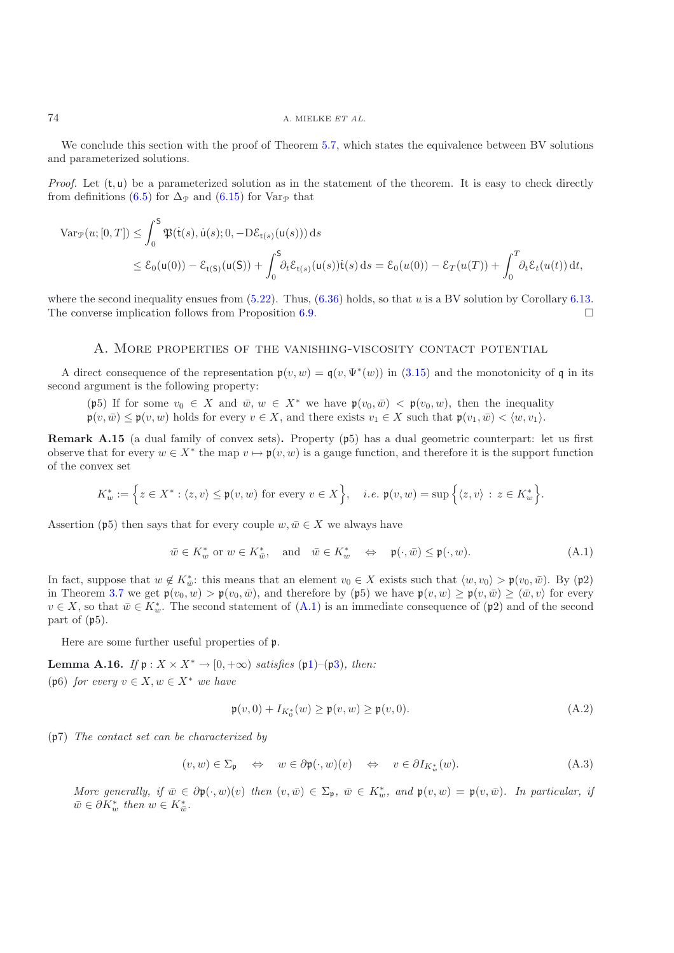## 74 A. MIELKE *ET AL.*

We conclude this section with the proof of Theorem [5.7,](#page-13-0) which states the equivalence between BV solutions and parameterized solutions.

*Proof.* Let  $(t, u)$  be a parameterized solution as in the statement of the theorem. It is easy to check directly from definitions [\(6.5\)](#page-31-0) for  $\Delta_{\mathcal{P}}$  and [\(6.15\)](#page-33-6) for Var<sub>P</sub> that

$$
\begin{split} \text{Var}_{\mathcal{P}}(u;[0,T]) &\leq \int_0^S \mathfrak{P}(\dot{\mathsf{t}}(s), \dot{\mathsf{u}}(s); 0, -D\mathcal{E}_{\mathsf{t}(s)}(\mathsf{u}(s))) \, \mathrm{d}s \\ &\leq \mathcal{E}_0(\mathsf{u}(0)) - \mathcal{E}_{\mathsf{t}(S)}(\mathsf{u}(S)) + \int_0^S \partial_t \mathcal{E}_{\mathsf{t}(s)}(\mathsf{u}(s)) \dot{\mathsf{t}}(s) \, \mathrm{d}s = \mathcal{E}_0(u(0)) - \mathcal{E}_T(u(T)) + \int_0^T \partial_t \mathcal{E}_t(u(t)) \, \mathrm{d}t, \end{split}
$$

where the second inequality ensues from  $(5.22)$ . Thus,  $(6.36)$  holds, so that u is a BV solution by Corollary [6.13.](#page-37-7) The converse implication follows from Proposition [6.9.](#page-17-0)

#### A. More properties of the vanishing-viscosity contact potential

A direct consequence of the representation  $p(v, w) = q(v, \Psi^*(w))$  in [\(3.15\)](#page-16-1) and the monotonicity of q in its second argument is the following property:

(p5) If for some  $v_0 \in X$  and  $\bar{w}, w \in X^*$  we have  $\mathfrak{p}(v_0, \bar{w}) < \mathfrak{p}(v_0, w)$ , then the inequality  $\mathfrak{p}(v, \bar{w}) \leq \mathfrak{p}(v, w)$  holds for every  $v \in X$ , and there exists  $v_1 \in X$  such that  $\mathfrak{p}(v_1, \bar{w}) < \langle w, v_1 \rangle$ .

**Remark A.15** (a dual family of convex sets)**.** Property (p5) has a dual geometric counterpart: let us first observe that for every  $w \in X^*$  the map  $v \mapsto \mathfrak{p}(v, w)$  is a gauge function, and therefore it is the support function of the convex set

$$
K_w^*:=\Big\{z\in X^*: \langle z,v\rangle\leq \mathfrak{p}(v,w)\text{ for every }v\in X\Big\},\quad i.e.\ \mathfrak{p}(v,w)=\sup\Big\{\langle z,v\rangle\,:\,z\in K_w^*\Big\}.
$$

Assertion (p5) then says that for every couple  $w, \bar{w} \in X$  we always have

$$
\bar{w} \in K_w^* \text{ or } w \in K_{\bar{w}}^*, \quad \text{and} \quad \bar{w} \in K_w^* \quad \Leftrightarrow \quad \mathfrak{p}(\cdot, \bar{w}) \leq \mathfrak{p}(\cdot, w). \tag{A.1}
$$

<span id="page-38-0"></span>In fact, suppose that  $w \notin K_{\bar{w}}^*$ : this means that an element  $v_0 \in X$  exists such that  $\langle w, v_0 \rangle > \mathfrak{p}(v_0, \bar{w})$ . By  $(\mathfrak{p}2)$ in Theorem [3.7](#page-13-0) we get  $\mathfrak{p}(v_0, w) > \mathfrak{p}(v_0, \bar{w})$ , and therefore by  $(\mathfrak{p}_5)$  we have  $\mathfrak{p}(v, w) \geq \mathfrak{p}(v, \bar{w}) \geq \langle \bar{w}, v \rangle$  for every  $v \in X$ , so that  $\bar{w} \in K_w^*$ . The second statement of  $(A.1)$  is an immediate consequence of  $(\mathfrak{p}_2)$  and of the second part of  $(p5)$ .

Here are some further useful properties of p.

**Lemma A.16.** *If*  $\mathfrak{p}: X \times X^* \to [0, +\infty)$  *satisfies* ( $\mathfrak{p}1$ )–( $\mathfrak{p}3$ )*, then:* (p6) *for every*  $v \in X, w \in X^*$  *we have* 

$$
\mathfrak{p}(v,0) + I_{K_0^*}(w) \ge \mathfrak{p}(v,w) \ge \mathfrak{p}(v,0). \tag{A.2}
$$

(p7) *The contact set can be characterized by*

<span id="page-38-1"></span>
$$
(v, w) \in \Sigma_{\mathfrak{p}} \quad \Leftrightarrow \quad w \in \partial \mathfrak{p}(\cdot, w)(v) \quad \Leftrightarrow \quad v \in \partial I_{K_w^*}(w). \tag{A.3}
$$

<span id="page-38-2"></span>*More generally, if*  $\overline{w} \in \partial \mathfrak{p}(\cdot, w)(v)$  *then*  $(v, \overline{w}) \in \Sigma_{\mathfrak{p}}, \overline{w} \in K_w^*$ *, and*  $\mathfrak{p}(v, w) = \mathfrak{p}(v, \overline{w})$ *. In particular, if*  $\bar{w} \in \partial K_w^*$  then  $w \in K_{\bar{w}}^*$ .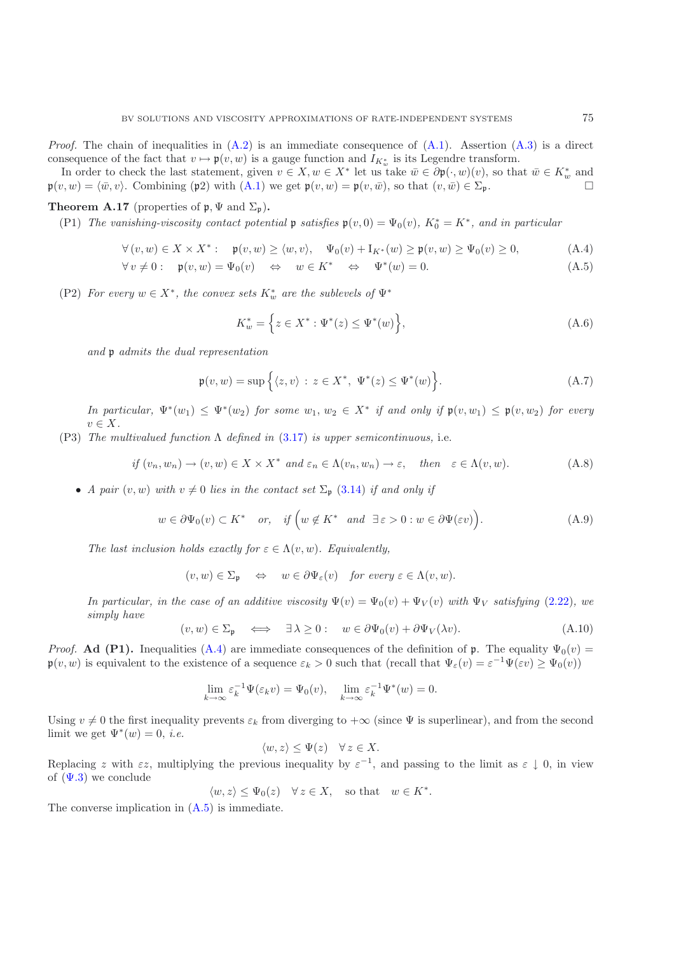*Proof.* The chain of inequalities in  $(A.2)$  is an immediate consequence of  $(A.1)$ . Assertion  $(A.3)$  is a direct consequence of the fact that  $v \mapsto \mathfrak{p}(v, w)$  is a gauge function and  $I_{K_w^*}$  is its Legendre transform.

In order to check the last statement, given  $v \in X, w \in X^*$  let us take  $\bar{w} \in \partial \mathfrak{p}(\cdot, w)(v)$ , so that  $\bar{w} \in K^*_{w}$  and  $\mathfrak{p}(v, w) = \langle \bar{w}, v \rangle$ . Combining (p2) with [\(A.1\)](#page-38-0) we get  $\mathfrak{p}(v, w) = \mathfrak{p}(v, \bar{w})$ , so that  $(v, \bar{w}) \in \Sigma_{\mathfrak{p}}$ .

## **Theorem A.17** (properties of  $\mathfrak{p}, \Psi$  and  $\Sigma_{\mathfrak{p}}$ ).

(P1) *The vanishing-viscosity contact potential*  $\mathfrak{p}$  *satisfies*  $\mathfrak{p}(v,0) = \Psi_0(v)$ *,*  $K_0^* = K^*$ *, and in particular* 

$$
\forall (v, w) \in X \times X^* : \quad \mathfrak{p}(v, w) \ge \langle w, v \rangle, \quad \Psi_0(v) + \mathcal{I}_{K^*}(w) \ge \mathfrak{p}(v, w) \ge \Psi_0(v) \ge 0,
$$
\n(A.4)

<span id="page-39-2"></span>
$$
\forall v \neq 0: \quad \mathfrak{p}(v, w) = \Psi_0(v) \quad \Leftrightarrow \quad w \in K^* \quad \Leftrightarrow \quad \Psi^*(w) = 0. \tag{A.5}
$$

(P2) *For every*  $w \in X^*$ *, the convex sets*  $K_w^*$  *are the sublevels of*  $\Psi^*$ 

<span id="page-39-1"></span><span id="page-39-0"></span>
$$
K_w^* = \left\{ z \in X^* : \Psi^*(z) \le \Psi^*(w) \right\},\tag{A.6}
$$

<span id="page-39-3"></span>*and* p *admits the dual representation*

$$
\mathfrak{p}(v, w) = \sup \Big\{ \langle z, v \rangle \, : \, z \in X^*, \, \Psi^*(z) \le \Psi^*(w) \Big\}. \tag{A.7}
$$

*In particular,*  $\Psi^*(w_1) \leq \Psi^*(w_2)$  *for some*  $w_1, w_2 \in X^*$  *if and only if*  $\mathfrak{p}(v, w_1) \leq \mathfrak{p}(v, w_2)$  *for every*  $v \in X$ .

<span id="page-39-4"></span>(P3) *The multivalued function* Λ *defined in* [\(3.17\)](#page-17-4) *is upper semicontinuous,* i.e.

$$
if (v_n, w_n) \to (v, w) \in X \times X^* \text{ and } \varepsilon_n \in \Lambda(v_n, w_n) \to \varepsilon, \quad then \quad \varepsilon \in \Lambda(v, w). \tag{A.8}
$$

<span id="page-39-5"></span>• *A pair*  $(v, w)$  *with*  $v \neq 0$  *lies in the contact set*  $\Sigma_p$  [\(3.14\)](#page-16-7) *if and only if* 

$$
w \in \partial \Psi_0(v) \subset K^* \quad or, \quad if \left(w \notin K^* \quad and \quad \exists \varepsilon > 0 : w \in \partial \Psi(\varepsilon v)\right). \tag{A.9}
$$

*The last inclusion holds exactly for*  $\varepsilon \in \Lambda(v, w)$ *. Equivalently,* 

$$
(v, w) \in \Sigma_{\mathfrak{p}} \quad \Leftrightarrow \quad w \in \partial \Psi_{\varepsilon}(v) \quad \text{for every } \varepsilon \in \Lambda(v, w).
$$

<span id="page-39-6"></span>*In particular, in the case of an additive viscosity*  $\Psi(v) = \Psi_0(v) + \Psi_V(v)$  *with*  $\Psi_V$  *satisfying* [\(2.22\)](#page-11-6)*, we simply have*

$$
(v, w) \in \Sigma_{\mathfrak{p}} \quad \Longleftrightarrow \quad \exists \lambda \ge 0: \quad w \in \partial \Psi_0(v) + \partial \Psi_V(\lambda v). \tag{A.10}
$$

*Proof.* **Ad (P1).** Inequalities [\(A.4\)](#page-39-0) are immediate consequences of the definition of p. The equality  $\Psi_0(v)$  =  $\mathfrak{p}(v, w)$  is equivalent to the existence of a sequence  $\varepsilon_k > 0$  such that (recall that  $\Psi_{\varepsilon}(v) = \varepsilon^{-1} \Psi(\varepsilon v) > \Psi_0(v)$ )

$$
\lim_{k \to \infty} \varepsilon_k^{-1} \Psi(\varepsilon_k v) = \Psi_0(v), \quad \lim_{k \to \infty} \varepsilon_k^{-1} \Psi^*(w) = 0.
$$

Using  $v \neq 0$  the first inequality prevents  $\varepsilon_k$  from diverging to  $+\infty$  (since  $\Psi$  is superlinear), and from the second limit we get  $\Psi^*(w) = 0$ , *i.e.* 

$$
\langle w, z \rangle \le \Psi(z) \quad \forall \, z \in X.
$$

Replacing z with  $\varepsilon z$ , multiplying the previous inequality by  $\varepsilon^{-1}$ , and passing to the limit as  $\varepsilon \downarrow 0$ , in view of  $(\Psi.3)$  we conclude

$$
\langle w, z \rangle \leq \Psi_0(z) \quad \forall z \in X
$$
, so that  $w \in K^*$ .

The converse implication in [\(A.5\)](#page-39-1) is immediate.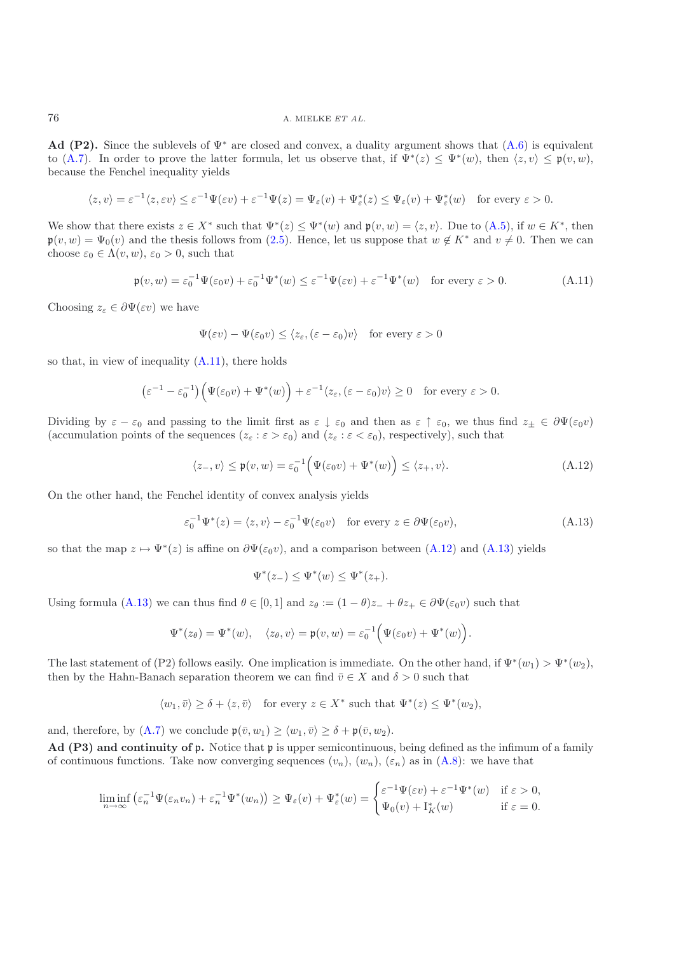**Ad (P2).** Since the sublevels of  $\Psi^*$  are closed and convex, a duality argument shows that  $(A.6)$  is equivalent to [\(A.7\)](#page-39-3). In order to prove the latter formula, let us observe that, if  $\Psi^*(z) \leq \Psi^*(w)$ , then  $\langle z, v \rangle \leq \mathfrak{p}(v, w)$ , because the Fenchel inequality yields

$$
\langle z, v \rangle = \varepsilon^{-1} \langle z, \varepsilon v \rangle \le \varepsilon^{-1} \Psi(\varepsilon v) + \varepsilon^{-1} \Psi(z) = \Psi_{\varepsilon}(v) + \Psi_{\varepsilon}^*(z) \le \Psi_{\varepsilon}(v) + \Psi_{\varepsilon}^*(w) \quad \text{for every } \varepsilon > 0.
$$

We show that there exists  $z \in X^*$  such that  $\Psi^*(z) \leq \Psi^*(w)$  and  $\mathfrak{p}(v, w) = \langle z, v \rangle$ . Due to  $(A.5)$ , if  $w \in K^*$ , then  $\mathfrak{p}(v, w) = \Psi_0(v)$  and the thesis follows from [\(2.5\)](#page-6-5). Hence, let us suppose that  $w \notin K^*$  and  $v \neq 0$ . Then we can choose  $\varepsilon_0 \in \Lambda(v, w)$ ,  $\varepsilon_0 > 0$ , such that

$$
\mathfrak{p}(v, w) = \varepsilon_0^{-1} \Psi(\varepsilon_0 v) + \varepsilon_0^{-1} \Psi^*(w) \le \varepsilon^{-1} \Psi(\varepsilon v) + \varepsilon^{-1} \Psi^*(w) \quad \text{for every } \varepsilon > 0.
$$
 (A.11)

<span id="page-40-0"></span>Choosing  $z_{\varepsilon} \in \partial \Psi(\varepsilon v)$  we have

$$
\Psi(\varepsilon v) - \Psi(\varepsilon_0 v) \le \langle z_\varepsilon, (\varepsilon - \varepsilon_0)v \rangle \quad \text{for every } \varepsilon > 0
$$

so that, in view of inequality  $(A.11)$ , there holds

$$
\left(\varepsilon^{-1} - \varepsilon_0^{-1}\right) \left(\Psi(\varepsilon_0 v) + \Psi^*(w)\right) + \varepsilon^{-1} \langle z_\varepsilon, (\varepsilon - \varepsilon_0)v \rangle \ge 0 \quad \text{for every } \varepsilon > 0.
$$

Dividing by  $\varepsilon - \varepsilon_0$  and passing to the limit first as  $\varepsilon \downarrow \varepsilon_0$  and then as  $\varepsilon \uparrow \varepsilon_0$ , we thus find  $z_\pm \in \partial \Psi(\varepsilon_0 v)$ (accumulation points of the sequences  $(z_{\varepsilon}: \varepsilon > \varepsilon_0)$  and  $(z_{\varepsilon}: \varepsilon < \varepsilon_0)$ , respectively), such that

$$
\langle z_-, v \rangle \le \mathfrak{p}(v, w) = \varepsilon_0^{-1} \Big( \Psi(\varepsilon_0 v) + \Psi^*(w) \Big) \le \langle z_+, v \rangle. \tag{A.12}
$$

<span id="page-40-2"></span><span id="page-40-1"></span>On the other hand, the Fenchel identity of convex analysis yields

$$
\varepsilon_0^{-1} \Psi^*(z) = \langle z, v \rangle - \varepsilon_0^{-1} \Psi(\varepsilon_0 v) \quad \text{for every } z \in \partial \Psi(\varepsilon_0 v), \tag{A.13}
$$

so that the map  $z \mapsto \Psi^*(z)$  is affine on  $\partial \Psi(\varepsilon_0 v)$ , and a comparison between [\(A.12\)](#page-40-1) and [\(A.13\)](#page-40-2) yields

$$
\Psi^*(z_-) \le \Psi^*(w) \le \Psi^*(z_+).
$$

Using formula [\(A.13\)](#page-40-2) we can thus find  $\theta \in [0,1]$  and  $z_{\theta} := (1 - \theta)z_{-} + \theta z_{+} \in \partial \Psi(\varepsilon_{0}v)$  such that

$$
\Psi^*(z_\theta) = \Psi^*(w), \quad \langle z_\theta, v \rangle = \mathfrak{p}(v, w) = \varepsilon_0^{-1} \Big( \Psi(\varepsilon_0 v) + \Psi^*(w) \Big).
$$

The last statement of (P2) follows easily. One implication is immediate. On the other hand, if  $\Psi^*(w_1) > \Psi^*(w_2)$ , then by the Hahn-Banach separation theorem we can find  $\bar{v} \in X$  and  $\delta > 0$  such that

$$
\langle w_1, \bar{v} \rangle \ge \delta + \langle z, \bar{v} \rangle \quad \text{for every } z \in X^* \text{ such that } \Psi^*(z) \le \Psi^*(w_2),
$$

and, therefore, by [\(A.7\)](#page-39-3) we conclude  $\mathfrak{p}(\bar{v}, w_1) \ge \langle w_1, \bar{v} \rangle \ge \delta + \mathfrak{p}(\bar{v}, w_2)$ .

**Ad (P3) and continuity of** p**.** Notice that p is upper semicontinuous, being defined as the infimum of a family of continuous functions. Take now converging sequences  $(v_n)$ ,  $(w_n)$ ,  $(\varepsilon_n)$  as in  $(A.8)$ : we have that

$$
\liminf_{n \to \infty} \left( \varepsilon_n^{-1} \Psi(\varepsilon_n v_n) + \varepsilon_n^{-1} \Psi^*(w_n) \right) \ge \Psi_{\varepsilon}(v) + \Psi_{\varepsilon}^*(w) = \begin{cases} \varepsilon^{-1} \Psi(\varepsilon v) + \varepsilon^{-1} \Psi^*(w) & \text{if } \varepsilon > 0, \\ \Psi_0(v) + \Psi_K^*(w) & \text{if } \varepsilon = 0. \end{cases}
$$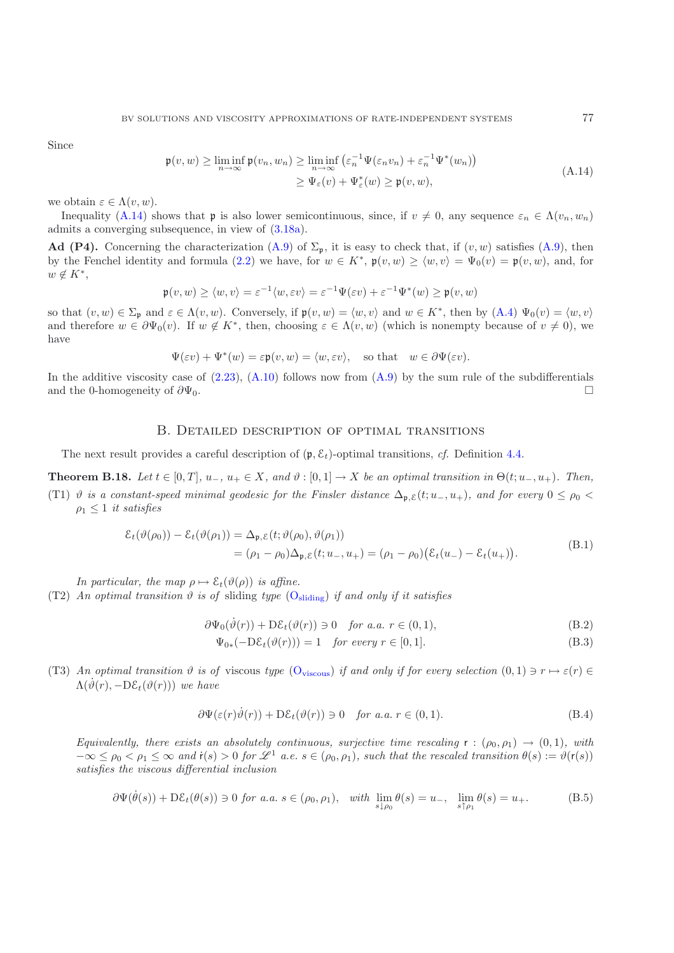<span id="page-41-0"></span>Since

$$
\mathfrak{p}(v, w) \ge \liminf_{n \to \infty} \mathfrak{p}(v_n, w_n) \ge \liminf_{n \to \infty} \left( \varepsilon_n^{-1} \Psi(\varepsilon_n v_n) + \varepsilon_n^{-1} \Psi^*(w_n) \right) \ge \Psi_{\varepsilon}(v) + \Psi_{\varepsilon}^*(w) \ge \mathfrak{p}(v, w),
$$
\n(A.14)

we obtain  $\varepsilon \in \Lambda(v, w)$ .

Inequality [\(A.14\)](#page-41-0) shows that **p** is also lower semicontinuous, since, if  $v \neq 0$ , any sequence  $\varepsilon_n \in \Lambda(v_n, w_n)$ admits a converging subsequence, in view of [\(3.18a\)](#page-17-5).

**Ad (P4).** Concerning the characterization [\(A.9\)](#page-39-5) of  $\Sigma_p$ , it is easy to check that, if  $(v, w)$  satisfies (A.9), then by the Fenchel identity and formula [\(2.2\)](#page-6-4) we have, for  $w \in K^*$ ,  $\mathfrak{p}(v, w) \ge \langle w, v \rangle = \Psi_0(v) = \mathfrak{p}(v, w)$ , and, for  $w \notin K^*,$ 

$$
\mathfrak{p}(v,w) \ge \langle w,v \rangle = \varepsilon^{-1} \langle w, \varepsilon v \rangle = \varepsilon^{-1} \Psi(\varepsilon v) + \varepsilon^{-1} \Psi^*(w) \ge \mathfrak{p}(v,w)
$$

so that  $(v, w) \in \Sigma_{\mathfrak{p}}$  and  $\varepsilon \in \Lambda(v, w)$ . Conversely, if  $\mathfrak{p}(v, w) = \langle w, v \rangle$  and  $w \in K^*$ , then by  $(\Lambda.4) \Psi_0(v) = \langle w, v \rangle$ and therefore  $w \in \partial \Psi_0(v)$ . If  $w \notin K^*$ , then, choosing  $\varepsilon \in \Lambda(v, w)$  (which is nonempty because of  $v \neq 0$ ), we have

$$
\Psi(\varepsilon v) + \Psi^*(w) = \varepsilon \mathfrak{p}(v, w) = \langle w, \varepsilon v \rangle, \quad \text{so that} \quad w \in \partial \Psi(\varepsilon v).
$$

In the additive viscosity case of  $(2.23)$ ,  $(A.10)$  follows now from  $(A.9)$  by the sum rule of the subdifferentials and the 0-homogeneity of  $\partial \Psi_0$ .

## B. Detailed description of optimal transitions

The next result provides a careful description of  $(p, \mathcal{E}_t)$ -optimal transitions, *cf.* Definition [4.4.](#page-11-1)

**Theorem B.18.** Let  $t \in [0, T]$ ,  $u_-, u_+ \in X$ , and  $\vartheta : [0, 1] \to X$  be an optimal transition in  $\Theta(t; u_-, u_+)$ *. Then,* 

(T1)  $\vartheta$  *is a constant-speed minimal geodesic for the Finsler distance*  $\Delta_{p,\varepsilon}(t; u_-, u_+)$ *, and for every*  $0 \leq \rho_0 <$  $\rho_1 \leq 1$  *it satisfies* 

$$
\mathcal{E}_t(\vartheta(\rho_0)) - \mathcal{E}_t(\vartheta(\rho_1)) = \Delta_{\mathfrak{p}, \mathcal{E}}(t; \vartheta(\rho_0), \vartheta(\rho_1))
$$
  
= 
$$
(\rho_1 - \rho_0) \Delta_{\mathfrak{p}, \mathcal{E}}(t; u_-, u_+) = (\rho_1 - \rho_0) (\mathcal{E}_t(u_-) - \mathcal{E}_t(u_+)).
$$
 (B.1)

<span id="page-41-1"></span>*In particular, the map*  $\rho \mapsto \mathcal{E}_t(\vartheta(\rho))$  *is affine.* 

(T2) An optimal transition  $\vartheta$  is of [sliding](#page-19-5) type  $(O_{\text{sliding}})$  if and only if it satisfies

$$
\partial \Psi_0(\dot{\vartheta}(r)) + D\mathcal{E}_t(\vartheta(r)) \ni 0 \quad \text{for a.a. } r \in (0,1), \tag{B.2}
$$

<span id="page-41-3"></span><span id="page-41-2"></span>
$$
\Psi_{0*}(-\mathrm{D}\mathcal{E}_t(\vartheta(r))) = 1 \quad \text{for every } r \in [0,1]. \tag{B.3}
$$

(T3) *An optimal transition*  $\vartheta$  *is of* [viscous](#page-19-6) *type* (O<sub>viscous</sub>) *if and only if for every selection*  $(0,1) \ni r \mapsto \varepsilon(r) \in$  $\Lambda(\vartheta(r), -D\mathcal{E}_t(\vartheta(r)))$  we have

$$
\partial \Psi(\varepsilon(r)\dot{\vartheta}(r)) + D\mathcal{E}_t(\vartheta(r)) \ni 0 \quad \text{for a.a. } r \in (0,1). \tag{B.4}
$$

<span id="page-41-4"></span>*Equivalently, there exists an absolutely continuous, surjective time rescaling*  $r : (\rho_0, \rho_1) \rightarrow (0, 1)$ *, with*  $-\infty \leq \rho_0 < \rho_1 \leq \infty$  and  $\mathsf{r}(s) > 0$  for  $\mathscr{L}^1$  a.e.  $s \in (\rho_0, \rho_1)$ , such that the rescaled transition  $\theta(s) := \vartheta(\mathsf{r}(s))$ *satisfies the viscous differential inclusion*

$$
\partial \Psi(\dot{\theta}(s)) + D\mathcal{E}_t(\theta(s)) \ni 0 \text{ for a.a. } s \in (\rho_0, \rho_1), \quad \text{with } \lim_{s \downarrow \rho_0} \theta(s) = u_-, \quad \lim_{s \uparrow \rho_1} \theta(s) = u_+.
$$
 (B.5)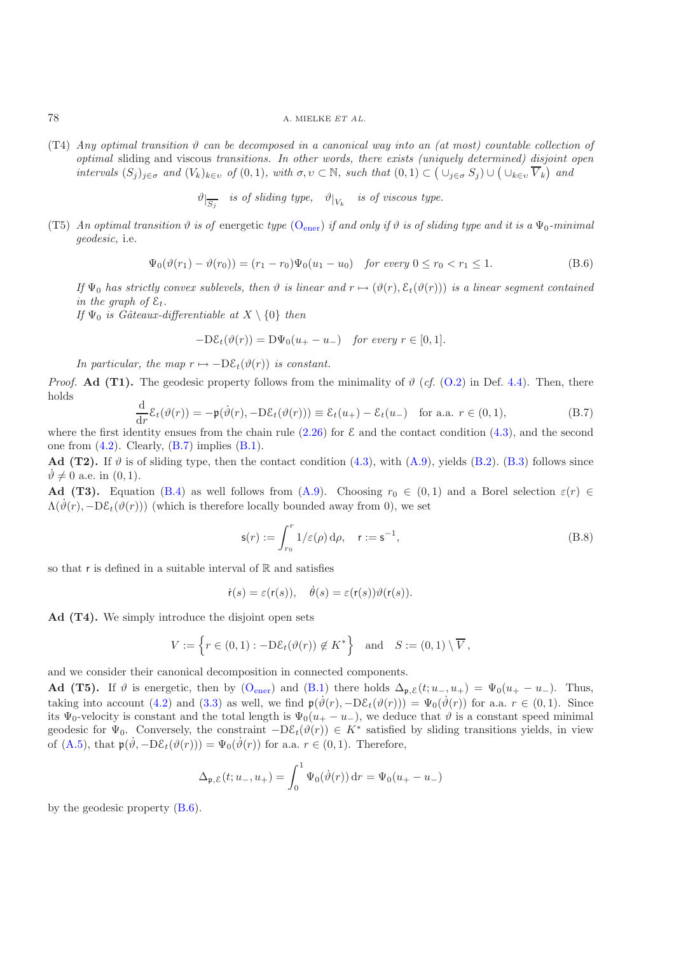$(T4)$  *Any optimal transition*  $\vartheta$  *can be decomposed in a canonical way into an (at most) countable collection of optimal* sliding and viscous *transitions. In other words, there exists (uniquely determined) disjoint open intervals*  $(S_j)_{j \in \sigma}$  *and*  $(V_k)_{k \in \nu}$  *of*  $(0,1)$ *, with*  $\sigma, \nu \subset \mathbb{N}$ *, such that*  $(0,1) \subset (\cup_{j \in \sigma} S_j) \cup (\cup_{k \in \nu} \overline{V}_k)$  *and* 

 $\vartheta|_{\overline{S_j}}$  *is of sliding type,*  $\vartheta|_{V_k}$  *is of viscous type.* 

(T5) An optimal transition  $\vartheta$  is of [ener](#page-19-4)getic type (O<sub>ener</sub>) if and only if  $\vartheta$  is of sliding type and it is a  $\Psi_0$ -minimal *geodesic,* i.e.

$$
\Psi_0(\vartheta(r_1) - \vartheta(r_0)) = (r_1 - r_0)\Psi_0(u_1 - u_0) \quad \text{for every } 0 \le r_0 < r_1 \le 1. \tag{B.6}
$$

<span id="page-42-1"></span>*If*  $\Psi_0$  *has strictly convex sublevels, then*  $\vartheta$  *is linear and*  $r \mapsto (\vartheta(r), \mathcal{E}_t(\vartheta(r)))$  *is a linear segment contained in the graph of*  $\mathcal{E}_t$ .

*If*  $\Psi_0$  *is Gâteaux-differentiable at*  $X \setminus \{0\}$  *then* 

$$
-D\mathcal{E}_t(\vartheta(r)) = D\Psi_0(u_+ - u_-) \quad \text{for every } r \in [0, 1].
$$

*In particular, the map*  $r \mapsto -D\mathcal{E}_t(\vartheta(r))$  *is constant.* 

*Proof.* **Ad (T1).** The geodesic property follows from the minimality of  $\vartheta$  (*cf.* [\(O.2\)](#page-19-3) in Def. [4.4\)](#page-11-1). Then, there holds

$$
\frac{\mathrm{d}}{\mathrm{d}r}\mathcal{E}_t(\vartheta(r)) = -\mathfrak{p}(\dot{\vartheta}(r), -\mathrm{D}\mathcal{E}_t(\vartheta(r))) \equiv \mathcal{E}_t(u_+) - \mathcal{E}_t(u_-) \quad \text{for a.a. } r \in (0,1),\tag{B.7}
$$

<span id="page-42-0"></span>where the first identity ensues from the chain rule  $(2.26)$  for  $\mathcal E$  and the contact condition  $(4.3)$ , and the second one from  $(4.2)$ . Clearly,  $(B.7)$  implies  $(B.1)$ .

**Ad (T2).** If  $\vartheta$  is of sliding type, then the contact condition [\(4.3\)](#page-20-0), with [\(A.9\)](#page-39-5), yields [\(B.2\)](#page-41-2). [\(B.3\)](#page-41-3) follows since  $\vartheta \neq 0$  a.e. in  $(0, 1)$ .

**Ad (T3).** Equation [\(B.4\)](#page-41-4) as well follows from [\(A.9\)](#page-39-5). Choosing  $r_0 \in (0,1)$  and a Borel selection  $\varepsilon(r) \in$  $\Lambda(\dot{\vartheta}(r), -D\mathcal{E}_t(\vartheta(r)))$  (which is therefore locally bounded away from 0), we set

$$
\mathsf{s}(r) := \int_{r_0}^r 1/\varepsilon(\rho) \, \mathrm{d}\rho, \quad \mathsf{r} := \mathsf{s}^{-1},\tag{B.8}
$$

so that r is defined in a suitable interval of  $\mathbb R$  and satisfies

 $\dot{\mathsf{r}}(s) = \varepsilon(\mathsf{r}(s)), \quad \dot{\theta}(s) = \varepsilon(\mathsf{r}(s))\vartheta(\mathsf{r}(s)).$ 

**Ad (T4).** We simply introduce the disjoint open sets

$$
V := \left\{ r \in (0,1) : -\mathrm{D}\mathcal{E}_t(\vartheta(r)) \notin K^* \right\} \quad \text{and} \quad S := (0,1) \setminus \overline{V},
$$

and we consider their canonical decomposition in connected components.

**Ad (T5).** If  $\vartheta$  is [ener](#page-19-4)getic, then by (O<sub>ener</sub>) and [\(B.1\)](#page-41-1) there holds  $\Delta_{p,\mathcal{E}}(t; u_-, u_+) = \Psi_0(u_+ - u_-)$ . Thus, taking into account [\(4.2\)](#page-19-2) and [\(3.3\)](#page-14-3) as well, we find  $\mathfrak{p}(\dot{\vartheta}(r), -D\mathcal{E}_t(\vartheta(r))) = \Psi_0(\dot{\vartheta}(r))$  for a.a.  $r \in (0, 1)$ . Since its  $\Psi_0$ -velocity is constant and the total length is  $\Psi_0(u_+ - u_-)$ , we deduce that  $\vartheta$  is a constant speed minimal geodesic for  $\Psi_0$ . Conversely, the constraint  $-D\mathcal{E}_t(\vartheta(r)) \in K^*$  satisfied by sliding transitions yields, in view of [\(A.5\)](#page-39-1), that  $\mathfrak{p}(\dot{\vartheta}, -D\mathcal{E}_t(\vartheta(r))) = \Psi_0(\dot{\vartheta}(r))$  for a.a.  $r \in (0, 1)$ . Therefore,

$$
\Delta_{\mathfrak{p},\mathcal{E}}(t;u_-,u_+) = \int_0^1 \Psi_0(\dot{\vartheta}(r)) dr = \Psi_0(u_+ - u_-)
$$

by the geodesic property [\(B.6\)](#page-42-1).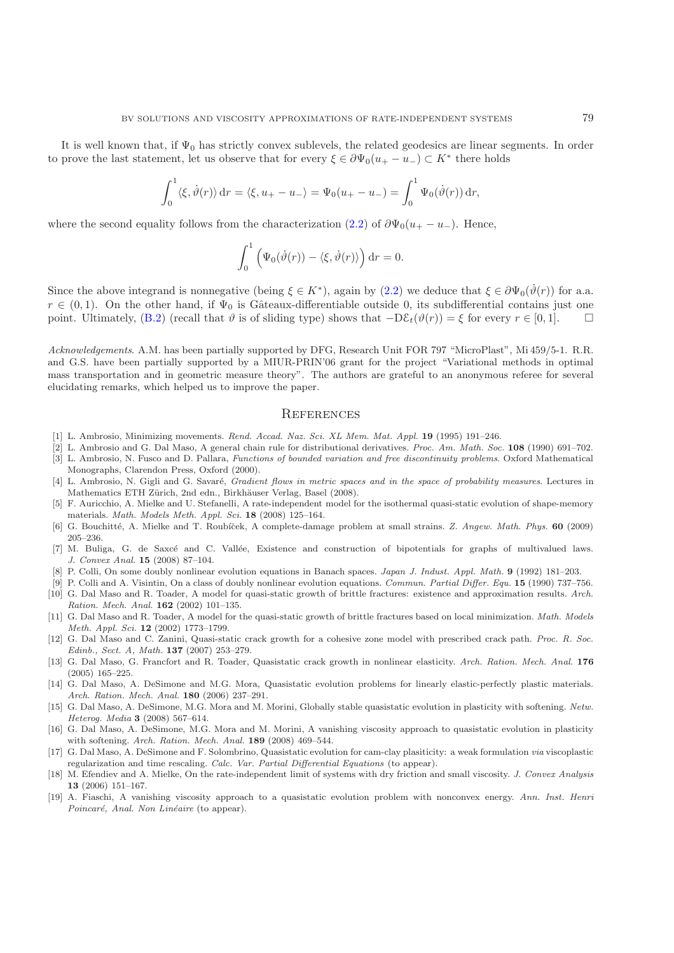It is well known that, if  $\Psi_0$  has strictly convex sublevels, the related geodesics are linear segments. In order to prove the last statement, let us observe that for every  $\xi \in \partial \Psi_0(u_+ - u_-) \subset K^*$  there holds

$$
\int_0^1 \langle \xi, \dot{\vartheta}(r) \rangle \, dr = \langle \xi, u_+ - u_- \rangle = \Psi_0(u_+ - u_-) = \int_0^1 \Psi_0(\dot{\vartheta}(r)) \, dr,
$$

where the second equality follows from the characterization [\(2.2\)](#page-6-4) of  $\partial \Psi_0(u_+ - u_-)$ . Hence,

$$
\int_0^1 \left( \Psi_0(\dot{\vartheta}(r)) - \langle \xi, \dot{\vartheta}(r) \rangle \right) dr = 0.
$$

Since the above integrand is nonnegative (being  $\xi \in K^*$ ), again by [\(2.2\)](#page-6-4) we deduce that  $\xi \in \partial \Psi_0(\dot{\vartheta}(r))$  for a.a.  $r \in (0,1)$ . On the other hand, if  $\Psi_0$  is Gâteaux-differentiable outside 0, its subdifferential contains just one point. Ultimately, [\(B.2\)](#page-41-2) (recall that  $\vartheta$  is of sliding type) shows that  $-D\mathcal{E}_t(\vartheta(r)) = \xi$  for every  $r \in [0,1]$ .  $\square$ 

*Acknowledgements*. A.M. has been partially supported by DFG, Research Unit FOR 797 "MicroPlast", Mi 459/5-1. R.R. and G.S. have been partially supported by a MIUR-PRIN'06 grant for the project "Variational methods in optimal mass transportation and in geometric measure theory". The authors are grateful to an anonymous referee for several elucidating remarks, which helped us to improve the paper.

#### **REFERENCES**

- <span id="page-43-17"></span>[1] L. Ambrosio, Minimizing movements. Rend. Accad. Naz. Sci. XL Mem. Mat. Appl. **19** (1995) 191–246.
- <span id="page-43-16"></span><span id="page-43-15"></span>[2] L. Ambrosio and G. Dal Maso, A general chain rule for distributional derivatives. Proc. Am. Math. Soc. **108** (1990) 691–702. [3] L. Ambrosio, N. Fusco and D. Pallara, Functions of bounded variation and free discontinuity problems. Oxford Mathematical
- <span id="page-43-18"></span>Monographs, Clarendon Press, Oxford (2000). [4] L. Ambrosio, N. Gigli and G. Savaré, Gradient flows in metric spaces and in the space of probability measures. Lectures in
- Mathematics ETH Zürich, 2nd edn., Birkhäuser Verlag, Basel (2008).
- <span id="page-43-1"></span>[5] F. Auricchio, A. Mielke and U. Stefanelli, A rate-independent model for the isothermal quasi-static evolution of shape-memory materials. Math. Models Meth. Appl. Sci. **18** (2008) 125–164.
- <span id="page-43-7"></span>[6] G. Bouchitté, A. Mielke and T. Roubíček, A complete-damage problem at small strains. Z. Angew. Math. Phys. 60 (2009) 205–236.
- <span id="page-43-14"></span>[7] M. Buliga, G. de Saxcé and C. Vallée, Existence and construction of bipotentials for graphs of multivalued laws. J. Convex Anal. **15** (2008) 87–104.
- [8] P. Colli, On some doubly nonlinear evolution equations in Banach spaces. Japan J. Indust. Appl. Math. **9** (1992) 181–203.
- <span id="page-43-10"></span><span id="page-43-9"></span>[9] P. Colli and A. Visintin, On a class of doubly nonlinear evolution equations. Commun. Partial Differ. Equ. **15** (1990) 737–756. [10] G. Dal Maso and R. Toader, A model for quasi-static growth of brittle fractures: existence and approximation results. Arch.
- <span id="page-43-8"></span><span id="page-43-2"></span>Ration. Mech. Anal. **162** (2002) 101–135. [11] G. Dal Maso and R. Toader, A model for the quasi-static growth of brittle fractures based on local minimization. Math. Models Meth. Appl. Sci. **12** (2002) 1773–1799.
- <span id="page-43-3"></span>[12] G. Dal Maso and C. Zanini, Quasi-static crack growth for a cohesive zone model with prescribed crack path. Proc. R. Soc. Edinb., Sect. A, Math. **137** (2007) 253–279.
- <span id="page-43-4"></span>[13] G. Dal Maso, G. Francfort and R. Toader, Quasistatic crack growth in nonlinear elasticity. Arch. Ration. Mech. Anal. **176** (2005) 165–225.
- <span id="page-43-5"></span>[14] G. Dal Maso, A. DeSimone and M.G. Mora, Quasistatic evolution problems for linearly elastic-perfectly plastic materials. Arch. Ration. Mech. Anal. **180** (2006) 237–291.
- <span id="page-43-6"></span>[15] G. Dal Maso, A. DeSimone, M.G. Mora and M. Morini, Globally stable quasistatic evolution in plasticity with softening. Netw. Heterog. Media **3** (2008) 567–614.
- <span id="page-43-11"></span>[16] G. Dal Maso, A. DeSimone, M.G. Mora and M. Morini, A vanishing viscosity approach to quasistatic evolution in plasticity with softening. Arch. Ration. Mech. Anal. **189** (2008) 469–544.
- <span id="page-43-13"></span>[17] G. Dal Maso, A. DeSimone and F. Solombrino, Quasistatic evolution for cam-clay plasiticity: a weak formulation via viscoplastic regularization and time rescaling. Calc. Var. Partial Differential Equations (to appear).
- <span id="page-43-0"></span>[18] M. Efendiev and A. Mielke, On the rate-independent limit of systems with dry friction and small viscosity. J. Convex Analysis **13** (2006) 151–167.
- <span id="page-43-12"></span>[19] A. Fiaschi, A vanishing viscosity approach to a quasistatic evolution problem with nonconvex energy. Ann. Inst. Henri Poincaré, Anal. Non Linéaire (to appear).